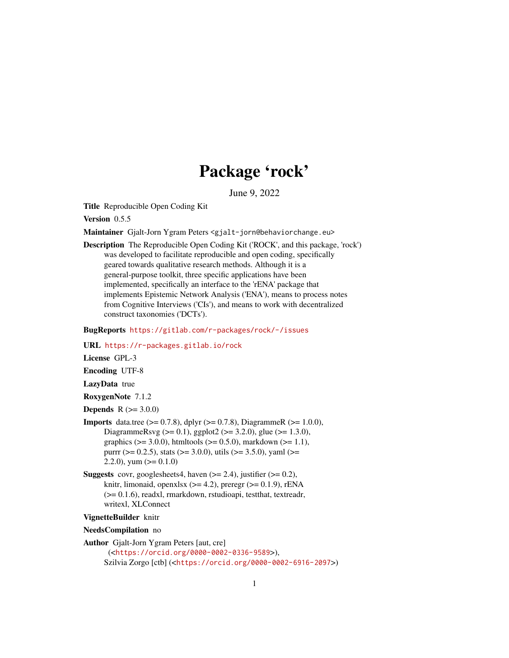# Package 'rock'

June 9, 2022

<span id="page-0-0"></span>Title Reproducible Open Coding Kit

Version 0.5.5

Maintainer Gjalt-Jorn Ygram Peters <gjalt-jorn@behaviorchange.eu>

Description The Reproducible Open Coding Kit ('ROCK', and this package, 'rock') was developed to facilitate reproducible and open coding, specifically geared towards qualitative research methods. Although it is a general-purpose toolkit, three specific applications have been implemented, specifically an interface to the 'rENA' package that implements Epistemic Network Analysis ('ENA'), means to process notes from Cognitive Interviews ('CIs'), and means to work with decentralized construct taxonomies ('DCTs').

BugReports <https://gitlab.com/r-packages/rock/-/issues>

URL <https://r-packages.gitlab.io/rock>

License GPL-3

Encoding UTF-8

LazyData true

RoxygenNote 7.1.2

**Depends**  $R (= 3.0.0)$ 

- **Imports** data.tree ( $> = 0.7.8$ ), dplyr ( $> = 0.7.8$ ), DiagrammeR ( $> = 1.0.0$ ), DiagrammeRsvg (>= 0.1), ggplot2 (>= 3.2.0), glue (>= 1.3.0), graphics ( $> = 3.0.0$ ), htmltools ( $> = 0.5.0$ ), markdown ( $> = 1.1$ ), purrr ( $> = 0.2.5$ ), stats ( $> = 3.0.0$ ), utils ( $> = 3.5.0$ ), yaml ( $> =$ 2.2.0), yum  $(>= 0.1.0)$
- **Suggests** covr, googlesheets4, haven  $(>= 2.4)$ , justifier  $(>= 0.2)$ , knitr, limonaid, openxlsx  $(>= 4.2)$ , preregr  $(>= 0.1.9)$ , rENA (>= 0.1.6), readxl, rmarkdown, rstudioapi, testthat, textreadr, writexl, XLConnect

#### VignetteBuilder knitr

NeedsCompilation no

Author Gjalt-Jorn Ygram Peters [aut, cre] (<<https://orcid.org/0000-0002-0336-9589>>), Szilvia Zorgo [ctb] (<<https://orcid.org/0000-0002-6916-2097>>)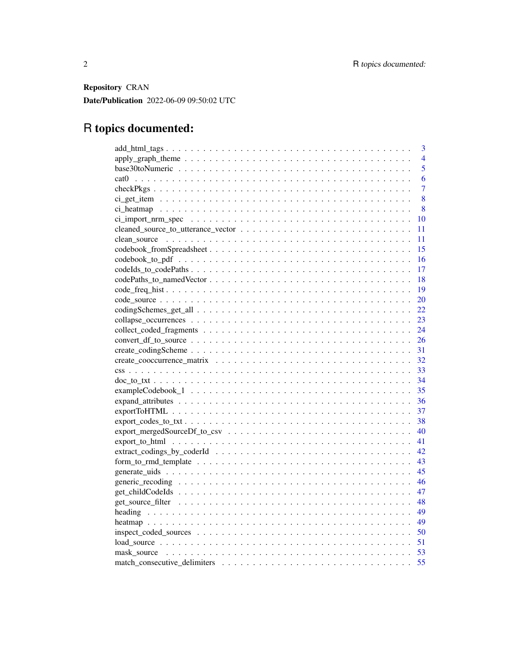Repository CRAN Date/Publication 2022-06-09 09:50:02 UTC

# R topics documented:

| 3              |
|----------------|
| $\overline{4}$ |
| 5              |
| 6              |
| $\overline{7}$ |
| 8              |
| 8              |
| 10             |
| 11             |
| 11             |
| 15             |
| 16             |
| 17             |
| 18             |
| 19             |
| 20             |
| 22             |
| 23             |
| 24             |
| 26             |
| 31             |
| 32             |
| 33             |
| 34             |
| 35             |
| 36             |
| 37             |
| 38             |
| 40             |
| 41             |
| 42             |
| 43             |
| 45             |
| 46             |
| 47             |
| 48             |
| 49             |
| 49             |
| 50             |
|                |
|                |
| 55             |
|                |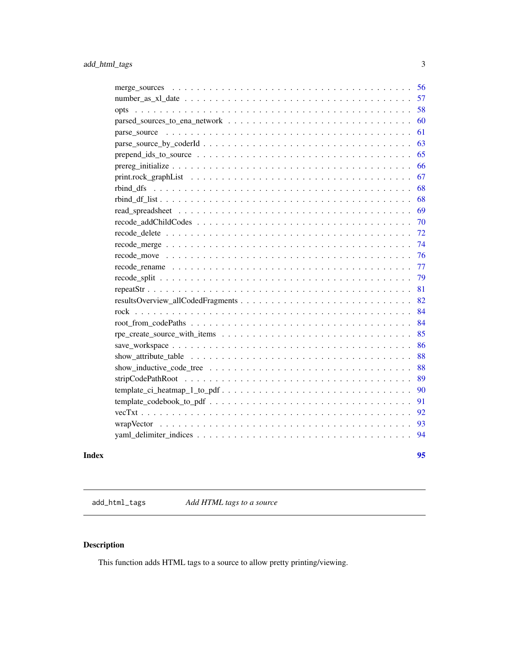<span id="page-2-0"></span>

| 56                                                                                                                   |
|----------------------------------------------------------------------------------------------------------------------|
| 57                                                                                                                   |
| 58                                                                                                                   |
| 60                                                                                                                   |
| 61                                                                                                                   |
| 63                                                                                                                   |
| 65                                                                                                                   |
| 66                                                                                                                   |
| 67                                                                                                                   |
| 68                                                                                                                   |
| 68                                                                                                                   |
| 69                                                                                                                   |
| 70                                                                                                                   |
| 72                                                                                                                   |
| 74                                                                                                                   |
| 76                                                                                                                   |
| 77                                                                                                                   |
| 79                                                                                                                   |
| 81                                                                                                                   |
| 82                                                                                                                   |
| 84                                                                                                                   |
| 84                                                                                                                   |
| 85                                                                                                                   |
| 86                                                                                                                   |
| 88                                                                                                                   |
| 88<br>show_inductive_code_tree $\ldots \ldots \ldots \ldots \ldots \ldots \ldots \ldots \ldots \ldots \ldots \ldots$ |
| 89                                                                                                                   |
| 90                                                                                                                   |
| 91                                                                                                                   |
| 92                                                                                                                   |
| 93                                                                                                                   |
| 94                                                                                                                   |
|                                                                                                                      |

#### **Index** [95](#page-94-0)

add\_html\_tags *Add HTML tags to a source*

# Description

This function adds HTML tags to a source to allow pretty printing/viewing.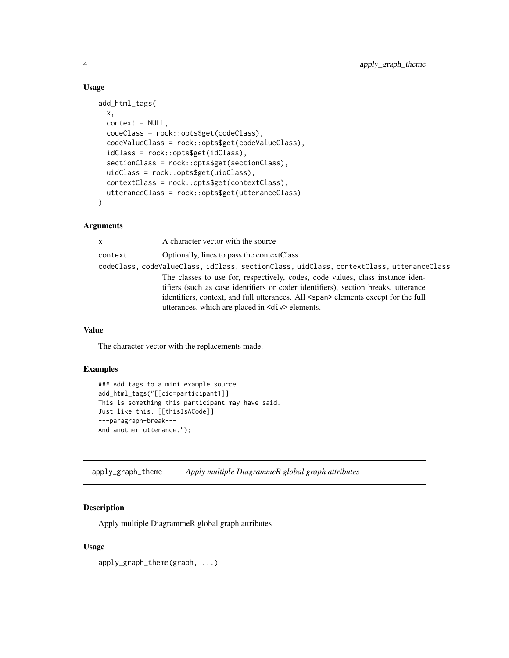#### Usage

```
add_html_tags(
  x,
  context = NULL,
  codeClass = rock::opts$get(codeClass),
  codeValueClass = rock::opts$get(codeValueClass),
  idClass = rock::opts$get(idClass),
  sectionClass = rock::opts$get(sectionClass),
  uidClass = rock::opts$get(uidClass),
  contextClass = rock::opts$get(contextClass),
  utteranceClass = rock::opts$get(utteranceClass)
)
```
#### Arguments

| $\mathsf{x}$ | A character vector with the source                                                        |
|--------------|-------------------------------------------------------------------------------------------|
| context      | Optionally, lines to pass the contextClass                                                |
|              | codeClass, codeValueClass, idClass, sectionClass, uidClass, contextClass, utteranceClass  |
|              | The classes to use for, respectively, codes, code values, class instance iden-            |
|              | tifiers (such as case identifiers or coder identifiers), section breaks, utterance        |
|              | identifiers, context, and full utterances. All <span> elements except for the full</span> |
|              | utterances, which are placed in $\langle \text{div} \rangle$ elements.                    |

#### Value

The character vector with the replacements made.

## Examples

```
### Add tags to a mini example source
add_html_tags("[[cid=participant1]]
This is something this participant may have said.
Just like this. [[thisIsACode]]
---paragraph-break---
And another utterance.");
```
apply\_graph\_theme *Apply multiple DiagrammeR global graph attributes*

## Description

Apply multiple DiagrammeR global graph attributes

#### Usage

apply\_graph\_theme(graph, ...)

<span id="page-3-0"></span>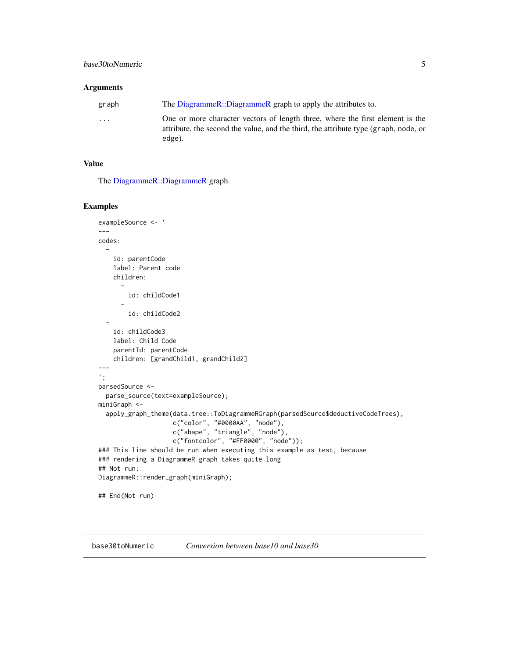#### <span id="page-4-0"></span>Arguments

| graph                   | The DiagrammeR::DiagrammeR graph to apply the attributes to.                                                                                                                   |
|-------------------------|--------------------------------------------------------------------------------------------------------------------------------------------------------------------------------|
| $\cdot$ $\cdot$ $\cdot$ | One or more character vectors of length three, where the first element is the<br>attribute, the second the value, and the third, the attribute type (graph, node, or<br>edge). |

## Value

The [DiagrammeR::DiagrammeR](#page-0-0) graph.

## Examples

```
exampleSource <- '
---
codes:
  -
    id: parentCode
   label: Parent code
   children:
      -
        id: childCode1
      -
        id: childCode2
  -
    id: childCode3
   label: Child Code
   parentId: parentCode
    children: [grandChild1, grandChild2]
---
';
parsedSource <-
  parse_source(text=exampleSource);
miniGraph <-
  apply_graph_theme(data.tree::ToDiagrammeRGraph(parsedSource$deductiveCodeTrees),
                    c("color", "#0000AA", "node"),
                    c("shape", "triangle", "node"),
                    c("fontcolor", "#FF0000", "node"));
### This line should be run when executing this example as test, because
### rendering a DiagrammeR graph takes quite long
## Not run:
DiagrammeR::render_graph(miniGraph);
## End(Not run)
```
base30toNumeric *Conversion between base10 and base30*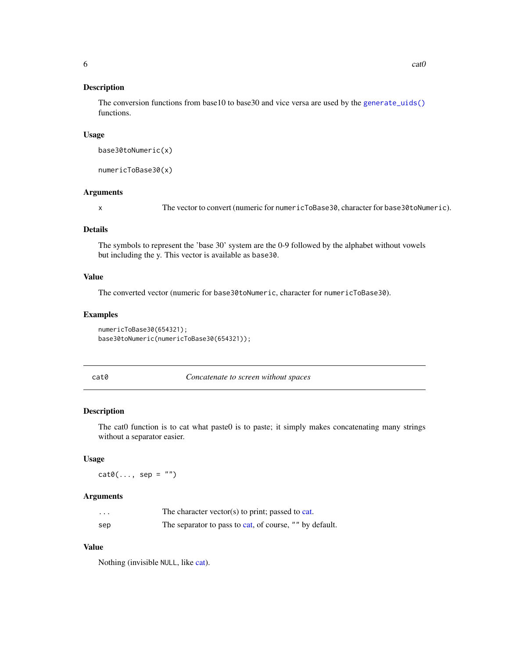#### <span id="page-5-0"></span>Description

The conversion functions from base10 to base30 and vice versa are used by the [generate\\_uids\(\)](#page-44-1) functions.

#### Usage

```
base30toNumeric(x)
```
numericToBase30(x)

#### Arguments

x The vector to convert (numeric for numericToBase30, character for base30toNumeric).

## Details

The symbols to represent the 'base 30' system are the 0-9 followed by the alphabet without vowels but including the y. This vector is available as base30.

## Value

The converted vector (numeric for base30toNumeric, character for numericToBase30).

## Examples

numericToBase30(654321); base30toNumeric(numericToBase30(654321));

| . .<br>M.<br>M.<br>۰.<br>۰,<br>×<br>۰.<br>× |  |  |  |
|---------------------------------------------|--|--|--|
|---------------------------------------------|--|--|--|

Concatenate to screen without spaces

#### Description

The cat0 function is to cat what paste0 is to paste; it simply makes concatenating many strings without a separator easier.

#### Usage

 $cat@(..., sep = "")$ 

#### Arguments

| $\cdots$ | The character vector(s) to print; passed to cat.        |
|----------|---------------------------------------------------------|
| sep      | The separator to pass to cat, of course, "" by default. |

## Value

Nothing (invisible NULL, like [cat\)](#page-0-0).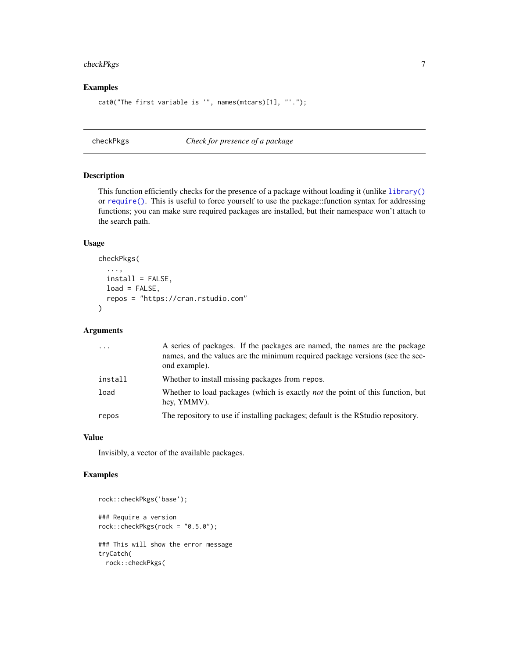## <span id="page-6-0"></span>checkPkgs 7

## Examples

```
cat0("The first variable is '", names(mtcars)[1], "'.");
```
checkPkgs *Check for presence of a package*

#### Description

This function efficiently checks for the presence of a package without loading it (unlike [library\(\)](#page-0-0) or [require\(\)](#page-0-0). This is useful to force yourself to use the package::function syntax for addressing functions; you can make sure required packages are installed, but their namespace won't attach to the search path.

#### Usage

```
checkPkgs(
  ...,
  install = FALSE,
 load = FALSE,
  repos = "https://cran.rstudio.com"
)
```
#### Arguments

| .       | A series of packages. If the packages are named, the names are the package<br>names, and the values are the minimum required package versions (see the sec-<br>ond example). |
|---------|------------------------------------------------------------------------------------------------------------------------------------------------------------------------------|
| install | Whether to install missing packages from repos.                                                                                                                              |
| load    | Whether to load packages (which is exactly <i>not</i> the point of this function, but<br>hey, YMMV).                                                                         |
| repos   | The repository to use if installing packages; default is the RStudio repository.                                                                                             |

#### Value

Invisibly, a vector of the available packages.

## Examples

```
rock::checkPkgs('base');
### Require a version
rock::checkPkgs(rock = "0.5.0");
### This will show the error message
tryCatch(
 rock::checkPkgs(
```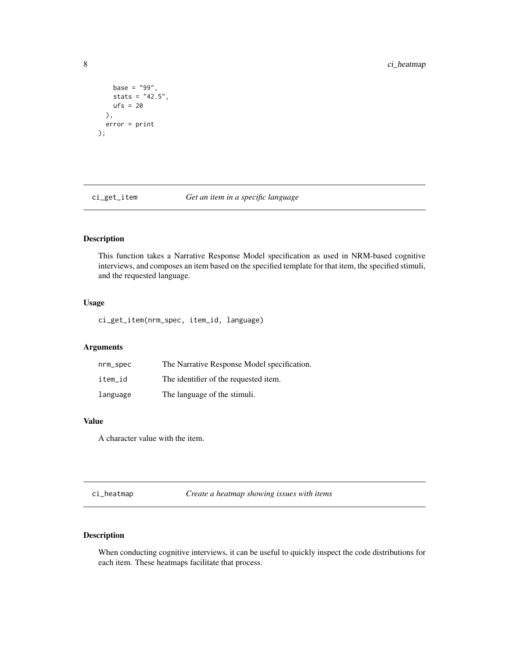```
base = "99",
   stats = "42.5",ufs = 20),
 error = print
);
```
ci\_get\_item *Get an item in a specific language*

# Description

This function takes a Narrative Response Model specification as used in NRM-based cognitive interviews, and composes an item based on the specified template for that item, the specified stimuli, and the requested language.

## Usage

ci\_get\_item(nrm\_spec, item\_id, language)

## Arguments

| nrm_spec | The Narrative Response Model specification. |
|----------|---------------------------------------------|
| item id  | The identifier of the requested item.       |
| language | The language of the stimuli.                |

#### Value

A character value with the item.

ci\_heatmap *Create a heatmap showing issues with items*

## Description

When conducting cognitive interviews, it can be useful to quickly inspect the code distributions for each item. These heatmaps facilitate that process.

<span id="page-7-0"></span>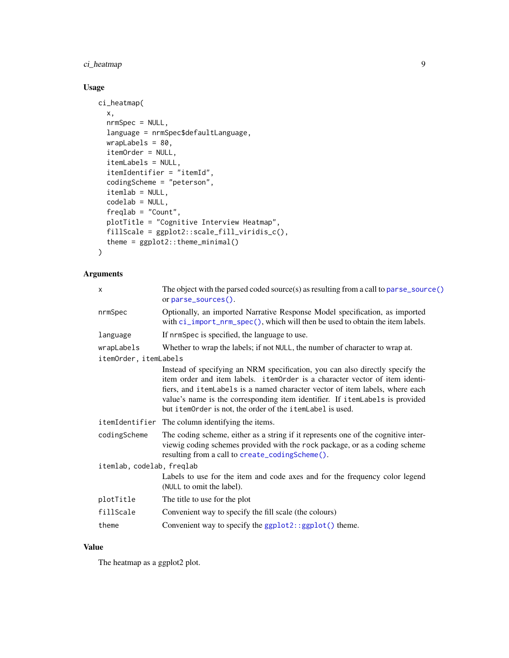# ci\_heatmap 9

# Usage

```
ci_heatmap(
 x,
  nrmSpec = NULL,
  language = nrmSpec$defaultLanguage,
 wrapLabels = 80,
  itemOrder = NULL,
  itemLabels = NULL,
  itemIdentifier = "itemId",
  codingScheme = "peterson",
  itemlab = NULL,
  codelab = NULL,
  freqlab = "Count",
 plotTitle = "Cognitive Interview Heatmap",
 fillScale = ggplot2::scale_fill_viridis_c(),
  theme = ggplot2::theme_minimal()
)
```
# Arguments

| The object with the parsed coded source(s) as resulting from a call to parse_source()<br>or parse_sources().                                                                                                                                                                                                                                                                              |
|-------------------------------------------------------------------------------------------------------------------------------------------------------------------------------------------------------------------------------------------------------------------------------------------------------------------------------------------------------------------------------------------|
| Optionally, an imported Narrative Response Model specification, as imported<br>with ci_import_nrm_spec(), which will then be used to obtain the item labels.                                                                                                                                                                                                                              |
| If nrmSpec is specified, the language to use.                                                                                                                                                                                                                                                                                                                                             |
| Whether to wrap the labels; if not NULL, the number of character to wrap at.                                                                                                                                                                                                                                                                                                              |
| itemOrder, itemLabels                                                                                                                                                                                                                                                                                                                                                                     |
| Instead of specifying an NRM specification, you can also directly specify the<br>item order and item labels. itemOrder is a character vector of item identi-<br>fiers, and itemLabels is a named character vector of item labels, where each<br>value's name is the corresponding item identifier. If itemLabels is provided<br>but itemOrder is not, the order of the itemLabel is used. |
| itemIdentifier The column identifying the items.                                                                                                                                                                                                                                                                                                                                          |
| The coding scheme, either as a string if it represents one of the cognitive inter-<br>viewig coding schemes provided with the rock package, or as a coding scheme<br>resulting from a call to create_codingScheme().                                                                                                                                                                      |
| itemlab, codelab, freqlab                                                                                                                                                                                                                                                                                                                                                                 |
| Labels to use for the item and code axes and for the frequency color legend<br>(NULL to omit the label).                                                                                                                                                                                                                                                                                  |
| The title to use for the plot                                                                                                                                                                                                                                                                                                                                                             |
| Convenient way to specify the fill scale (the colours)                                                                                                                                                                                                                                                                                                                                    |
| Convenient way to specify the $ggplot2::ggplot()$ theme.                                                                                                                                                                                                                                                                                                                                  |
|                                                                                                                                                                                                                                                                                                                                                                                           |

## Value

The heatmap as a ggplot2 plot.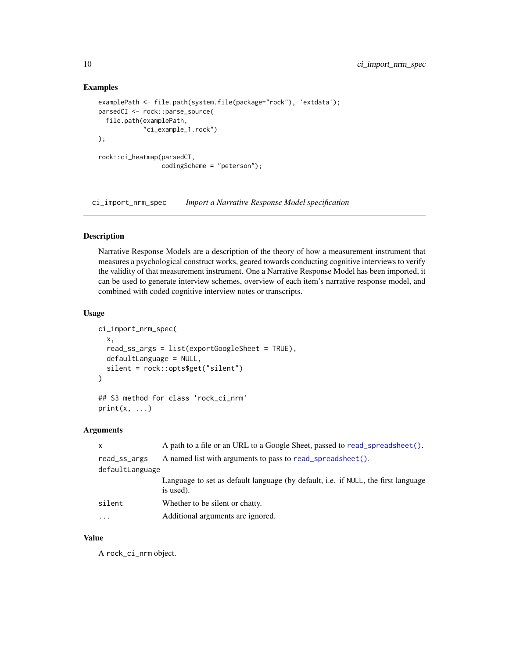#### Examples

```
examplePath <- file.path(system.file(package="rock"), 'extdata');
parsedCI <- rock::parse_source(
  file.path(examplePath,
            "ci_example_1.rock")
);
rock::ci_heatmap(parsedCI,
                 codingScheme = "peterson");
```
<span id="page-9-1"></span>ci\_import\_nrm\_spec *Import a Narrative Response Model specification*

## Description

Narrative Response Models are a description of the theory of how a measurement instrument that measures a psychological construct works, geared towards conducting cognitive interviews to verify the validity of that measurement instrument. One a Narrative Response Model has been imported, it can be used to generate interview schemes, overview of each item's narrative response model, and combined with coded cognitive interview notes or transcripts.

#### Usage

```
ci_import_nrm_spec(
  x,
  read_ss_args = list(exportGoogleSheet = TRUE),
  defaultLanguage = NULL,
  silent = rock::opts$get("silent")
)
## S3 method for class 'rock_ci_nrm'
```

```
print(x, \ldots)
```
## Arguments

| $\mathsf{x}$    | A path to a file or an URL to a Google Sheet, passed to read_spreadsheet().                    |
|-----------------|------------------------------------------------------------------------------------------------|
| read_ss_args    | A named list with arguments to pass to read_spreadsheet().                                     |
| defaultLanguage |                                                                                                |
|                 | Language to set as default language (by default, i.e. if NULL, the first language<br>is used). |
| silent          | Whether to be silent or chatty.                                                                |
|                 | Additional arguments are ignored.                                                              |

#### Value

A rock\_ci\_nrm object.

<span id="page-9-0"></span>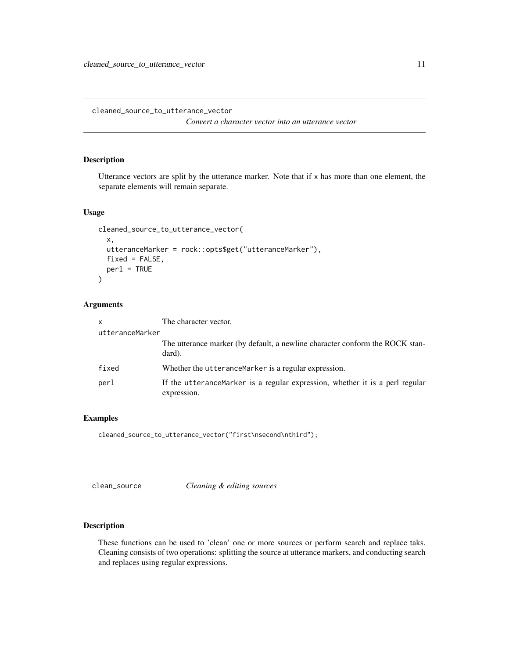<span id="page-10-0"></span>cleaned\_source\_to\_utterance\_vector

*Convert a character vector into an utterance vector*

## Description

Utterance vectors are split by the utterance marker. Note that if x has more than one element, the separate elements will remain separate.

#### Usage

```
cleaned_source_to_utterance_vector(
  x,
  utteranceMarker = rock::opts$get("utteranceMarker"),
  fixed = FALSE,per1 = TRUE\mathcal{L}
```
#### Arguments

| $\mathsf{x}$    | The character vector.                                                                       |
|-----------------|---------------------------------------------------------------------------------------------|
| utteranceMarker |                                                                                             |
|                 | The utterance marker (by default, a newline character conform the ROCK stan-<br>dard).      |
| fixed           | Whether the utteranceMarker is a regular expression.                                        |
| perl            | If the utteranceMarker is a regular expression, whether it is a perl regular<br>expression. |

#### Examples

cleaned\_source\_to\_utterance\_vector("first\nsecond\nthird");

clean\_source *Cleaning & editing sources*

## Description

These functions can be used to 'clean' one or more sources or perform search and replace taks. Cleaning consists of two operations: splitting the source at utterance markers, and conducting search and replaces using regular expressions.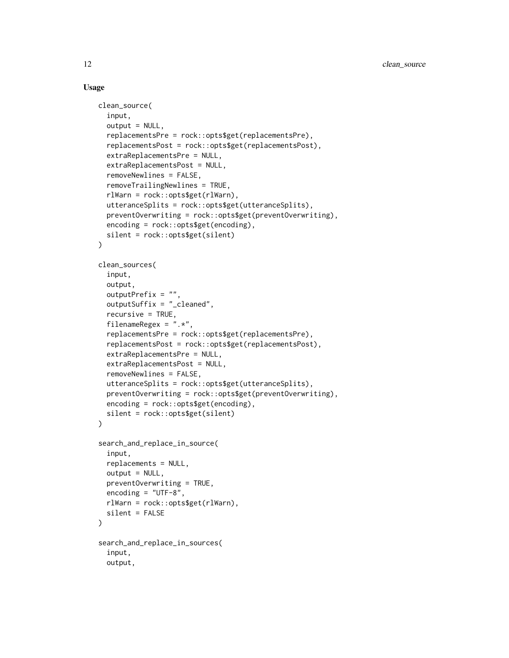#### Usage

```
clean_source(
  input,
  output = NULL,replacementsPre = rock::opts$get(replacementsPre),
  replacementsPost = rock::opts$get(replacementsPost),
  extraReplacementsPre = NULL,
  extraReplacementsPost = NULL,
  removeNewlines = FALSE,
  removeTrailingNewlines = TRUE,
  rlWarn = rock::opts$get(rlWarn),
  utteranceSplits = rock::opts$get(utteranceSplits),
  preventOverwriting = rock::opts$get(preventOverwriting),
  encoding = rock::opts$get(encoding),
  silent = rock::opts$get(silent)
)
clean_sources(
  input,
  output,
  outputPrefix = "",
  outputSuffix = "_cleaned",
  recursively = TRUE,filenameRegex = ".*",
  replacementsPre = rock::opts$get(replacementsPre),
  replacementsPost = rock::opts$get(replacementsPost),
  extraReplacementsPre = NULL,
  extraReplacementsPost = NULL,
  removeNewlines = FALSE,
  utteranceSplits = rock::opts$get(utteranceSplits),
  preventOverwriting = rock::opts$get(preventOverwriting),
  encoding = rock::opts$get(encoding),
  silent = rock::opts$get(silent)
\mathcal{L}search_and_replace_in_source(
  input,
  replacements = NULL,
  output = NULL,preventOverwriting = TRUE,
  encoding = "UTF-8",rlWarn = rock::opts$get(rlWarn),
  silent = FALSE
)
search_and_replace_in_sources(
  input,
  output,
```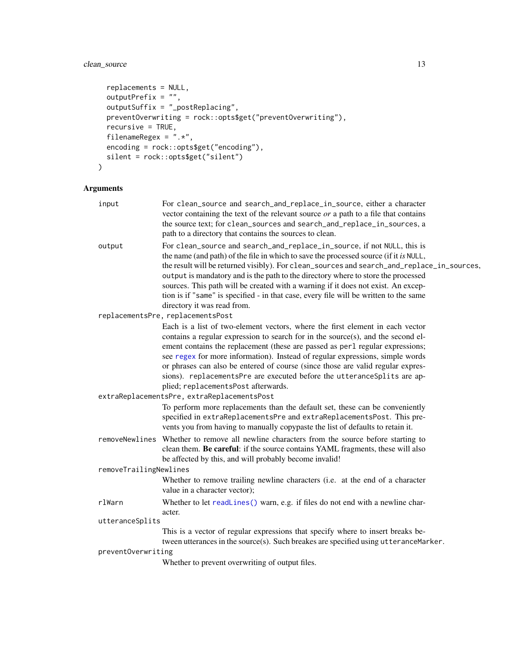# clean\_source 13

```
replacements = NULL,
 outputPrefix = "",outputSuffix = "_postReplacing",
 preventOverwriting = rock::opts$get("preventOverwriting"),
 recursive = TRUE,
 filenameRegex = ".*",
 encoding = rock::opts$get("encoding"),
 silent = rock::opts$get("silent")
\mathcal{L}
```

| input                  | For clean_source and search_and_replace_in_source, either a character<br>vector containing the text of the relevant source $or$ a path to a file that contains<br>the source text; for clean_sources and search_and_replace_in_sources, a<br>path to a directory that contains the sources to clean.                                                                                                                                                                                                                                                             |  |
|------------------------|------------------------------------------------------------------------------------------------------------------------------------------------------------------------------------------------------------------------------------------------------------------------------------------------------------------------------------------------------------------------------------------------------------------------------------------------------------------------------------------------------------------------------------------------------------------|--|
| output                 | For clean_source and search_and_replace_in_source, if not NULL, this is<br>the name (and path) of the file in which to save the processed source (if it is NULL,<br>the result will be returned visibly). For clean_sources and search_and_replace_in_sources,<br>output is mandatory and is the path to the directory where to store the processed<br>sources. This path will be created with a warning if it does not exist. An excep-<br>tion is if "same" is specified - in that case, every file will be written to the same<br>directory it was read from. |  |
|                        | replacementsPre, replacementsPost                                                                                                                                                                                                                                                                                                                                                                                                                                                                                                                                |  |
|                        | Each is a list of two-element vectors, where the first element in each vector<br>contains a regular expression to search for in the source(s), and the second el-<br>ement contains the replacement (these are passed as perl regular expressions;<br>see regex for more information). Instead of regular expressions, simple words<br>or phrases can also be entered of course (since those are valid regular expres-<br>sions). replacementsPre are executed before the utteranceSplits are ap-<br>plied; replacementsPost afterwards.                         |  |
|                        | extraReplacementsPre, extraReplacementsPost                                                                                                                                                                                                                                                                                                                                                                                                                                                                                                                      |  |
|                        | To perform more replacements than the default set, these can be conveniently<br>specified in extraReplacementsPre and extraReplacementsPost. This pre-<br>vents you from having to manually copypaste the list of defaults to retain it.                                                                                                                                                                                                                                                                                                                         |  |
|                        | removeNewlines Whether to remove all newline characters from the source before starting to<br>clean them. Be careful: if the source contains YAML fragments, these will also<br>be affected by this, and will probably become invalid!                                                                                                                                                                                                                                                                                                                           |  |
| removeTrailingNewlines |                                                                                                                                                                                                                                                                                                                                                                                                                                                                                                                                                                  |  |
|                        | Whether to remove trailing newline characters (i.e. at the end of a character<br>value in a character vector);                                                                                                                                                                                                                                                                                                                                                                                                                                                   |  |
| rlWarn                 | Whether to let readLines() warn, e.g. if files do not end with a newline char-<br>acter.                                                                                                                                                                                                                                                                                                                                                                                                                                                                         |  |
| utteranceSplits        |                                                                                                                                                                                                                                                                                                                                                                                                                                                                                                                                                                  |  |
|                        | This is a vector of regular expressions that specify where to insert breaks be-<br>tween utterances in the source(s). Such breakes are specified using utteranceMarker.                                                                                                                                                                                                                                                                                                                                                                                          |  |
| preventOverwriting     | Whether to prevent overwriting of output files.                                                                                                                                                                                                                                                                                                                                                                                                                                                                                                                  |  |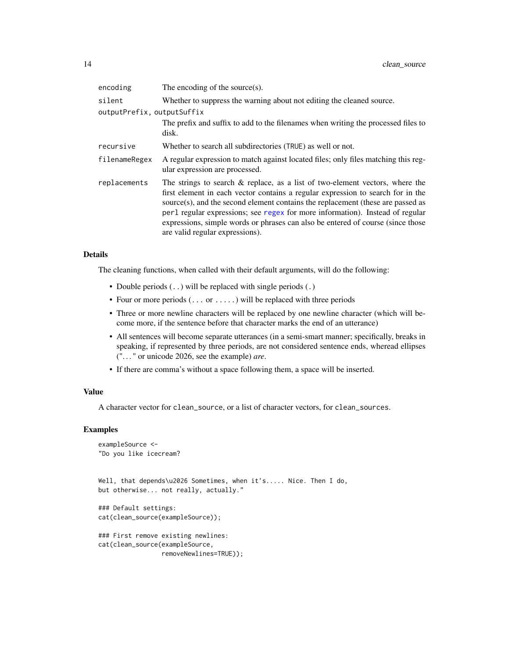| encoding                   | The encoding of the source $(s)$ .                                                                                                                                                                                                                                                                                                                                                                                                                            |
|----------------------------|---------------------------------------------------------------------------------------------------------------------------------------------------------------------------------------------------------------------------------------------------------------------------------------------------------------------------------------------------------------------------------------------------------------------------------------------------------------|
| silent                     | Whether to suppress the warning about not editing the cleaned source.                                                                                                                                                                                                                                                                                                                                                                                         |
| outputPrefix, outputSuffix |                                                                                                                                                                                                                                                                                                                                                                                                                                                               |
|                            | The prefix and suffix to add to the filenames when writing the processed files to<br>disk.                                                                                                                                                                                                                                                                                                                                                                    |
| recursive                  | Whether to search all subdirectories (TRUE) as well or not.                                                                                                                                                                                                                                                                                                                                                                                                   |
| filenameRegex              | A regular expression to match against located files; only files matching this reg-<br>ular expression are processed.                                                                                                                                                                                                                                                                                                                                          |
| replacements               | The strings to search $\&$ replace, as a list of two-element vectors, where the<br>first element in each vector contains a regular expression to search for in the<br>source(s), and the second element contains the replacement (these are passed as<br>per l regular expressions; see regex for more information). Instead of regular<br>expressions, simple words or phrases can also be entered of course (since those<br>are valid regular expressions). |

#### Details

The cleaning functions, when called with their default arguments, will do the following:

- Double periods  $(.)$  will be replaced with single periods  $(.)$
- Four or more periods  $(\ldots$  or  $\ldots$  ) will be replaced with three periods
- Three or more newline characters will be replaced by one newline character (which will become more, if the sentence before that character marks the end of an utterance)
- All sentences will become separate utterances (in a semi-smart manner; specifically, breaks in speaking, if represented by three periods, are not considered sentence ends, wheread ellipses (". . . " or unicode 2026, see the example) *are*.
- If there are comma's without a space following them, a space will be inserted.

#### Value

A character vector for clean\_source, or a list of character vectors, for clean\_sources.

## Examples

```
exampleSource <-
"Do you like icecream?
```
Well, that depends\u2026 Sometimes, when it's..... Nice. Then I do, but otherwise... not really, actually."

```
### Default settings:
cat(clean_source(exampleSource));
```

```
### First remove existing newlines:
cat(clean_source(exampleSource,
                removeNewlines=TRUE));
```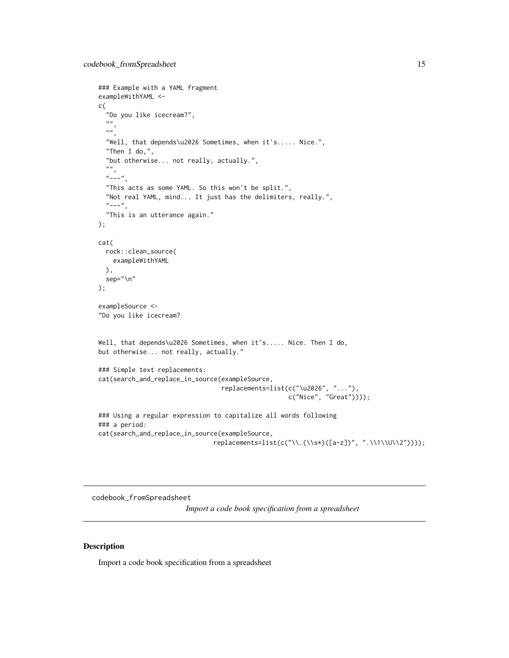```
### Example with a YAML fragment
exampleWithYAML <-
c(
  "Do you like icecream?",
  ",
  ",
  "Well, that depends\u2026 Sometimes, when it's..... Nice.",
  "Then I do,",
  "but otherwise... not really, actually.",
  "",
  "---""This acts as some YAML. So this won't be split.",
  "Not real YAML, mind... It just has the delimiters, really.",
  "---",
  "This is an utterance again."
);
cat(
  rock::clean_source(
   exampleWithYAML
 ),
  sep="\n"
);
exampleSource <-
"Do you like icecream?
Well, that depends\u2026 Sometimes, when it's..... Nice. Then I do,
but otherwise... not really, actually."
### Simple text replacements:
cat(search_and_replace_in_source(exampleSource,
                                 replacements=list(c("\u2026", "..."),
                                                   c("Nice", "Great"))));
### Using a regular expression to capitalize all words following
### a period:
cat(search_and_replace_in_source(exampleSource,
                               replacements=list(c("\\.(\\s*)([a-z])", ".\\1\\U\\2"))));
```
<span id="page-14-1"></span>codebook\_fromSpreadsheet

*Import a code book specification from a spreadsheet*

#### Description

Import a code book specification from a spreadsheet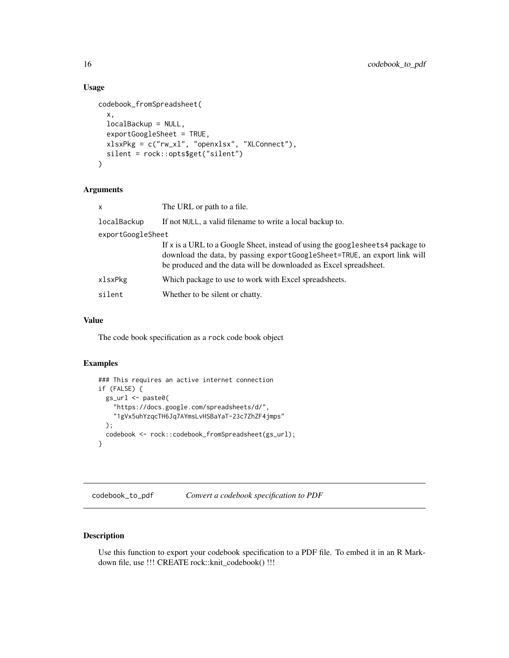#### Usage

```
codebook_fromSpreadsheet(
  x,
  localBackup = NULL,
  exportGoogleSheet = TRUE,
 xlsxPkg = c("rw_xl", "openxlsx", "XLConnect"),
  silent = rock::opts$get("silent")
)
```
## Arguments

| x                 | The URL or path to a file.                                                                                                                                                                                                       |
|-------------------|----------------------------------------------------------------------------------------------------------------------------------------------------------------------------------------------------------------------------------|
| localBackup       | If not NULL, a valid filename to write a local backup to.                                                                                                                                                                        |
| exportGoogleSheet |                                                                                                                                                                                                                                  |
|                   | If x is a URL to a Google Sheet, instead of using the googlesheets4 package to<br>download the data, by passing exportGoogleSheet=TRUE, an export link will<br>be produced and the data will be downloaded as Excel spreadsheet. |
| xlsxPkg           | Which package to use to work with Excel spreadsheets.                                                                                                                                                                            |
| silent            | Whether to be silent or chatty.                                                                                                                                                                                                  |
|                   |                                                                                                                                                                                                                                  |

## Value

The code book specification as a rock code book object

#### Examples

```
### This requires an active internet connection
if (FALSE) {
  gs_url <- paste0(
    "https://docs.google.com/spreadsheets/d/",
    "1gVx5uhYzqcTH6Jq7AYmsLvHSBaYaT-23c7ZhZF4jmps"
  );
  codebook <- rock::codebook_fromSpreadsheet(gs_url);
}
```
codebook\_to\_pdf *Convert a codebook specification to PDF*

## Description

Use this function to export your codebook specification to a PDF file. To embed it in an R Markdown file, use !!! CREATE rock::knit\_codebook() !!!

<span id="page-15-0"></span>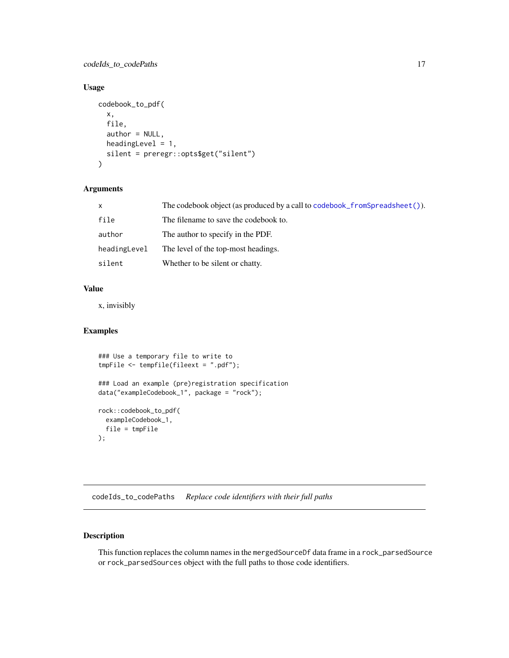## <span id="page-16-0"></span>codeIds\_to\_codePaths 17

## Usage

```
codebook_to_pdf(
  x,
  file,
  author = NULL,
  headingLevel = 1,
  silent = preregr::opts$get("silent")
)
```
## Arguments

| X            | The codebook object (as produced by a call to codebook_fromSpreadsheet()). |
|--------------|----------------------------------------------------------------------------|
| file         | The filename to save the codebook to.                                      |
| author       | The author to specify in the PDF.                                          |
| headingLevel | The level of the top-most headings.                                        |
| silent       | Whether to be silent or chatty.                                            |

# Value

x, invisibly

#### Examples

```
### Use a temporary file to write to
tmpFile <- tempfile(fileext = ".pdf");
### Load an example (pre)registration specification
data("exampleCodebook_1", package = "rock");
rock::codebook_to_pdf(
  exampleCodebook_1,
  file = tmpFile
);
```
codeIds\_to\_codePaths *Replace code identifiers with their full paths*

## Description

This function replaces the column names in the mergedSourceDf data frame in a rock\_parsedSource or rock\_parsedSources object with the full paths to those code identifiers.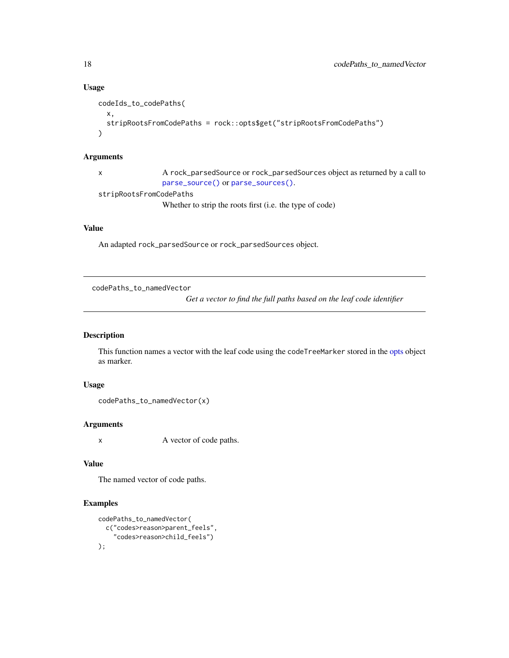#### Usage

```
codeIds_to_codePaths(
  x,
  stripRootsFromCodePaths = rock::opts$get("stripRootsFromCodePaths")
)
```
#### Arguments

x A rock\_parsedSource or rock\_parsedSources object as returned by a call to [parse\\_source\(\)](#page-60-1) or [parse\\_sources\(\)](#page-60-2).

stripRootsFromCodePaths

Whether to strip the roots first (i.e. the type of code)

## Value

An adapted rock\_parsedSource or rock\_parsedSources object.

codePaths\_to\_namedVector

*Get a vector to find the full paths based on the leaf code identifier*

#### Description

This function names a vector with the leaf code using the codeTreeMarker stored in the [opts](#page-57-1) object as marker.

## Usage

```
codePaths_to_namedVector(x)
```
## Arguments

x A vector of code paths.

## Value

The named vector of code paths.

## Examples

```
codePaths_to_namedVector(
  c("codes>reason>parent_feels",
    "codes>reason>child_feels")
);
```
<span id="page-17-0"></span>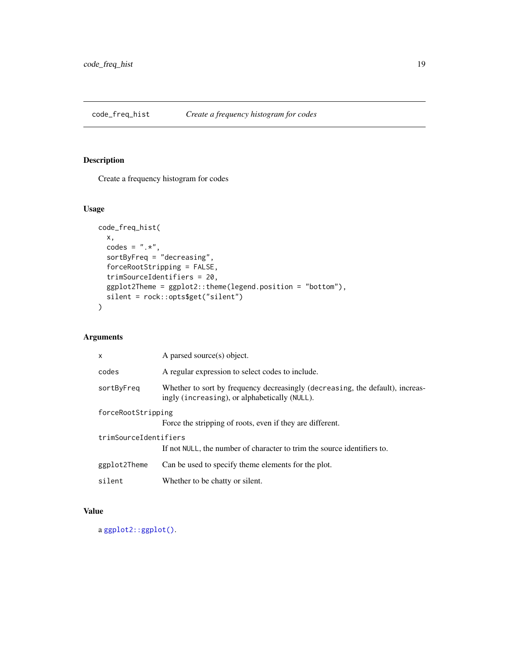<span id="page-18-0"></span>

## Description

Create a frequency histogram for codes

## Usage

```
code_freq_hist(
 x,
 codes = ", *",sortByFreq = "decreasing",
  forceRootStripping = FALSE,
  trimSourceIdentifiers = 20,
 ggplot2Theme = ggplot2::theme(legend.position = "bottom"),
 silent = rock::opts$get("silent")
\mathcal{L}
```
## Arguments

| $\mathsf{x}$          | A parsed source(s) object.                                                                                                     |  |
|-----------------------|--------------------------------------------------------------------------------------------------------------------------------|--|
| codes                 | A regular expression to select codes to include.                                                                               |  |
| sortByFreq            | Whether to sort by frequency decreasingly (decreasing, the default), increas-<br>ingly (increasing), or alphabetically (NULL). |  |
| forceRootStripping    |                                                                                                                                |  |
|                       | Force the stripping of roots, even if they are different.                                                                      |  |
| trimSourceIdentifiers |                                                                                                                                |  |
|                       | If not NULL, the number of character to trim the source identifiers to.                                                        |  |
| ggplot2Theme          | Can be used to specify theme elements for the plot.                                                                            |  |
| silent                | Whether to be chatty or silent.                                                                                                |  |

## Value

a [ggplot2::ggplot\(\)](#page-0-0).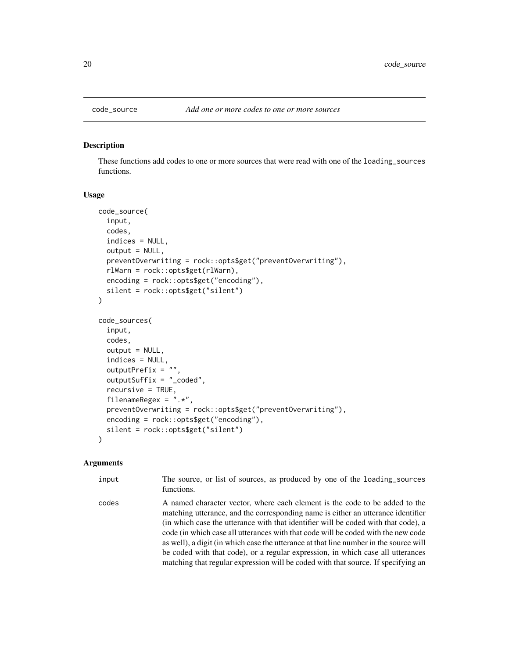<span id="page-19-0"></span>

#### **Description**

These functions add codes to one or more sources that were read with one of the loading\_sources functions.

#### Usage

```
code_source(
  input,
  codes,
  indices = NULL,
  output = NULL,preventOverwriting = rock::opts$get("preventOverwriting"),
  rlWarn = rock::opts$get(rlWarn),
  encoding = rock::opts$get("encoding"),
  silent = rock::opts$get("silent")
)
code_sources(
  input,
  codes,
  output = NULL,indices = NULL,
  outputPrefix = "",
  outputSuffix = "_coded",
  recursive = TRUE,
  filenameRegex = ".**",
  preventOverwriting = rock::opts$get("preventOverwriting"),
  encoding = rock::opts$get("encoding"),
  silent = rock::opts$get("silent")
)
```
#### Arguments

input The source, or list of sources, as produced by one of the loading\_sources functions. codes A named character vector, where each element is the code to be added to the matching utterance, and the corresponding name is either an utterance identifier (in which case the utterance with that identifier will be coded with that code), a code (in which case all utterances with that code will be coded with the new code as well), a digit (in which case the utterance at that line number in the source will be coded with that code), or a regular expression, in which case all utterances

matching that regular expression will be coded with that source. If specifying an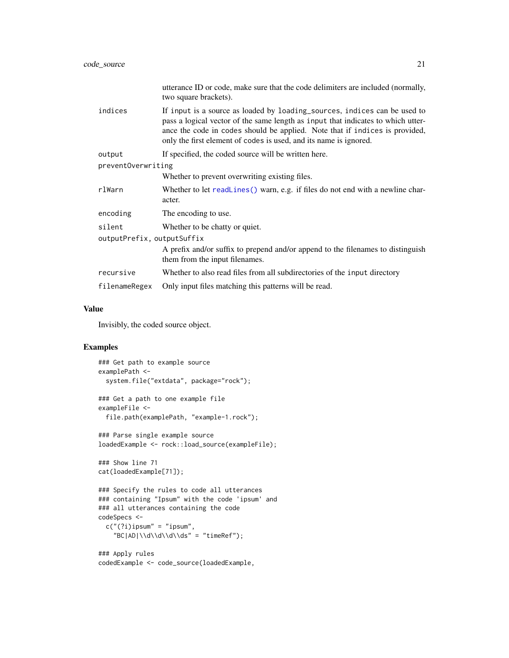|                            | utterance ID or code, make sure that the code delimiters are included (normally,<br>two square brackets).                                                                                                                                                                                                         |  |
|----------------------------|-------------------------------------------------------------------------------------------------------------------------------------------------------------------------------------------------------------------------------------------------------------------------------------------------------------------|--|
| indices                    | If input is a source as loaded by loading_sources, indices can be used to<br>pass a logical vector of the same length as input that indicates to which utter-<br>ance the code in codes should be applied. Note that if indices is provided,<br>only the first element of codes is used, and its name is ignored. |  |
| output                     | If specified, the coded source will be written here.                                                                                                                                                                                                                                                              |  |
| preventOverwriting         |                                                                                                                                                                                                                                                                                                                   |  |
|                            | Whether to prevent overwriting existing files.                                                                                                                                                                                                                                                                    |  |
| rlWarn                     | Whether to let readLines () warn, e.g. if files do not end with a newline char-<br>acter.                                                                                                                                                                                                                         |  |
| encoding                   | The encoding to use.                                                                                                                                                                                                                                                                                              |  |
| silent                     | Whether to be chatty or quiet.                                                                                                                                                                                                                                                                                    |  |
| outputPrefix, outputSuffix |                                                                                                                                                                                                                                                                                                                   |  |
|                            | A prefix and/or suffix to prepend and/or append to the filenames to distinguish<br>them from the input filenames.                                                                                                                                                                                                 |  |
| recursive                  | Whether to also read files from all subdirectories of the input directory                                                                                                                                                                                                                                         |  |
| filenameRegex              | Only input files matching this patterns will be read.                                                                                                                                                                                                                                                             |  |

#### Value

Invisibly, the coded source object.

### Examples

```
### Get path to example source
examplePath <-
  system.file("extdata", package="rock");
### Get a path to one example file
exampleFile <-
  file.path(examplePath, "example-1.rock");
### Parse single example source
loadedExample <- rock::load_source(exampleFile);
### Show line 71
cat(loadedExample[71]);
### Specify the rules to code all utterances
### containing "Ipsum" with the code 'ipsum' and
### all utterances containing the code
codeSpecs <-
  c("(?i)ipsum" = "ipsum","BC|AD|\\d\\d\\d\\ds" = "timeRef");
### Apply rules
codedExample <- code_source(loadedExample,
```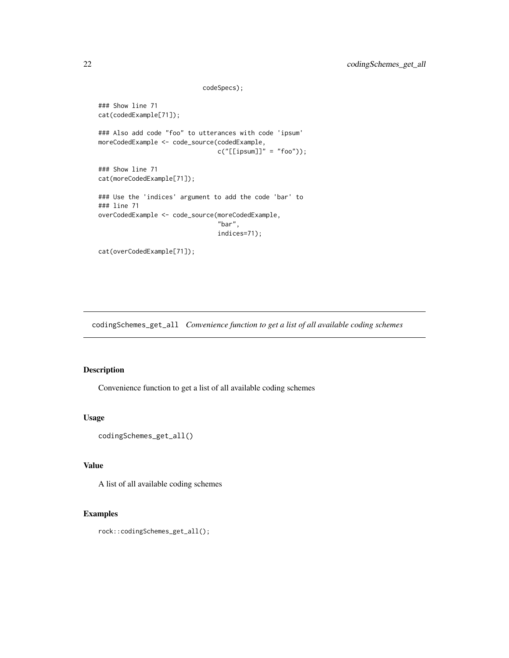```
### Show line 71
cat(codedExample[71]);
### Also add code "foo" to utterances with code 'ipsum'
moreCodedExample <- code_source(codedExample,
                                c("[[ipsum]]" = "foo");
### Show line 71
cat(moreCodedExample[71]);
### Use the 'indices' argument to add the code 'bar' to
### line 71
overCodedExample <- code_source(moreCodedExample,
                                "bar",
                                indices=71);
```
codeSpecs);

cat(overCodedExample[71]);

codingSchemes\_get\_all *Convenience function to get a list of all available coding schemes*

## Description

Convenience function to get a list of all available coding schemes

#### Usage

```
codingSchemes_get_all()
```
# Value

A list of all available coding schemes

## Examples

rock::codingSchemes\_get\_all();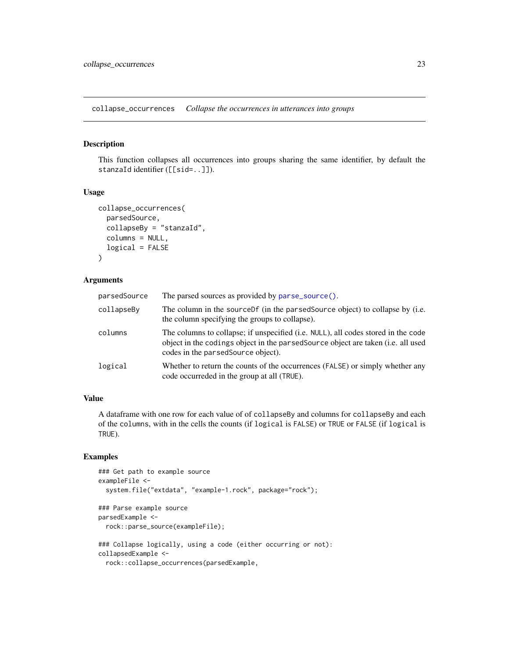<span id="page-22-0"></span>collapse\_occurrences *Collapse the occurrences in utterances into groups*

#### Description

This function collapses all occurrences into groups sharing the same identifier, by default the stanzaId identifier ([[sid=..]]).

#### Usage

```
collapse_occurrences(
  parsedSource,
  collapseBy = "stanzaId",
  columns = NULL,
  logical = FALSE)
```
#### Arguments

| parsedSource | The parsed sources as provided by parse_source().                                                                                                                                                             |
|--------------|---------------------------------------------------------------------------------------------------------------------------------------------------------------------------------------------------------------|
| collapseBy   | The column in the source of (in the parsed Source object) to collapse by (i.e.<br>the column specifying the groups to collapse).                                                                              |
| columns      | The columns to collapse; if unspecified (i.e. NULL), all codes stored in the code<br>object in the codings object in the parsed Source object are taken (i.e. all used<br>codes in the parsed Source object). |
| logical      | Whether to return the counts of the occurrences (FALSE) or simply whether any<br>code occurreded in the group at all (TRUE).                                                                                  |

### Value

A dataframe with one row for each value of of collapseBy and columns for collapseBy and each of the columns, with in the cells the counts (if logical is FALSE) or TRUE or FALSE (if logical is TRUE).

## Examples

```
### Get path to example source
exampleFile <-
  system.file("extdata", "example-1.rock", package="rock");
### Parse example source
parsedExample <-
  rock::parse_source(exampleFile);
### Collapse logically, using a code (either occurring or not):
collapsedExample <-
  rock::collapse_occurrences(parsedExample,
```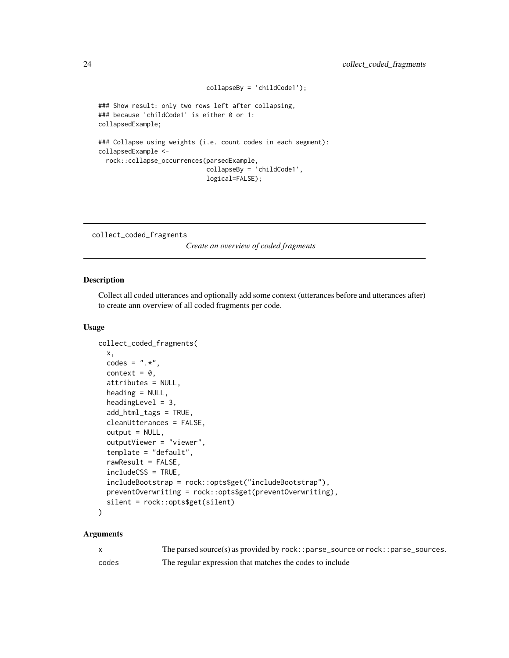```
collapseBy = 'childCode1');
### Show result: only two rows left after collapsing,
### because 'childCode1' is either 0 or 1:
collapsedExample;
### Collapse using weights (i.e. count codes in each segment):
collapsedExample <-
  rock::collapse_occurrences(parsedExample,
                             collapseBy = 'childCode1',
                             logical=FALSE);
```
collect\_coded\_fragments

*Create an overview of coded fragments*

#### Description

Collect all coded utterances and optionally add some context (utterances before and utterances after) to create ann overview of all coded fragments per code.

#### Usage

```
collect_coded_fragments(
  x,
  codes = ".*",context = 0,
  attributes = NULL,
  heading = NULL,
  headingLevel = 3,
  add_html_tags = TRUE,
  cleanUtterances = FALSE,
  output = NULL,outputViewer = "viewer",
  template = "default",
  rawResult = FALSE,includeCSS = TRUE,
  includeBootstrap = rock::opts$get("includeBootstrap"),
  preventOverwriting = rock::opts$get(preventOverwriting),
  silent = rock::opts$get(silent)
\mathcal{L}
```

|       | The parsed source(s) as provided by $rock$ : : parse_source or $rock$ : : parse_sources. |
|-------|------------------------------------------------------------------------------------------|
| codes | The regular expression that matches the codes to include                                 |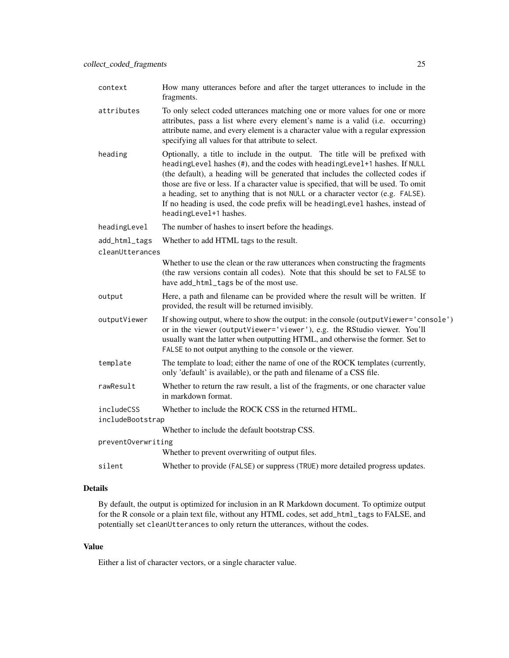| context                        | How many utterances before and after the target utterances to include in the<br>fragments.                                                                                                                                                                                                                                                                                                                                                                                                                                              |
|--------------------------------|-----------------------------------------------------------------------------------------------------------------------------------------------------------------------------------------------------------------------------------------------------------------------------------------------------------------------------------------------------------------------------------------------------------------------------------------------------------------------------------------------------------------------------------------|
| attributes                     | To only select coded utterances matching one or more values for one or more<br>attributes, pass a list where every element's name is a valid (i.e. occurring)<br>attribute name, and every element is a character value with a regular expression<br>specifying all values for that attribute to select.                                                                                                                                                                                                                                |
| heading                        | Optionally, a title to include in the output. The title will be prefixed with<br>headingLevel hashes (#), and the codes with headingLevel+1 hashes. If NULL<br>(the default), a heading will be generated that includes the collected codes if<br>those are five or less. If a character value is specified, that will be used. To omit<br>a heading, set to anything that is not NULL or a character vector (e.g. FALSE).<br>If no heading is used, the code prefix will be heading Level hashes, instead of<br>headingLevel+1 hashes. |
| headingLevel                   | The number of hashes to insert before the headings.                                                                                                                                                                                                                                                                                                                                                                                                                                                                                     |
| add_html_tags                  | Whether to add HTML tags to the result.                                                                                                                                                                                                                                                                                                                                                                                                                                                                                                 |
| cleanUtterances                |                                                                                                                                                                                                                                                                                                                                                                                                                                                                                                                                         |
|                                | Whether to use the clean or the raw utterances when constructing the fragments<br>(the raw versions contain all codes). Note that this should be set to FALSE to<br>have add_html_tags be of the most use.                                                                                                                                                                                                                                                                                                                              |
| output                         | Here, a path and filename can be provided where the result will be written. If<br>provided, the result will be returned invisibly.                                                                                                                                                                                                                                                                                                                                                                                                      |
| outputViewer                   | If showing output, where to show the output: in the console (outputViewer='console')<br>or in the viewer (outputViewer='viewer'), e.g. the RStudio viewer. You'll<br>usually want the latter when outputting HTML, and otherwise the former. Set to<br>FALSE to not output anything to the console or the viewer.                                                                                                                                                                                                                       |
| template                       | The template to load; either the name of one of the ROCK templates (currently,<br>only 'default' is available), or the path and filename of a CSS file.                                                                                                                                                                                                                                                                                                                                                                                 |
| rawResult                      | Whether to return the raw result, a list of the fragments, or one character value<br>in markdown format.                                                                                                                                                                                                                                                                                                                                                                                                                                |
| includeCSS<br>includeBootstrap | Whether to include the ROCK CSS in the returned HTML.                                                                                                                                                                                                                                                                                                                                                                                                                                                                                   |
|                                | Whether to include the default bootstrap CSS.                                                                                                                                                                                                                                                                                                                                                                                                                                                                                           |
| preventOverwriting             |                                                                                                                                                                                                                                                                                                                                                                                                                                                                                                                                         |
|                                | Whether to prevent overwriting of output files.                                                                                                                                                                                                                                                                                                                                                                                                                                                                                         |
| silent                         | Whether to provide (FALSE) or suppress (TRUE) more detailed progress updates.                                                                                                                                                                                                                                                                                                                                                                                                                                                           |

#### Details

By default, the output is optimized for inclusion in an R Markdown document. To optimize output for the R console or a plain text file, without any HTML codes, set add\_html\_tags to FALSE, and potentially set cleanUtterances to only return the utterances, without the codes.

#### Value

Either a list of character vectors, or a single character value.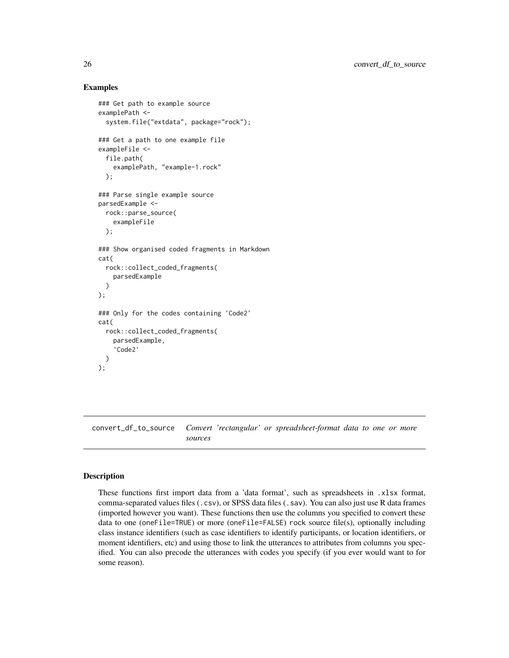## Examples

```
### Get path to example source
examplePath <-
 system.file("extdata", package="rock");
### Get a path to one example file
exampleFile <-
 file.path(
    examplePath, "example-1.rock"
 );
### Parse single example source
parsedExample <-
 rock::parse_source(
    exampleFile
 );
### Show organised coded fragments in Markdown
cat(
 rock::collect_coded_fragments(
    parsedExample
 \lambda);
### Only for the codes containing 'Code2'
cat(
 rock::collect_coded_fragments(
    parsedExample,
    'Code2'
 )
);
```
convert\_df\_to\_source *Convert 'rectangular' or spreadsheet-format data to one or more sources*

# Description

These functions first import data from a 'data format', such as spreadsheets in .xlsx format, comma-separated values files (.csv), or SPSS data files (.sav). You can also just use R data frames (imported however you want). These functions then use the columns you specified to convert these data to one (oneFile=TRUE) or more (oneFile=FALSE) rock source file(s), optionally including class instance identifiers (such as case identifiers to identify participants, or location identifiers, or moment identifiers, etc) and using those to link the utterances to attributes from columns you specified. You can also precode the utterances with codes you specify (if you ever would want to for some reason).

<span id="page-25-0"></span>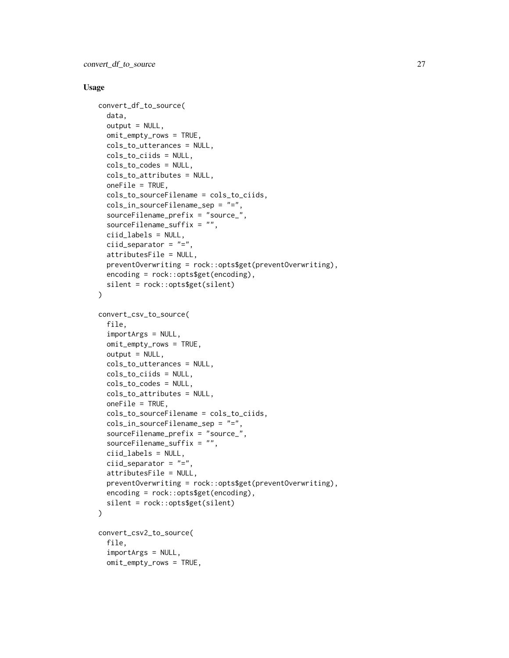#### Usage

```
convert_df_to_source(
  data,
  output = NULL,omit_empty_rows = TRUE,
  cols_to_utterances = NULL,
  cols_to_ciids = NULL,
  cols_to_codes = NULL,
  cols_to_attributes = NULL,
  oneFile = TRUE,
  cols_to_sourceFilename = cols_to_ciids,
  cols_in_sourceFilename_sep = "=",
  sourceFilename_prefix = "source_",
  sourceFilename_suffix = "",
  ciid_labels = NULL,
  ciid_separator = "=",
  attributesFile = NULL,
  preventOverwriting = rock::opts$get(preventOverwriting),
  encoding = rock::opts$get(encoding),
  silent = rock::opts$get(silent)
)
convert_csv_to_source(
  file,
  importArgs = NULL,
  omit_empty_rows = TRUE,
  output = NULL,cols_to_utterances = NULL,
  cols_to_ciids = NULL,
  cols_to_codes = NULL,
  cols_to_attributes = NULL,
  oneFile = TRUE,
  cols_to_sourceFilename = cols_to_ciids,
  cols_in_sourceFilename_sep = "=",
  sourceFilename_prefix = "source_",
  sourceFilename_suffix = "",
  ciid_labels = NULL,
  ciid_separator = "=",
  attributesFile = NULL,
  preventOverwriting = rock::opts$get(preventOverwriting),
  encoding = rock::opts$get(encoding),
  silent = rock::opts$get(silent)
\lambdaconvert_csv2_to_source(
  file,
  importArgs = NULL,
  omit_empty_rows = TRUE,
```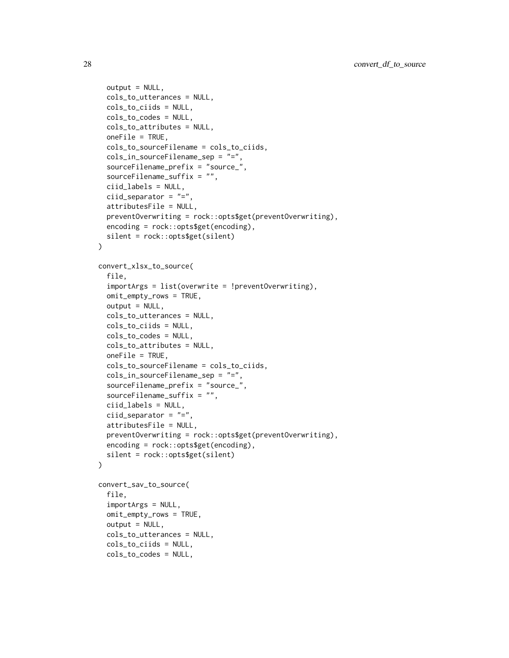```
output = NULL,cols_to_utterances = NULL,
  cols_to_ciids = NULL,
  cols_to_codes = NULL,
  cols_to_attributes = NULL,
  oneFile = TRUE,
  cols_to_sourceFilename = cols_to_ciids,
  cols_in_sourceFilename_sep = "=",
  sourceFilename_prefix = "source_",
  sourceFilename_suffix = "",
  ciid_labels = NULL,
  ciid_separator = "=',
  attributesFile = NULL,
  preventOverwriting = rock::opts$get(preventOverwriting),
  encoding = rock::opts$get(encoding),
  silent = rock::opts$get(silent)
\lambdaconvert_xlsx_to_source(
  file,
  importArgs = list(overwrite = !preventOverwriting),
  omit_empty_rows = TRUE,
  output = NULL,cols_to_utterances = NULL,
  cols_to_ciids = NULL,
  cols_to_codes = NULL,
  cols_to_attributes = NULL,
  oneFile = TRUE,
  cols_to_sourceFilename = cols_to_ciids,
  cols_in_sourceFilename_sep = "=",
  sourceFilename_prefix = "source_",
  sourceFilename_suffix = "",
  ciid_labels = NULL,
  ciid_separator = "=",
  attributesFile = NULL,
  preventOverwriting = rock::opts$get(preventOverwriting),
  encoding = rock::opts$get(encoding),
  silent = rock::opts$get(silent)
\lambdaconvert_sav_to_source(
  file,
  importArgs = NULL,
  omit_empty_rows = TRUE,
  output = NULL,cols_to_utterances = NULL,
  cols_to_ciids = NULL,
  cols_to_codes = NULL,
```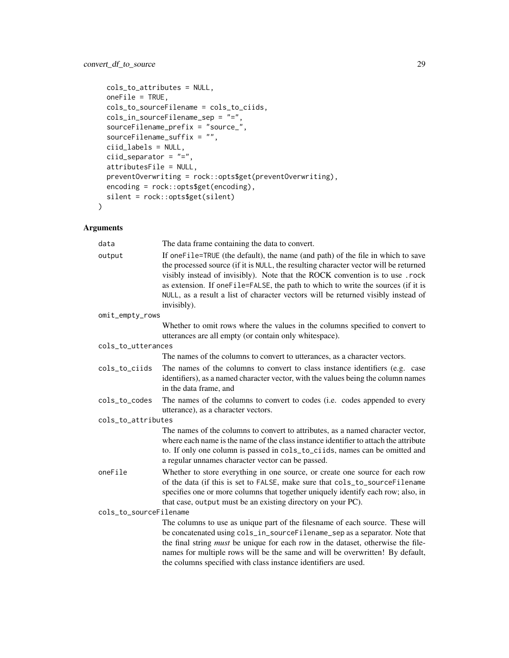```
cols_to_attributes = NULL,
 oneFile = TRUE,
 cols_to_sourceFilename = cols_to_ciids,
 cols_in_sourceFilename_sep = "=",
  sourceFilename_prefix = "source_",
  sourceFilename_suffix = "",
  ciid_labels = NULL,
  ciid_separator = "=',
  attributesFile = NULL,
 preventOverwriting = rock::opts$get(preventOverwriting),
 encoding = rock::opts$get(encoding),
  silent = rock::opts$get(silent)
\mathcal{L}
```

| data                   | The data frame containing the data to convert.                                                                                                                                                                                                                                                                                                                                                                                                  |
|------------------------|-------------------------------------------------------------------------------------------------------------------------------------------------------------------------------------------------------------------------------------------------------------------------------------------------------------------------------------------------------------------------------------------------------------------------------------------------|
| output                 | If oneFile=TRUE (the default), the name (and path) of the file in which to save<br>the processed source (if it is NULL, the resulting character vector will be returned<br>visibly instead of invisibly). Note that the ROCK convention is to use .rock<br>as extension. If oneFile=FALSE, the path to which to write the sources (if it is<br>NULL, as a result a list of character vectors will be returned visibly instead of<br>invisibly). |
| omit_empty_rows        |                                                                                                                                                                                                                                                                                                                                                                                                                                                 |
|                        | Whether to omit rows where the values in the columns specified to convert to<br>utterances are all empty (or contain only whitespace).                                                                                                                                                                                                                                                                                                          |
| cols_to_utterances     |                                                                                                                                                                                                                                                                                                                                                                                                                                                 |
|                        | The names of the columns to convert to utterances, as a character vectors.                                                                                                                                                                                                                                                                                                                                                                      |
| cols_to_ciids          | The names of the columns to convert to class instance identifiers (e.g. case<br>identifiers), as a named character vector, with the values being the column names<br>in the data frame, and                                                                                                                                                                                                                                                     |
| cols_to_codes          | The names of the columns to convert to codes (i.e. codes appended to every<br>utterance), as a character vectors.                                                                                                                                                                                                                                                                                                                               |
| cols_to_attributes     |                                                                                                                                                                                                                                                                                                                                                                                                                                                 |
|                        | The names of the columns to convert to attributes, as a named character vector,<br>where each name is the name of the class instance identifier to attach the attribute<br>to. If only one column is passed in cols_to_ciids, names can be omitted and<br>a regular unnames character vector can be passed.                                                                                                                                     |
| oneFile                | Whether to store everything in one source, or create one source for each row<br>of the data (if this is set to FALSE, make sure that cols_to_sourceFilename<br>specifies one or more columns that together uniquely identify each row; also, in<br>that case, output must be an existing directory on your PC).                                                                                                                                 |
| cols_to_sourceFilename |                                                                                                                                                                                                                                                                                                                                                                                                                                                 |
|                        | The columns to use as unique part of the filesname of each source. These will<br>be concatenated using cols_in_sourceFilename_sep as a separator. Note that<br>the final string <i>must</i> be unique for each row in the dataset, otherwise the file-<br>names for multiple rows will be the same and will be overwritten! By default,<br>the columns specified with class instance identifiers are used.                                      |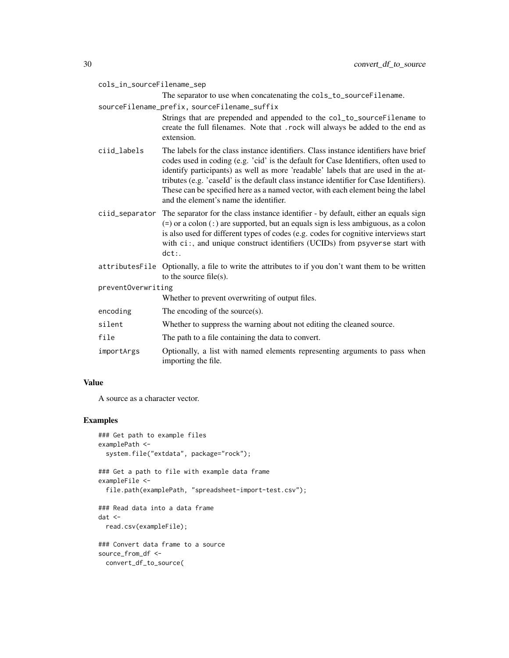|                    |                | The separator to use when concatenating the cols_to_sourceFilename.                                                                                                                                                                                                                                                                                                                                                                                                                       |
|--------------------|----------------|-------------------------------------------------------------------------------------------------------------------------------------------------------------------------------------------------------------------------------------------------------------------------------------------------------------------------------------------------------------------------------------------------------------------------------------------------------------------------------------------|
|                    |                | sourceFilename_prefix, sourceFilename_suffix                                                                                                                                                                                                                                                                                                                                                                                                                                              |
|                    |                | Strings that are prepended and appended to the col_to_sourceFilename to<br>create the full filenames. Note that .rock will always be added to the end as<br>extension.                                                                                                                                                                                                                                                                                                                    |
|                    | ciid_labels    | The labels for the class instance identifiers. Class instance identifiers have brief<br>codes used in coding (e.g. 'cid' is the default for Case Identifiers, often used to<br>identify participants) as well as more 'readable' labels that are used in the at-<br>tributes (e.g. 'caseId' is the default class instance identifier for Case Identifiers).<br>These can be specified here as a named vector, with each element being the label<br>and the element's name the identifier. |
|                    | ciid_separator | The separator for the class instance identifier - by default, either an equals sign<br>$(=)$ or a colon $(:)$ are supported, but an equals sign is less ambiguous, as a colon<br>is also used for different types of codes (e.g. codes for cognitive interviews start<br>with ci:, and unique construct identifiers (UCIDs) from psyverse start with<br>$dct:$ .                                                                                                                          |
|                    |                | attributesFile Optionally, a file to write the attributes to if you don't want them to be written<br>to the source file(s).                                                                                                                                                                                                                                                                                                                                                               |
| preventOverwriting |                |                                                                                                                                                                                                                                                                                                                                                                                                                                                                                           |
|                    |                | Whether to prevent overwriting of output files.                                                                                                                                                                                                                                                                                                                                                                                                                                           |
|                    | encoding       | The encoding of the source $(s)$ .                                                                                                                                                                                                                                                                                                                                                                                                                                                        |
|                    | silent         | Whether to suppress the warning about not editing the cleaned source.                                                                                                                                                                                                                                                                                                                                                                                                                     |
|                    | file           | The path to a file containing the data to convert.                                                                                                                                                                                                                                                                                                                                                                                                                                        |
|                    | importArgs     | Optionally, a list with named elements representing arguments to pass when<br>importing the file.                                                                                                                                                                                                                                                                                                                                                                                         |

#### Value

A source as a character vector.

cols\_in\_sourceFilename\_sep

# Examples

```
### Get path to example files
examplePath <-
  system.file("extdata", package="rock");
### Get a path to file with example data frame
exampleFile <-
  file.path(examplePath, "spreadsheet-import-test.csv");
### Read data into a data frame
dat <-
 read.csv(exampleFile);
### Convert data frame to a source
source_from_df <-
 convert_df_to_source(
```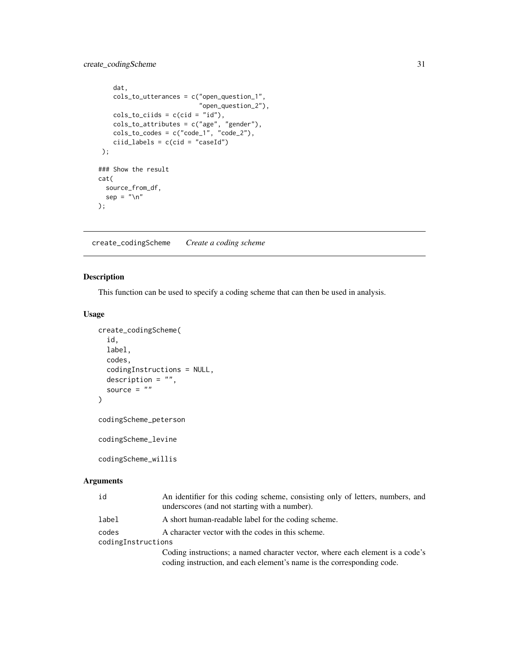```
dat,
    cols_to_utterances = c("open_question_1",
                           "open_question_2"),
    cols_to_ciids = c(cid = "id"),cols_to_attributes = c("age", "gender"),
    cols_to_codes = c("code_1", "code_2"),ciid_labels = c(cid = "caseId"));
### Show the result
cat(
  source_from_df,
  sep = "\\ n");
```
<span id="page-30-1"></span>create\_codingScheme *Create a coding scheme*

## Description

This function can be used to specify a coding scheme that can then be used in analysis.

## Usage

```
create_codingScheme(
  id,
 label,
  codes,
  codingInstructions = NULL,
  description = ",
  source = ""\lambdacodingScheme_peterson
```
codingScheme\_levine

codingScheme\_willis

| id                          | An identifier for this coding scheme, consisting only of letters, numbers, and<br>underscores (and not starting with a number).                         |
|-----------------------------|---------------------------------------------------------------------------------------------------------------------------------------------------------|
| label                       | A short human-readable label for the coding scheme.                                                                                                     |
| codes<br>codingInstructions | A character vector with the codes in this scheme.                                                                                                       |
|                             | Coding instructions; a named character vector, where each element is a code's<br>coding instruction, and each element's name is the corresponding code. |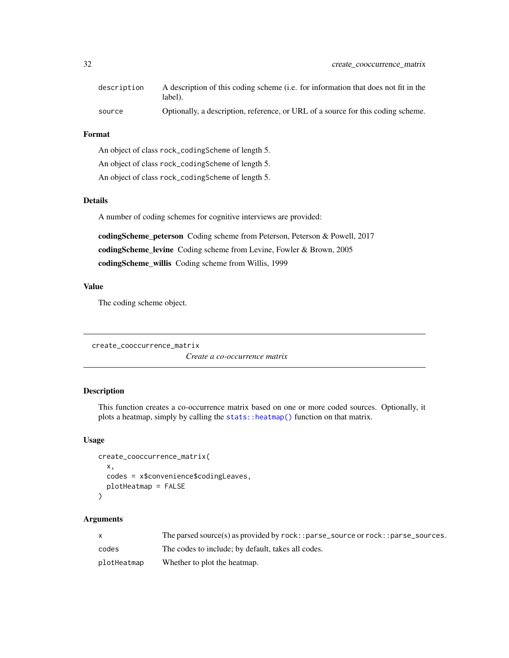<span id="page-31-0"></span>

| description | A description of this coding scheme (i.e. for information that does not fit in the<br>label). |
|-------------|-----------------------------------------------------------------------------------------------|
| source      | Optionally, a description, reference, or URL of a source for this coding scheme.              |

#### Format

An object of class rock\_codingScheme of length 5.

An object of class rock\_codingScheme of length 5.

An object of class rock\_codingScheme of length 5.

## Details

A number of coding schemes for cognitive interviews are provided:

codingScheme\_peterson Coding scheme from Peterson, Peterson & Powell, 2017 codingScheme\_levine Coding scheme from Levine, Fowler & Brown, 2005 codingScheme\_willis Coding scheme from Willis, 1999

#### Value

The coding scheme object.

create\_cooccurrence\_matrix

*Create a co-occurrence matrix*

## Description

This function creates a co-occurrence matrix based on one or more coded sources. Optionally, it plots a heatmap, simply by calling the [stats::heatmap\(\)](#page-0-0) function on that matrix.

#### Usage

```
create_cooccurrence_matrix(
  x,
  codes = x$convenience$codingLeaves,
  plotHeatmap = FALSE
\lambda
```

|             | The parsed source(s) as provided by $rock: parse\_source$ or $rock: parse\_sources$ . |
|-------------|---------------------------------------------------------------------------------------|
| codes       | The codes to include; by default, takes all codes.                                    |
| plotHeatmap | Whether to plot the heatmap.                                                          |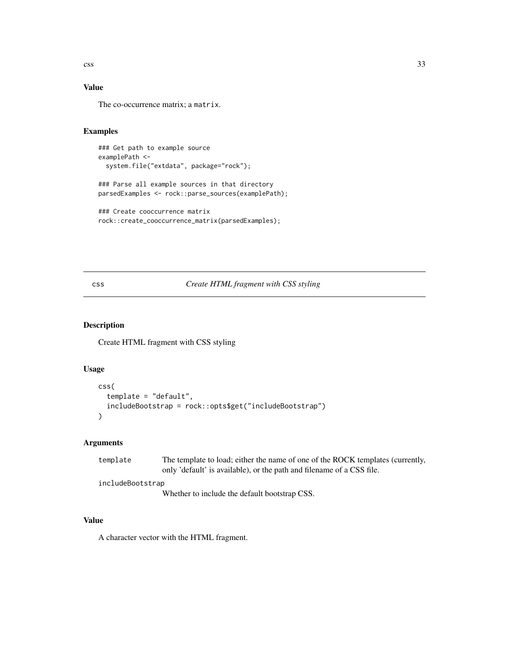<span id="page-32-0"></span> $\cos s$  33

# Value

The co-occurrence matrix; a matrix.

#### Examples

```
### Get path to example source
examplePath <-
 system.file("extdata", package="rock");
```

```
### Parse all example sources in that directory
parsedExamples <- rock::parse_sources(examplePath);
```

```
### Create cooccurrence matrix
rock::create_cooccurrence_matrix(parsedExamples);
```
## css *Create HTML fragment with CSS styling*

# Description

Create HTML fragment with CSS styling

## Usage

```
css(
  template = "default",
  includeBootstrap = rock::opts$get("includeBootstrap")
\mathcal{L}
```
## Arguments

| template         | The template to load; either the name of one of the ROCK templates (currently, |
|------------------|--------------------------------------------------------------------------------|
|                  | only 'default' is available), or the path and filename of a CSS file.          |
| includeBootstrap |                                                                                |
|                  | Whether to include the default bootstran CSS                                   |

Whether to include the default bootstrap CSS.

## Value

A character vector with the HTML fragment.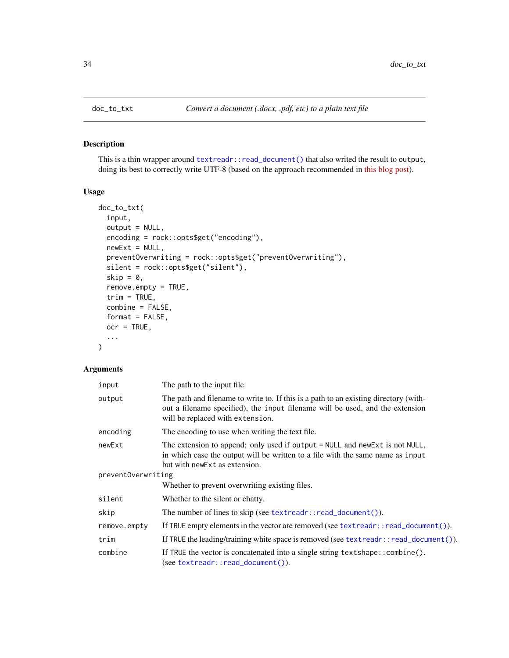<span id="page-33-0"></span>

## Description

This is a thin wrapper around [textreadr::read\\_document\(\)](#page-0-0) that also writed the result to output, doing its best to correctly write UTF-8 (based on the approach recommended in [this blog post\)](https://tomizonor.wordpress.com/2013/04/17/file-utf8-windows/).

# Usage

```
doc_to_txt(
  input,
 output = NULL,encoding = rock::opts$get("encoding"),
 newExt = NULL,preventOverwriting = rock::opts$get("preventOverwriting"),
  silent = rock::opts$get("silent"),
  skip = 0,remove.empty = TRUE,
  trim = TRUE,combine = FALSE,
 format = FALSE,ocr = TRUE,...
)
```

| input              | The path to the input file.                                                                                                                                                                               |
|--------------------|-----------------------------------------------------------------------------------------------------------------------------------------------------------------------------------------------------------|
| output             | The path and filename to write to. If this is a path to an existing directory (with-<br>out a filename specified), the input filename will be used, and the extension<br>will be replaced with extension. |
| encoding           | The encoding to use when writing the text file.                                                                                                                                                           |
| newExt             | The extension to append: only used if output = NULL and new Ext is not NULL,<br>in which case the output will be written to a file with the same name as input<br>but with new Ext as extension.          |
| preventOverwriting |                                                                                                                                                                                                           |
|                    | Whether to prevent overwriting existing files.                                                                                                                                                            |
| silent             | Whether to the silent or chatty.                                                                                                                                                                          |
| skip               | The number of lines to skip (see $textreadr::read_document()$ ).                                                                                                                                          |
| remove.empty       | If TRUE empty elements in the vector are removed (see textreadr::read_document()).                                                                                                                        |
| trim               | If TRUE the leading/training white space is removed (see textreadr::read_document()).                                                                                                                     |
| combine            | If TRUE the vector is concatenated into a single string text shape: : combine().<br>$(see textreader::read_document())$ .                                                                                 |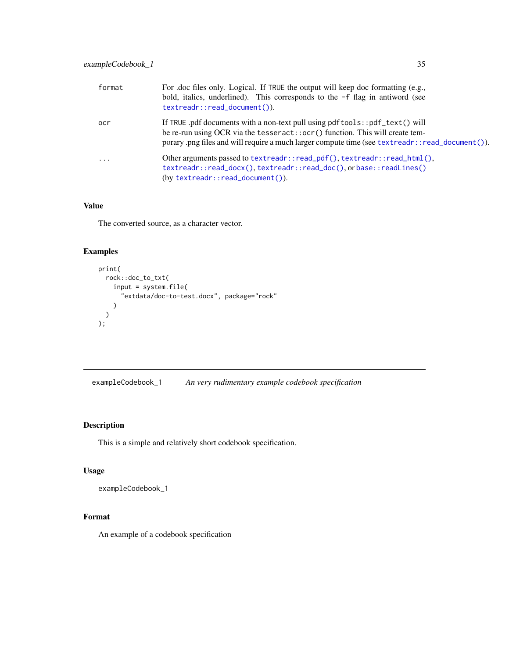<span id="page-34-0"></span>

| format    | For .doc files only. Logical. If TRUE the output will keep doc formatting (e.g.,<br>bold, italics, underlined). This corresponds to the -f flag in antiword (see<br>textreadr::read_document()).                                                              |
|-----------|---------------------------------------------------------------------------------------------------------------------------------------------------------------------------------------------------------------------------------------------------------------|
| ocr       | If TRUE .pdf documents with a non-text pull using pdftools::pdf_text() will<br>be re-run using OCR via the tesseract::ocr() function. This will create tem-<br>porary png files and will require a much larger compute time (see textreadr::read_document()). |
| $\ddotsc$ | Other arguments passed to text readr::read_pdf(), text readr::read_html(),<br>textreadr::read_docx(),textreadr::read_doc(),orbase::readLines()<br>$(by textreader::read_document())$ .                                                                        |

## Value

The converted source, as a character vector.

# Examples

```
print(
  rock::doc_to_txt(
   input = system.file(
      "extdata/doc-to-test.docx", package="rock"
   )
 )
);
```
exampleCodebook\_1 *An very rudimentary example codebook specification*

# Description

This is a simple and relatively short codebook specification.

## Usage

exampleCodebook\_1

## Format

An example of a codebook specification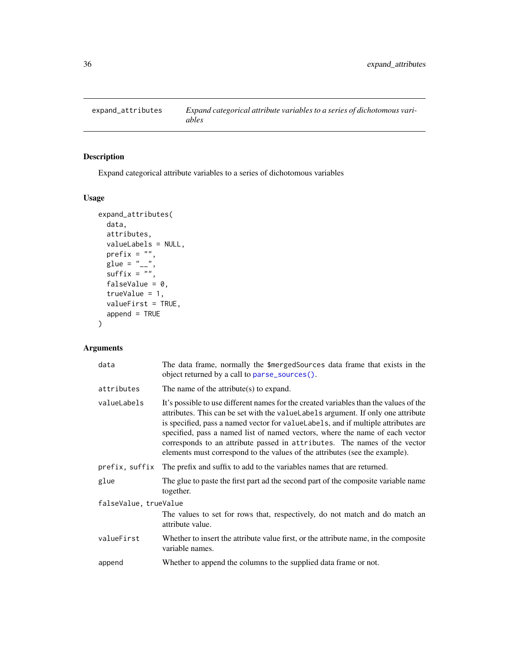<span id="page-35-0"></span>

# Description

Expand categorical attribute variables to a series of dichotomous variables

## Usage

```
expand_attributes(
  data,
  attributes,
 valueLabels = NULL,
  prefix = "",
  glue = "__".\text{suffix} = "",falseValue = 0,
  trueValue = 1,
  valueFirst = TRUE,
  append = TRUE)
```

| data                  | The data frame, normally the \$mergedSources data frame that exists in the<br>object returned by a call to parse_sources().                                                                                                                                                                                                                                                                                                                                                                                  |  |
|-----------------------|--------------------------------------------------------------------------------------------------------------------------------------------------------------------------------------------------------------------------------------------------------------------------------------------------------------------------------------------------------------------------------------------------------------------------------------------------------------------------------------------------------------|--|
| attributes            | The name of the attribute(s) to expand.                                                                                                                                                                                                                                                                                                                                                                                                                                                                      |  |
| valueLabels           | It's possible to use different names for the created variables than the values of the<br>attributes. This can be set with the value Labels argument. If only one attribute<br>is specified, pass a named vector for value Labels, and if multiple attributes are<br>specified, pass a named list of named vectors, where the name of each vector<br>corresponds to an attribute passed in attributes. The names of the vector<br>elements must correspond to the values of the attributes (see the example). |  |
| prefix, suffix        | The prefix and suffix to add to the variables names that are returned.                                                                                                                                                                                                                                                                                                                                                                                                                                       |  |
| glue                  | The glue to paste the first part ad the second part of the composite variable name<br>together.                                                                                                                                                                                                                                                                                                                                                                                                              |  |
| falseValue, trueValue |                                                                                                                                                                                                                                                                                                                                                                                                                                                                                                              |  |
|                       | The values to set for rows that, respectively, do not match and do match an<br>attribute value.                                                                                                                                                                                                                                                                                                                                                                                                              |  |
| valueFirst            | Whether to insert the attribute value first, or the attribute name, in the composite<br>variable names.                                                                                                                                                                                                                                                                                                                                                                                                      |  |
| append                | Whether to append the columns to the supplied data frame or not.                                                                                                                                                                                                                                                                                                                                                                                                                                             |  |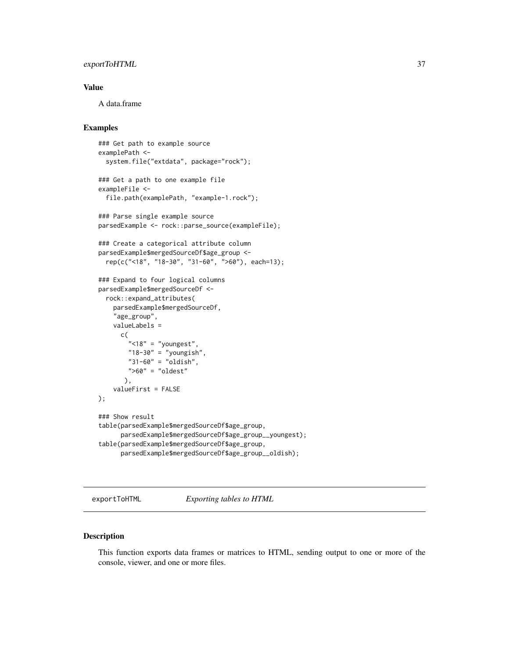## exportToHTML 37

#### Value

A data.frame

## Examples

```
### Get path to example source
examplePath <-
  system.file("extdata", package="rock");
### Get a path to one example file
exampleFile <-
  file.path(examplePath, "example-1.rock");
### Parse single example source
parsedExample <- rock::parse_source(exampleFile);
### Create a categorical attribute column
parsedExample$mergedSourceDf$age_group <-
  rep(c("<18", "18-30", "31-60", ">60"), each=13);
### Expand to four logical columns
parsedExample$mergedSourceDf <-
  rock::expand_attributes(
    parsedExample$mergedSourceDf,
    "age_group",
    valueLabels =
      c(
        " <18" = "youngest",
        "18-30" = "youngish","31-60" = "oldish",
        " >60" = "oldest"
       ),
    valueFirst = FALSE
);
### Show result
table(parsedExample$mergedSourceDf$age_group,
      parsedExample$mergedSourceDf$age_group__youngest);
table(parsedExample$mergedSourceDf$age_group,
      parsedExample$mergedSourceDf$age_group__oldish);
```
exportToHTML *Exporting tables to HTML*

#### Description

This function exports data frames or matrices to HTML, sending output to one or more of the console, viewer, and one or more files.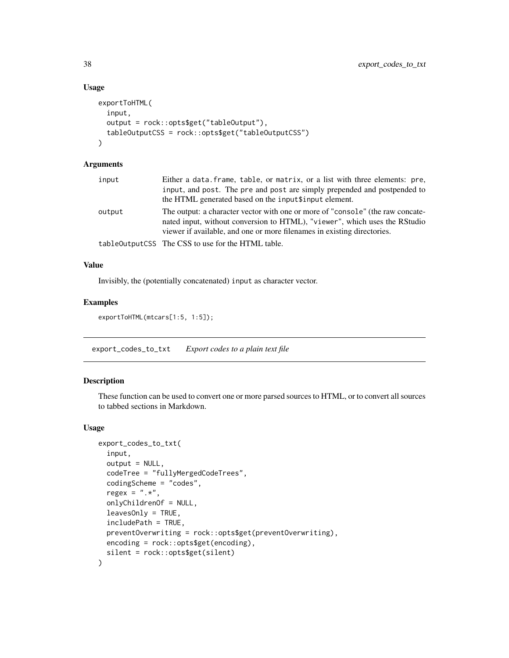#### Usage

```
exportToHTML(
  input,
  output = rock::opts$get("tableOutput"),
  tableOutputCSS = rock::opts$get("tableOutputCSS")
\lambda
```
# Arguments

| input  | Either a data. frame, table, or matrix, or a list with three elements: pre,<br>input, and post. The pre and post are simply prepended and postpended to<br>the HTML generated based on the inputtinput element.                         |
|--------|-----------------------------------------------------------------------------------------------------------------------------------------------------------------------------------------------------------------------------------------|
| output | The output: a character vector with one or more of "console" (the raw concate-<br>nated input, without conversion to HTML), "viewer", which uses the RStudio<br>viewer if available, and one or more filenames in existing directories. |
|        | table0utputCSS The CSS to use for the HTML table.                                                                                                                                                                                       |

## Value

Invisibly, the (potentially concatenated) input as character vector.

#### Examples

```
exportToHTML(mtcars[1:5, 1:5]);
```
export\_codes\_to\_txt *Export codes to a plain text file*

## Description

These function can be used to convert one or more parsed sources to HTML, or to convert all sources to tabbed sections in Markdown.

```
export_codes_to_txt(
  input,
  output = NULL,codeTree = "fullyMergedCodeTrees",
  codingScheme = "codes",
  regex = ".**",
  onlyChildrenOf = NULL,
  leavesOnly = TRUE,
  includePath = TRUE,
  preventOverwriting = rock::opts$get(preventOverwriting),
 encoding = rock::opts$get(encoding),
  silent = rock::opts$get(silent)
)
```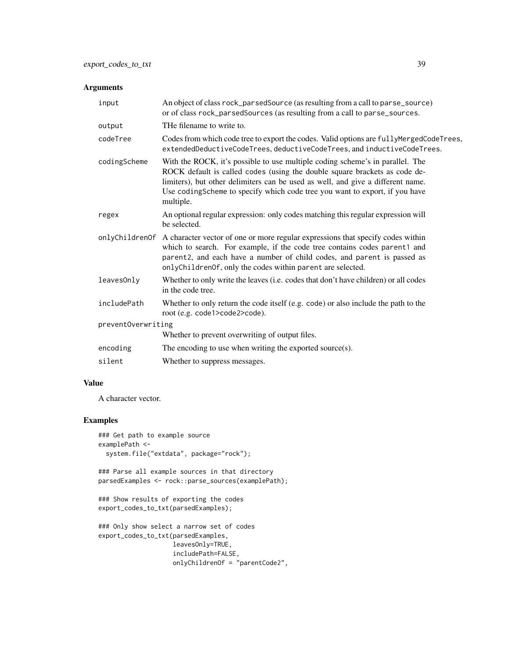## Arguments

| input              | An object of class rock_parsedSource (as resulting from a call to parse_source)<br>or of class rock_parsedSources (as resulting from a call to parse_sources.                                                                                                                                                                              |  |
|--------------------|--------------------------------------------------------------------------------------------------------------------------------------------------------------------------------------------------------------------------------------------------------------------------------------------------------------------------------------------|--|
| output             | THe filename to write to.                                                                                                                                                                                                                                                                                                                  |  |
| codeTree           | Codes from which code tree to export the codes. Valid options are fully MergedCodeTrees,<br>extendedDeductiveCodeTrees, deductiveCodeTrees, and inductiveCodeTrees.                                                                                                                                                                        |  |
| codingScheme       | With the ROCK, it's possible to use multiple coding scheme's in parallel. The<br>ROCK default is called codes (using the double square brackets as code de-<br>limiters), but other delimiters can be used as well, and give a different name.<br>Use codingScheme to specify which code tree you want to export, if you have<br>multiple. |  |
| regex              | An optional regular expression: only codes matching this regular expression will<br>be selected.                                                                                                                                                                                                                                           |  |
| onlyChildrenOf     | A character vector of one or more regular expressions that specify codes within<br>which to search. For example, if the code tree contains codes parent1 and<br>parent2, and each have a number of child codes, and parent is passed as<br>onlyChildrenOf, only the codes within parent are selected.                                      |  |
| leavesOnly         | Whether to only write the leaves (i.e. codes that don't have children) or all codes<br>in the code tree.                                                                                                                                                                                                                                   |  |
| includePath        | Whether to only return the code itself (e.g. code) or also include the path to the<br>root (e.g. code1>code2>code).                                                                                                                                                                                                                        |  |
| preventOverwriting |                                                                                                                                                                                                                                                                                                                                            |  |
|                    | Whether to prevent overwriting of output files.                                                                                                                                                                                                                                                                                            |  |
| encoding           | The encoding to use when writing the exported source $(s)$ .                                                                                                                                                                                                                                                                               |  |
| silent             | Whether to suppress messages.                                                                                                                                                                                                                                                                                                              |  |

#### Value

A character vector.

# Examples

```
### Get path to example source
examplePath <-
  system.file("extdata", package="rock");
### Parse all example sources in that directory
parsedExamples <- rock::parse_sources(examplePath);
```

```
### Show results of exporting the codes
export_codes_to_txt(parsedExamples);
```

```
### Only show select a narrow set of codes
export_codes_to_txt(parsedExamples,
                   leavesOnly=TRUE,
                   includePath=FALSE,
                   onlyChildrenOf = "parentCode2",
```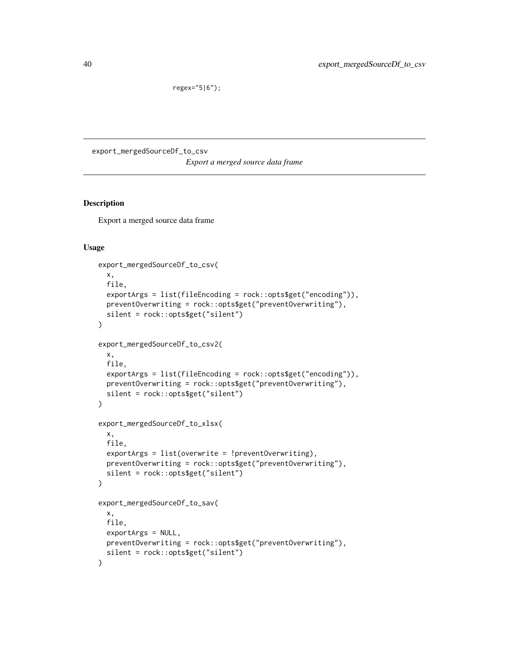```
regex="5|6");
```
export\_mergedSourceDf\_to\_csv

*Export a merged source data frame*

#### Description

Export a merged source data frame

```
export_mergedSourceDf_to_csv(
 x,
 file,
  exportArgs = list(fileEncoding = rock::opts$get("encoding")),
 preventOverwriting = rock::opts$get("preventOverwriting"),
 silent = rock::opts$get("silent")
)
export_mergedSourceDf_to_csv2(
 x,
 file,
  exportArgs = list(fileEncoding = rock::opts$get("encoding")),
 preventOverwriting = rock::opts$get("preventOverwriting"),
 silent = rock::opts$get("silent")
\lambdaexport_mergedSourceDf_to_xlsx(
  x,
 file,
 exportArgs = list(overwrite = !preventOverwriting),
 preventOverwriting = rock::opts$get("preventOverwriting"),
  silent = rock::opts$get("silent")
)
export_mergedSourceDf_to_sav(
 x,
 file,
 exportArgs = NULL,
 preventOverwriting = rock::opts$get("preventOverwriting"),
  silent = rock::opts$get("silent")
\mathcal{E}
```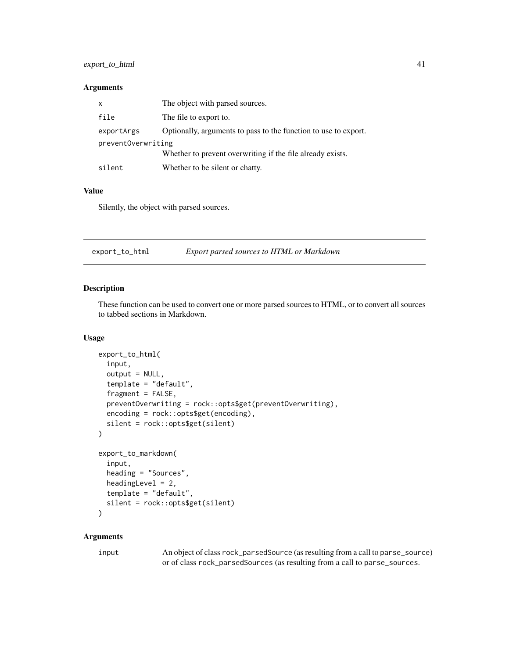## export\_to\_html 41

#### Arguments

| $\mathsf{x}$       | The object with parsed sources.                                 |
|--------------------|-----------------------------------------------------------------|
| file               | The file to export to.                                          |
| exportArgs         | Optionally, arguments to pass to the function to use to export. |
| preventOverwriting |                                                                 |
|                    | Whether to prevent overwriting if the file already exists.      |
| silent             | Whether to be silent or chatty.                                 |

#### Value

Silently, the object with parsed sources.

export\_to\_html *Export parsed sources to HTML or Markdown*

# Description

These function can be used to convert one or more parsed sources to HTML, or to convert all sources to tabbed sections in Markdown.

#### Usage

```
export_to_html(
  input,
  output = NULL,
  template = "default",
  fragment = FALSE,
  preventOverwriting = rock::opts$get(preventOverwriting),
  encoding = rock::opts$get(encoding),
  silent = rock::opts$get(silent)
\mathcal{L}export_to_markdown(
  input,
  heading = "Sources",
 headingLevel = 2,
  template = "default",
  silent = rock::opts$get(silent)
\lambda
```
# Arguments

| input | An object of class rock_parsedSource (as resulting from a call to parse_source) |
|-------|---------------------------------------------------------------------------------|
|       | or of class rock_parsedSources (as resulting from a call to parse_sources.      |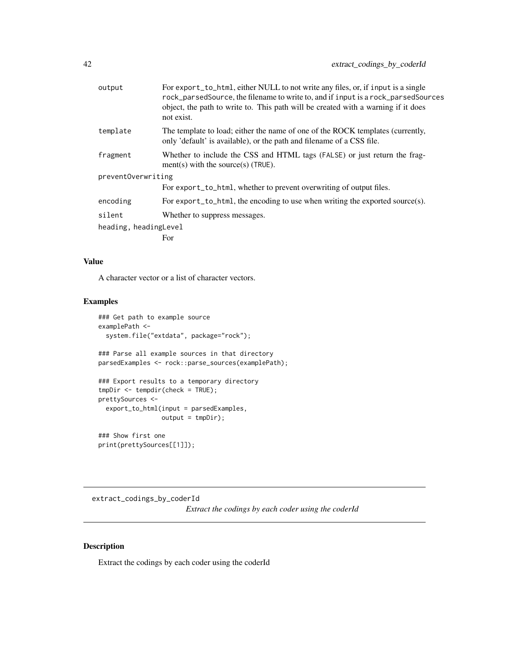| output                | For export_to_html, either NULL to not write any files, or, if input is a single<br>rock_parsedSource, the filename to write to, and if input is a rock_parsedSources<br>object, the path to write to. This path will be created with a warning if it does<br>not exist. |
|-----------------------|--------------------------------------------------------------------------------------------------------------------------------------------------------------------------------------------------------------------------------------------------------------------------|
| template              | The template to load; either the name of one of the ROCK templates (currently,<br>only 'default' is available), or the path and filename of a CSS file.                                                                                                                  |
| fragment              | Whether to include the CSS and HTML tags (FALSE) or just return the frag-<br>ment(s) with the source(s) (TRUE).                                                                                                                                                          |
| preventOverwriting    |                                                                                                                                                                                                                                                                          |
|                       | For export_to_html, whether to prevent overwriting of output files.                                                                                                                                                                                                      |
| encoding              | For export_to_html, the encoding to use when writing the exported source(s).                                                                                                                                                                                             |
| silent                | Whether to suppress messages.                                                                                                                                                                                                                                            |
| heading, headingLevel |                                                                                                                                                                                                                                                                          |
|                       | For                                                                                                                                                                                                                                                                      |
|                       |                                                                                                                                                                                                                                                                          |

#### Value

A character vector or a list of character vectors.

#### Examples

```
### Get path to example source
examplePath <-
  system.file("extdata", package="rock");
### Parse all example sources in that directory
parsedExamples <- rock::parse_sources(examplePath);
### Export results to a temporary directory
tmpDir <- tempdir(check = TRUE);
prettySources <-
  export_to_html(input = parsedExamples,
                 output = tmpDir;
### Show first one
print(prettySources[[1]]);
```
extract\_codings\_by\_coderId *Extract the codings by each coder using the coderId*

## Description

Extract the codings by each coder using the coderId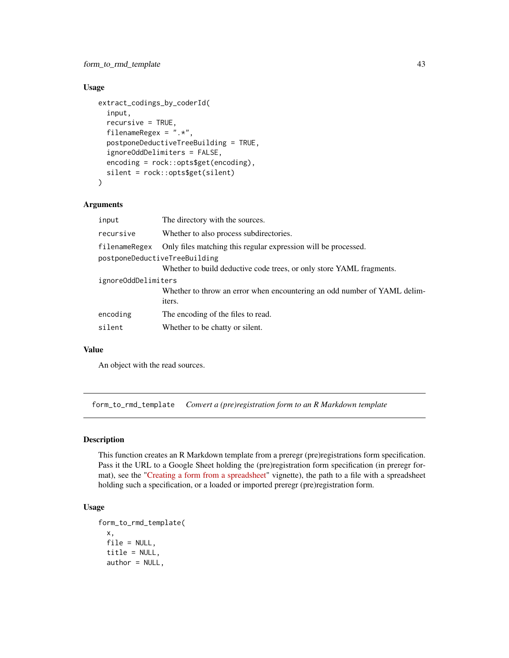## Usage

```
extract_codings_by_coderId(
  input,
  recursive = TRUE,
  filenameRegex = ".*",
  postponeDeductiveTreeBuilding = TRUE,
  ignoreOddDelimiters = FALSE,
  encoding = rock::opts$get(encoding),
  silent = rock::opts$get(silent)
)
```
## Arguments

| input                         | The directory with the sources.                                          |
|-------------------------------|--------------------------------------------------------------------------|
| recursive                     | Whether to also process subdirectories.                                  |
| filenameRegex                 | Only files matching this regular expression will be processed.           |
| postponeDeductiveTreeBuilding |                                                                          |
|                               | Whether to build deductive code trees, or only store YAML fragments.     |
| ignoreOddDelimiters           |                                                                          |
|                               | Whether to throw an error when encountering an odd number of YAML delim- |
|                               | iters.                                                                   |
| encoding                      | The encoding of the files to read.                                       |
| silent                        | Whether to be chatty or silent.                                          |

#### Value

An object with the read sources.

form\_to\_rmd\_template *Convert a (pre)registration form to an R Markdown template*

#### Description

This function creates an R Markdown template from a preregr (pre)registrations form specification. Pass it the URL to a Google Sheet holding the (pre)registration form specification (in preregr format), see the ["Creating a form from a spreadsheet"](https://r-packages.gitlab.io/preregr/articles/creating_form_from_spreadsheet.html) vignette), the path to a file with a spreadsheet holding such a specification, or a loaded or imported preregr (pre)registration form.

```
form_to_rmd_template(
 x,
 file = NULL,
  title = NULL,
  author = NULL,
```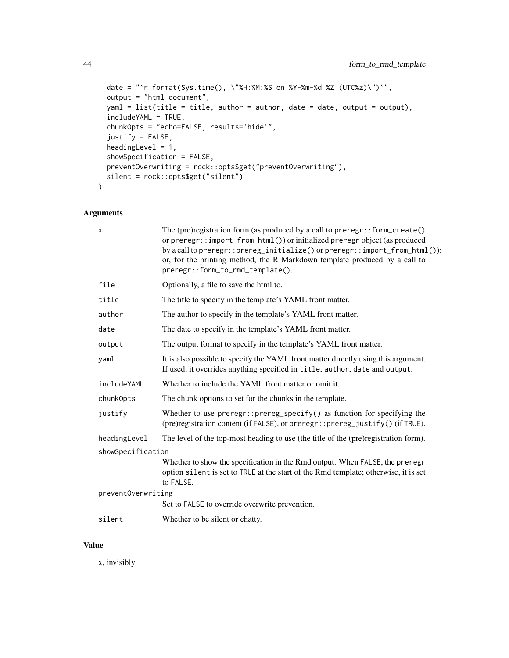```
date = "`r format(Sys.time(), \"%H:%M:%S on %Y-%m-%d %Z (UTC%z)\")`",
output = "html_document",
yam1 = list(title = title, author = author, date = date, output = output),includeYAML = TRUE,
chunkOpts = "echo=FALSE, results='hide'",
justify = FALSE,
headingLevel = 1,
showSpecification = FALSE,
preventOverwriting = rock::opts$get("preventOverwriting"),
silent = rock::opts$get("silent")
```
## Arguments

 $\mathcal{L}$ 

| x                  | The (pre) registration form (as produced by a call to preregr:: form_create()<br>or preregr::import_from_html()) or initialized preregr object (as produced<br>by a call to preregr:: prereg_initialize() or preregr:: import_from_html());<br>or, for the printing method, the R Markdown template produced by a call to<br>preregr::form_to_rmd_template(). |
|--------------------|---------------------------------------------------------------------------------------------------------------------------------------------------------------------------------------------------------------------------------------------------------------------------------------------------------------------------------------------------------------|
| file               | Optionally, a file to save the html to.                                                                                                                                                                                                                                                                                                                       |
| title              | The title to specify in the template's YAML front matter.                                                                                                                                                                                                                                                                                                     |
| author             | The author to specify in the template's YAML front matter.                                                                                                                                                                                                                                                                                                    |
| date               | The date to specify in the template's YAML front matter.                                                                                                                                                                                                                                                                                                      |
| output             | The output format to specify in the template's YAML front matter.                                                                                                                                                                                                                                                                                             |
| yaml               | It is also possible to specify the YAML front matter directly using this argument.<br>If used, it overrides anything specified in title, author, date and output.                                                                                                                                                                                             |
| includeYAML        | Whether to include the YAML front matter or omit it.                                                                                                                                                                                                                                                                                                          |
| chunk0pts          | The chunk options to set for the chunks in the template.                                                                                                                                                                                                                                                                                                      |
| justify            | Whether to use $prereg: prereg\_specific()$ as function for specifying the<br>(pre)registration content (if FALSE), or preregr:: prereg_justify() (if TRUE).                                                                                                                                                                                                  |
| headingLevel       | The level of the top-most heading to use (the title of the (pre)registration form).                                                                                                                                                                                                                                                                           |
| showSpecification  |                                                                                                                                                                                                                                                                                                                                                               |
|                    | Whether to show the specification in the Rmd output. When FALSE, the preregr<br>option silent is set to TRUE at the start of the Rmd template; otherwise, it is set<br>to FALSE.                                                                                                                                                                              |
| preventOverwriting |                                                                                                                                                                                                                                                                                                                                                               |
|                    | Set to FALSE to override overwrite prevention.                                                                                                                                                                                                                                                                                                                |
| silent             | Whether to be silent or chatty.                                                                                                                                                                                                                                                                                                                               |

#### Value

x, invisibly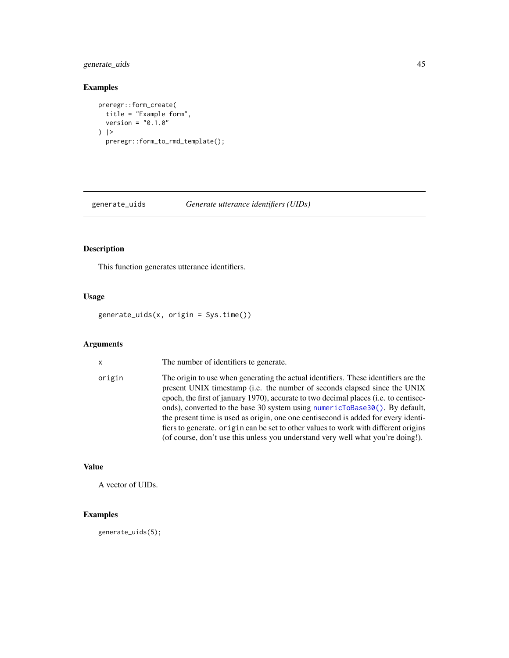## generate\_uids 45

#### Examples

```
preregr::form_create(
  title = "Example form",
  version = "0.1.0") |>
  preregr::form_to_rmd_template();
```
generate\_uids *Generate utterance identifiers (UIDs)*

#### Description

This function generates utterance identifiers.

#### Usage

generate\_uids(x, origin = Sys.time())

#### Arguments

x The number of identifiers te generate.

origin The origin to use when generating the actual identifiers. These identifiers are the present UNIX timestamp (i.e. the number of seconds elapsed since the UNIX epoch, the first of january 1970), accurate to two decimal places (i.e. to centiseconds), converted to the base 30 system using [numericToBase30\(\)](#page-4-0). By default, the present time is used as origin, one one centisecond is added for every identifiers to generate. origin can be set to other values to work with different origins (of course, don't use this unless you understand very well what you're doing!).

## Value

A vector of UIDs.

## Examples

generate\_uids(5);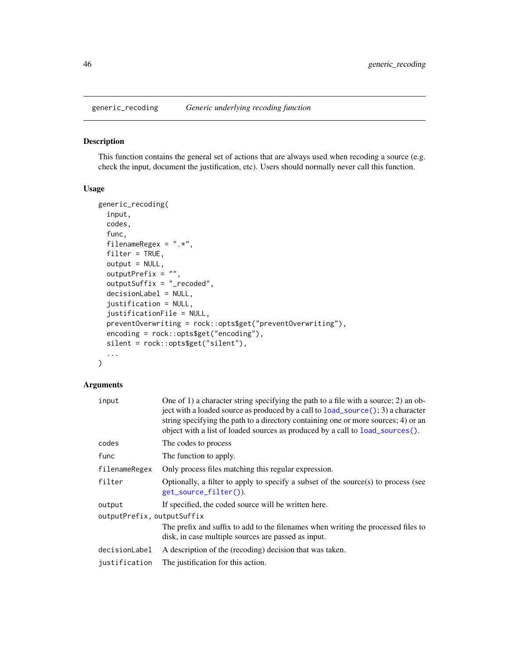## Description

This function contains the general set of actions that are always used when recoding a source (e.g. check the input, document the justification, etc). Users should normally never call this function.

#### Usage

```
generic_recoding(
  input,
  codes,
  func,
  filenameRegex = ".*",
  filter = TRUE,output = NULL,
  outputPrefix = ",
  outputSuffix = "_recoded",
  decisionLabel = NULL,
  justification = NULL,
  justificationFile = NULL,
  preventOverwriting = rock::opts$get("preventOverwriting"),
  encoding = rock::opts$get("encoding"),
  silent = rock::opts$get("silent"),
  ...
\mathcal{L}
```
# Arguments

| input                      | One of 1) a character string specifying the path to a file with a source; 2) an ob-<br>ject with a loaded source as produced by a call to $load\_source$ (); 3) a character<br>string specifying the path to a directory containing one or more sources; 4) or an<br>object with a list of loaded sources as produced by a call to load_sources(). |
|----------------------------|----------------------------------------------------------------------------------------------------------------------------------------------------------------------------------------------------------------------------------------------------------------------------------------------------------------------------------------------------|
| codes                      | The codes to process                                                                                                                                                                                                                                                                                                                               |
| func                       | The function to apply.                                                                                                                                                                                                                                                                                                                             |
| filenameRegex              | Only process files matching this regular expression.                                                                                                                                                                                                                                                                                               |
| filter                     | Optionally, a filter to apply to specify a subset of the source $(s)$ to process (see<br>get_source_filter()).                                                                                                                                                                                                                                     |
| output                     | If specified, the coded source will be written here.                                                                                                                                                                                                                                                                                               |
| outputPrefix, outputSuffix |                                                                                                                                                                                                                                                                                                                                                    |
|                            | The prefix and suffix to add to the filenames when writing the processed files to<br>disk, in case multiple sources are passed as input.                                                                                                                                                                                                           |
| decisionLabel              | A description of the (recoding) decision that was taken.                                                                                                                                                                                                                                                                                           |
| justification              | The justification for this action.                                                                                                                                                                                                                                                                                                                 |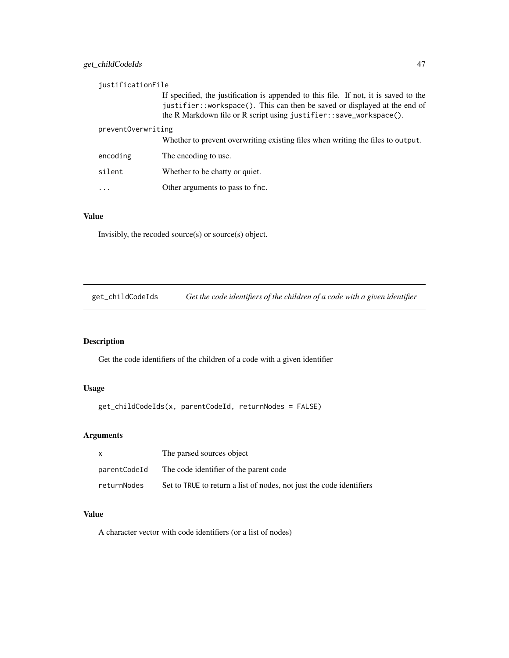| justificationFile  |                                                                                                                                                                                                                                         |
|--------------------|-----------------------------------------------------------------------------------------------------------------------------------------------------------------------------------------------------------------------------------------|
|                    | If specified, the justification is appended to this file. If not, it is saved to the<br>justifier::workspace(). This can then be saved or displayed at the end of<br>the R Markdown file or R script using justifier::save_workspace(). |
| preventOverwriting | Whether to prevent overwriting existing files when writing the files to output.                                                                                                                                                         |
|                    |                                                                                                                                                                                                                                         |
| encoding           | The encoding to use.                                                                                                                                                                                                                    |
| silent             | Whether to be chatty or quiet.                                                                                                                                                                                                          |
| .                  | Other arguments to pass to fnc.                                                                                                                                                                                                         |

## Value

Invisibly, the recoded source(s) or source(s) object.

get\_childCodeIds *Get the code identifiers of the children of a code with a given identifier*

# Description

Get the code identifiers of the children of a code with a given identifier

#### Usage

get\_childCodeIds(x, parentCodeId, returnNodes = FALSE)

# Arguments

|              | The parsed sources object                                            |
|--------------|----------------------------------------------------------------------|
| parentCodeId | The code identifier of the parent code                               |
| returnNodes  | Set to TRUE to return a list of nodes, not just the code identifiers |

# Value

A character vector with code identifiers (or a list of nodes)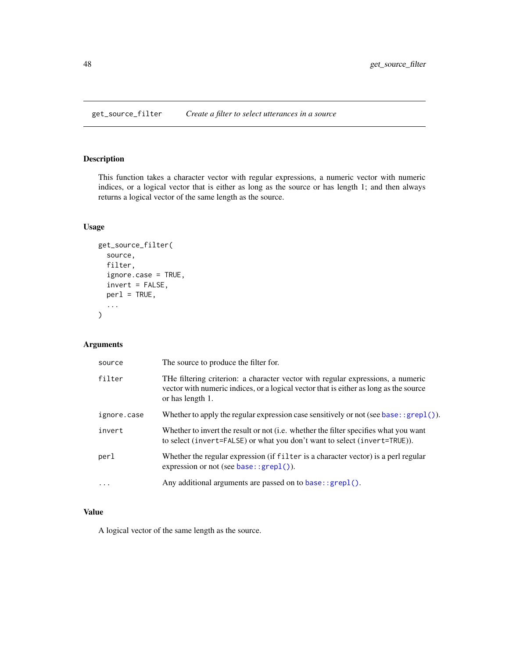<span id="page-47-0"></span>get\_source\_filter *Create a filter to select utterances in a source*

## Description

This function takes a character vector with regular expressions, a numeric vector with numeric indices, or a logical vector that is either as long as the source or has length 1; and then always returns a logical vector of the same length as the source.

## Usage

```
get_source_filter(
  source,
  filter,
  ignore.case = TRUE,
  invert = FALSE,per1 = TRUE,...
)
```
## Arguments

| source      | The source to produce the filter for.                                                                                                                                                        |
|-------------|----------------------------------------------------------------------------------------------------------------------------------------------------------------------------------------------|
| filter      | THe filtering criterion: a character vector with regular expressions, a numeric<br>vector with numeric indices, or a logical vector that is either as long as the source<br>or has length 1. |
| ignore.case | Whether to apply the regular expression case sensitively or not (see base: : $graph()$ ).                                                                                                    |
| invert      | Whether to invert the result or not (i.e. whether the filter specifies what you want<br>to select (invert=FALSE) or what you don't want to select (invert=TRUE)).                            |
| perl        | Whether the regular expression (if filter is a character vector) is a perl regular<br>expression or not (see base: : $graph()$ ).                                                            |
| $\cdots$    | Any additional arguments are passed on to base: : grep1().                                                                                                                                   |

# Value

A logical vector of the same length as the source.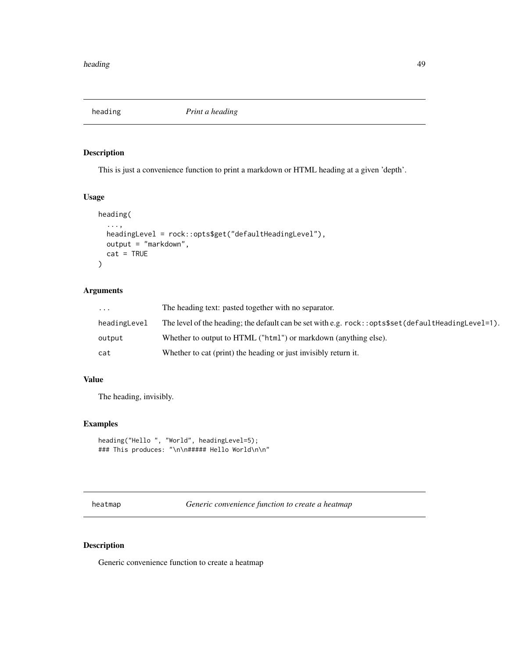heading *Print a heading*

## Description

This is just a convenience function to print a markdown or HTML heading at a given 'depth'.

#### Usage

```
heading(
  ...,
 headingLevel = rock::opts$get("defaultHeadingLevel"),
 output = "markdown",
 cat = TRUE)
```
# Arguments

| $\cdots$     | The heading text: pasted together with no separator.                                                  |
|--------------|-------------------------------------------------------------------------------------------------------|
| headingLevel | The level of the heading; the default can be set with e.g. $rock::opts$set (defaultHeadingLevel=1)$ . |
| output       | Whether to output to HTML ("html") or markdown (anything else).                                       |
| cat          | Whether to cat (print) the heading or just invisibly return it.                                       |

## Value

The heading, invisibly.

#### Examples

```
heading("Hello ", "World", headingLevel=5);
### This produces: "\n\n##### Hello World\n\n"
```
heatmap *Generic convenience function to create a heatmap*

## Description

Generic convenience function to create a heatmap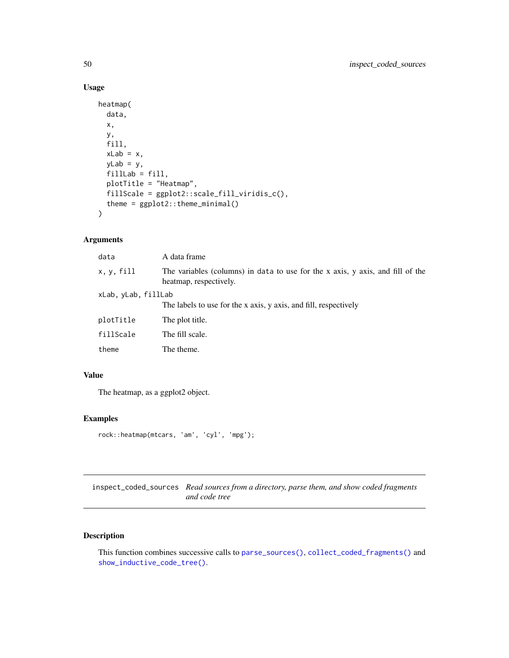#### Usage

```
heatmap(
  data,
  x,
 y,
  fill,
  xLab = x,
 yLab = y,
 fillLab = fill,
 plotTitle = "Heatmap",
 fillScale = ggplot2::scale_fill_viridis_c(),
  theme = ggplot2::theme_minimal()
\mathcal{L}
```
## Arguments

| data                | A data frame                                                                                             |
|---------------------|----------------------------------------------------------------------------------------------------------|
| x, y, fill          | The variables (columns) in data to use for the x axis, y axis, and fill of the<br>heatmap, respectively. |
| xLab, yLab, fillLab |                                                                                                          |
|                     | The labels to use for the x axis, y axis, and fill, respectively                                         |
| plotTitle           | The plot title.                                                                                          |
| fillScale           | The fill scale.                                                                                          |
| theme               | The theme.                                                                                               |

# Value

The heatmap, as a ggplot2 object.

#### Examples

```
rock::heatmap(mtcars, 'am', 'cyl', 'mpg');
```
inspect\_coded\_sources *Read sources from a directory, parse them, and show coded fragments and code tree*

# Description

This function combines successive calls to [parse\\_sources\(\)](#page-60-0), [collect\\_coded\\_fragments\(\)](#page-23-0) and [show\\_inductive\\_code\\_tree\(\)](#page-87-0).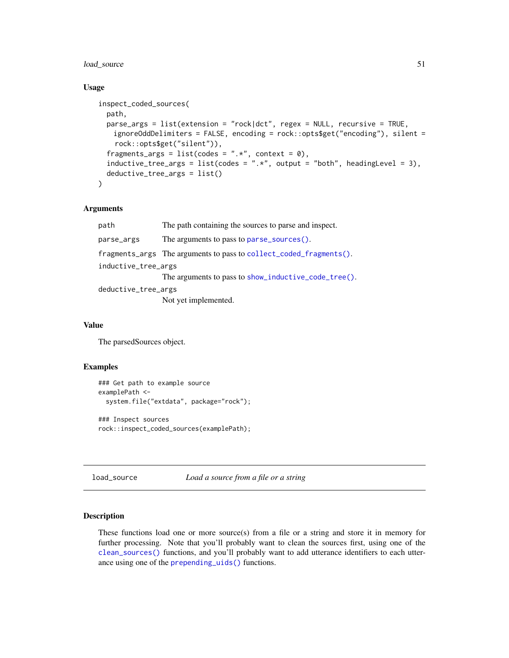## load\_source 51

#### Usage

```
inspect_coded_sources(
 path,
 parse_args = list(extension = "rock|dct", regex = NULL, recursive = TRUE,
   ignoreOddDelimiters = FALSE, encoding = rock::opts$get("encoding"), silent =
   rock::opts$get("silent")),
  fragments_args = list(codes = ".*", context = 0),inductive_tree_args = list(codes = ".*", output = "both", headingLevel = 3),
 deductive_tree_args = list()
)
```
#### Arguments

| path                | The path containing the sources to parse and inspect.                                 |
|---------------------|---------------------------------------------------------------------------------------|
| parse_args          | The arguments to pass to parse_sources().                                             |
|                     | $fragments_{args}$ The arguments to pass to collect <sub>coded</sub> $fragments(.)$ . |
| inductive_tree_args | The arguments to pass to show_inductive_code_tree().                                  |
| deductive_tree_args | Not yet implemented.                                                                  |

## Value

The parsedSources object.

#### Examples

```
### Get path to example source
examplePath <-
 system.file("extdata", package="rock");
### Inspect sources
rock::inspect_coded_sources(examplePath);
```

```
load_source Load a source from a file or a string
```
#### <span id="page-50-1"></span>Description

These functions load one or more source(s) from a file or a string and store it in memory for further processing. Note that you'll probably want to clean the sources first, using one of the [clean\\_sources\(\)](#page-10-0) functions, and you'll probably want to add utterance identifiers to each utterance using one of the [prepending\\_uids\(\)](#page-64-0) functions.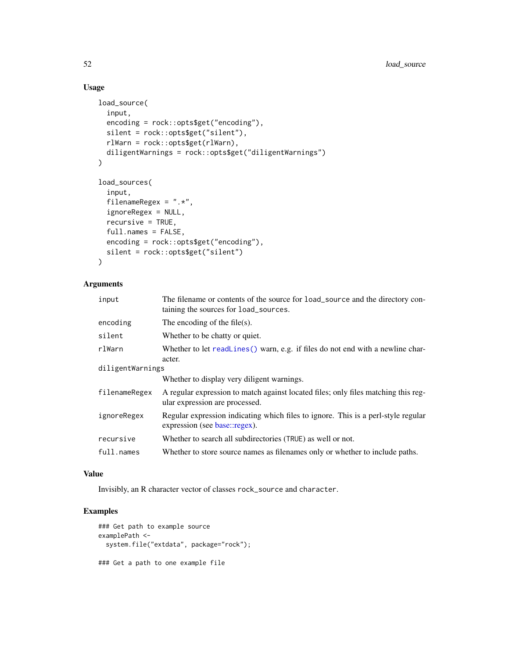## Usage

```
load_source(
  input,
  encoding = rock::opts$get("encoding"),
  silent = rock::opts$get("silent"),
  rlWarn = rock::opts$get(rlWarn),
  diligentWarnings = rock::opts$get("diligentWarnings")
)
load_sources(
  input,
  filenameRegex = ".*",
  ignoreRegex = NULL,
  recursive = TRUE,
  full.names = FALSE,
  encoding = rock::opts$get("encoding"),
  silent = rock::opts$get("silent")
\mathcal{L}
```
# Arguments

| input            | The filename or contents of the source for load_source and the directory con-<br>taining the sources for load_sources. |  |
|------------------|------------------------------------------------------------------------------------------------------------------------|--|
| encoding         | The encoding of the file(s).                                                                                           |  |
| silent           | Whether to be chatty or quiet.                                                                                         |  |
| rlWarn           | Whether to let readLines () warn, e.g. if files do not end with a newline char-<br>acter.                              |  |
| diligentWarnings |                                                                                                                        |  |
|                  | Whether to display very diligent warnings.                                                                             |  |
| filenameRegex    | A regular expression to match against located files; only files matching this reg-<br>ular expression are processed.   |  |
| ignoreRegex      | Regular expression indicating which files to ignore. This is a perl-style regular<br>expression (see base::regex).     |  |
| recursive        | Whether to search all subdirectories (TRUE) as well or not.                                                            |  |
| full.names       | Whether to store source names as filenames only or whether to include paths.                                           |  |

#### Value

Invisibly, an R character vector of classes rock\_source and character.

## Examples

```
### Get path to example source
examplePath <-
  system.file("extdata", package="rock");
### Get a path to one example file
```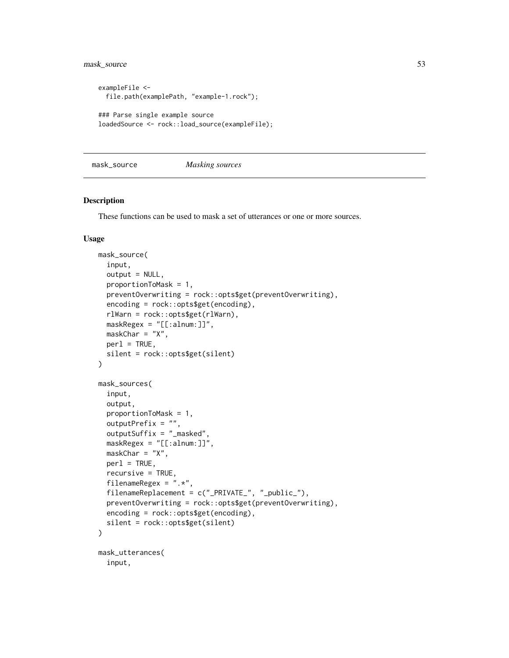mask\_source 53

```
exampleFile <-
 file.path(examplePath, "example-1.rock");
### Parse single example source
loadedSource <- rock::load_source(exampleFile);
```
mask\_source *Masking sources*

#### Description

These functions can be used to mask a set of utterances or one or more sources.

```
mask_source(
  input,
 output = NULL,proportionToMask = 1,
 preventOverwriting = rock::opts$get(preventOverwriting),
  encoding = rock::opts$get(encoding),
  rlWarn = rock::opts$get(rlWarn),
 maskRegex = "[[:alnum:]]",
 maskChar = "X",per1 = TRUE,
  silent = rock::opts$get(silent)
)
mask_sources(
  input,
 output,
 proportionToMask = 1,
 outputPrefix = "",
  outputSuffix = "_masked",
 maskRegex = "[[:alnum:]]",
 maskChar = "X",per1 = TRUE,recursive = TRUE,
  filenameRegex = ".*",
  filenameReplacement = c("_PRIVATE_", "_public_"),
 preventOverwriting = rock::opts$get(preventOverwriting),
 encoding = rock::opts$get(encoding),
  silent = rock::opts$get(silent)
)
mask_utterances(
  input,
```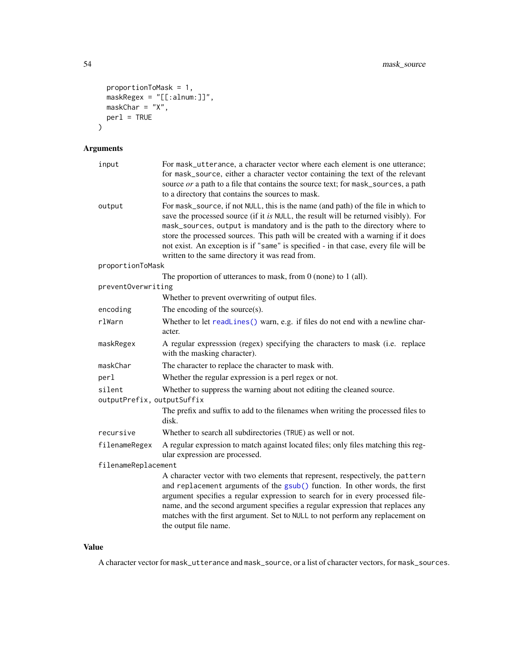```
proportionToMask = 1,
 maskRegex = "[[:alnum:]]",
 maskChar = "X",
  per1 = TRUE\mathcal{L}
```
# Arguments

| input                                | For mask_utterance, a character vector where each element is one utterance;<br>for mask_source, either a character vector containing the text of the relevant<br>source or a path to a file that contains the source text; for mask_sources, a path<br>to a directory that contains the sources to mask.                                                                                                                                                                               |
|--------------------------------------|----------------------------------------------------------------------------------------------------------------------------------------------------------------------------------------------------------------------------------------------------------------------------------------------------------------------------------------------------------------------------------------------------------------------------------------------------------------------------------------|
| output                               | For mask_source, if not NULL, this is the name (and path) of the file in which to<br>save the processed source (if it is NULL, the result will be returned visibly). For<br>mask_sources, output is mandatory and is the path to the directory where to<br>store the processed sources. This path will be created with a warning if it does<br>not exist. An exception is if "same" is specified - in that case, every file will be<br>written to the same directory it was read from. |
| proportionToMask                     |                                                                                                                                                                                                                                                                                                                                                                                                                                                                                        |
|                                      | The proportion of utterances to mask, from $0$ (none) to $1$ (all).                                                                                                                                                                                                                                                                                                                                                                                                                    |
| preventOverwriting                   |                                                                                                                                                                                                                                                                                                                                                                                                                                                                                        |
|                                      | Whether to prevent overwriting of output files.                                                                                                                                                                                                                                                                                                                                                                                                                                        |
| encoding                             | The encoding of the source $(s)$ .                                                                                                                                                                                                                                                                                                                                                                                                                                                     |
| rlWarn                               | Whether to let readLines() warn, e.g. if files do not end with a newline char-<br>acter.                                                                                                                                                                                                                                                                                                                                                                                               |
| maskRegex                            | A regular expresssion (regex) specifying the characters to mask (i.e. replace<br>with the masking character).                                                                                                                                                                                                                                                                                                                                                                          |
| maskChar                             | The character to replace the character to mask with.                                                                                                                                                                                                                                                                                                                                                                                                                                   |
| perl                                 | Whether the regular expression is a perl regex or not.                                                                                                                                                                                                                                                                                                                                                                                                                                 |
| silent<br>outputPrefix, outputSuffix | Whether to suppress the warning about not editing the cleaned source.                                                                                                                                                                                                                                                                                                                                                                                                                  |
|                                      | The prefix and suffix to add to the filenames when writing the processed files to<br>disk.                                                                                                                                                                                                                                                                                                                                                                                             |
| recursive                            | Whether to search all subdirectories (TRUE) as well or not.                                                                                                                                                                                                                                                                                                                                                                                                                            |
| filenameRegex                        | A regular expression to match against located files; only files matching this reg-<br>ular expression are processed.                                                                                                                                                                                                                                                                                                                                                                   |
| filenameReplacement                  |                                                                                                                                                                                                                                                                                                                                                                                                                                                                                        |
|                                      | A character vector with two elements that represent, respectively, the pattern<br>and replacement arguments of the gsub() function. In other words, the first<br>argument specifies a regular expression to search for in every processed file-<br>name, and the second argument specifies a regular expression that replaces any<br>matches with the first argument. Set to NULL to not perform any replacement on<br>the output file name.                                           |

#### Value

A character vector for mask\_utterance and mask\_source, or a list of character vectors, for mask\_sources.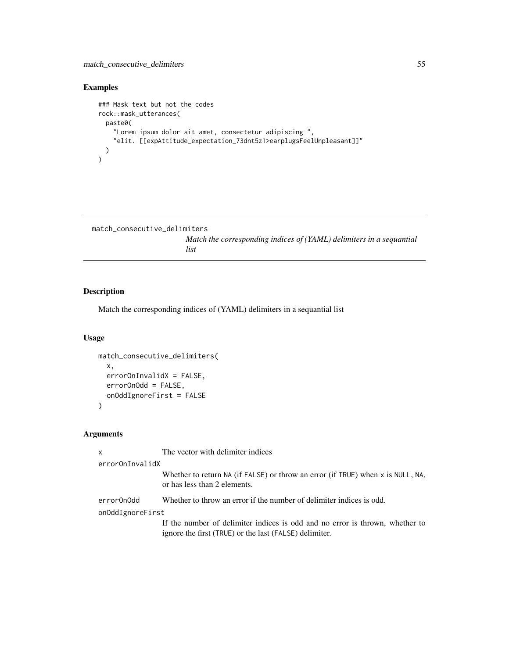## Examples

```
### Mask text but not the codes
rock::mask_utterances(
 paste0(
    "Lorem ipsum dolor sit amet, consectetur adipiscing ",
    "elit. [[expAttitude_expectation_73dnt5z1>earplugsFeelUnpleasant]]"
 )
)
```

```
match_consecutive_delimiters
```
*Match the corresponding indices of (YAML) delimiters in a sequantial list*

#### Description

Match the corresponding indices of (YAML) delimiters in a sequantial list

#### Usage

```
match_consecutive_delimiters(
  x,
 errorOnInvalidX = FALSE,
 errorOnOdd = FALSE,
  onOddIgnoreFirst = FALSE
)
```
## Arguments

x The vector with delimiter indices

```
errorOnInvalidX
```
Whether to return NA (if FALSE) or throw an error (if TRUE) when x is NULL, NA, or has less than 2 elements.

errorOnOdd Whether to throw an error if the number of delimiter indices is odd.

onOddIgnoreFirst

If the number of delimiter indices is odd and no error is thrown, whether to ignore the first (TRUE) or the last (FALSE) delimiter.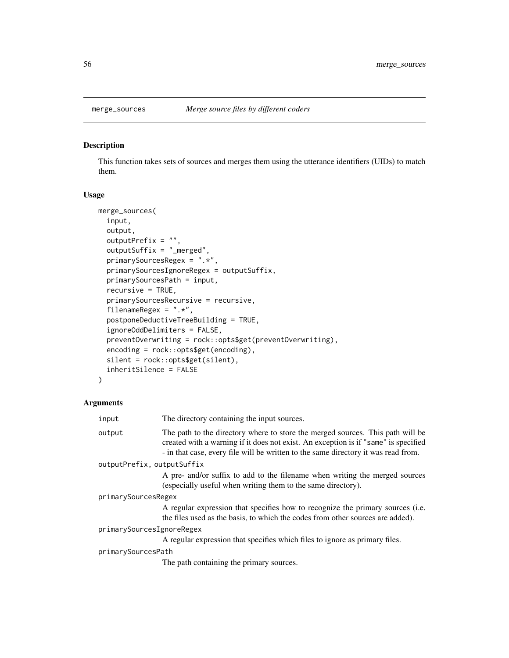## Description

This function takes sets of sources and merges them using the utterance identifiers (UIDs) to match them.

#### Usage

```
merge_sources(
  input,
  output,
  outputPrefix = "",
  outputSuffix = "_merged",
  primarySourcesRegex = ".*",
 primarySourcesIgnoreRegex = outputSuffix,
  primarySourcesPath = input,
  recursive = TRUE,
  primarySourcesRecursive = recursive,
  filenameRegex = ".*",
  postponeDeductiveTreeBuilding = TRUE,
  ignoreOddDelimiters = FALSE,
  preventOverwriting = rock::opts$get(preventOverwriting),
  encoding = rock::opts$get(encoding),
  silent = rock::opts$get(silent),
  inheritSilence = FALSE
)
```
# Arguments

| input                      | The directory containing the input sources.                                                                                                                                                                                                                 |
|----------------------------|-------------------------------------------------------------------------------------------------------------------------------------------------------------------------------------------------------------------------------------------------------------|
| output                     | The path to the directory where to store the merged sources. This path will be<br>created with a warning if it does not exist. An exception is if "same" is specified<br>- in that case, every file will be written to the same directory it was read from. |
| outputPrefix, outputSuffix |                                                                                                                                                                                                                                                             |
|                            | A pre- and/or suffix to add to the filename when writing the merged sources<br>(especially useful when writing them to the same directory).                                                                                                                 |
| primarySourcesRegex        |                                                                                                                                                                                                                                                             |
|                            | A regular expression that specifies how to recognize the primary sources (i.e.<br>the files used as the basis, to which the codes from other sources are added).                                                                                            |
| primarySourcesIgnoreRegex  |                                                                                                                                                                                                                                                             |
|                            | A regular expression that specifies which files to ignore as primary files.                                                                                                                                                                                 |
| primarySourcesPath         |                                                                                                                                                                                                                                                             |
|                            | The path containing the primary sources.                                                                                                                                                                                                                    |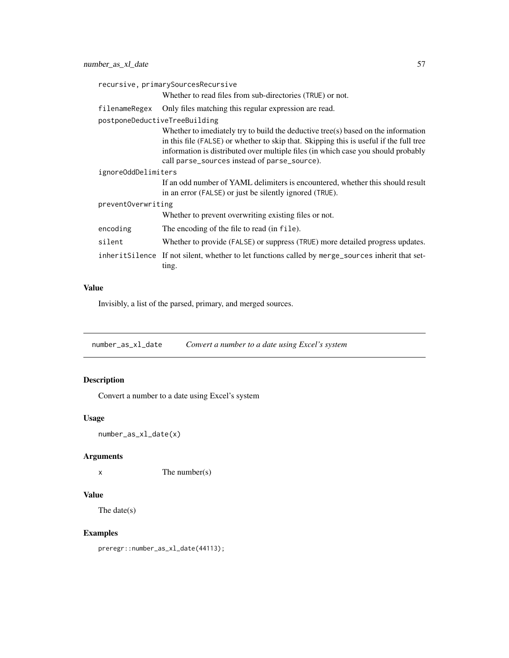| recursive, primarySourcesRecursive |                                                                                                                                                                                                                                                                                                                  |  |
|------------------------------------|------------------------------------------------------------------------------------------------------------------------------------------------------------------------------------------------------------------------------------------------------------------------------------------------------------------|--|
|                                    | Whether to read files from sub-directories (TRUE) or not.                                                                                                                                                                                                                                                        |  |
| filenameRegex                      | Only files matching this regular expression are read.                                                                                                                                                                                                                                                            |  |
| postponeDeductiveTreeBuilding      |                                                                                                                                                                                                                                                                                                                  |  |
|                                    | Whether to imediately try to build the deductive tree(s) based on the information<br>in this file (FALSE) or whether to skip that. Skipping this is useful if the full tree<br>information is distributed over multiple files (in which case you should probably<br>call parse_sources instead of parse_source). |  |
| ignoreOddDelimiters                |                                                                                                                                                                                                                                                                                                                  |  |
|                                    | If an odd number of YAML delimiters is encountered, whether this should result<br>in an error (FALSE) or just be silently ignored (TRUE).                                                                                                                                                                        |  |
| preventOverwriting                 |                                                                                                                                                                                                                                                                                                                  |  |
|                                    | Whether to prevent overwriting existing files or not.                                                                                                                                                                                                                                                            |  |
| encoding                           | The encoding of the file to read (in file).                                                                                                                                                                                                                                                                      |  |
| silent                             | Whether to provide (FALSE) or suppress (TRUE) more detailed progress updates.                                                                                                                                                                                                                                    |  |
|                                    | inherit Silence If not silent, whether to let functions called by merge_sources inherit that set-<br>ting.                                                                                                                                                                                                       |  |

## Value

Invisibly, a list of the parsed, primary, and merged sources.

number\_as\_xl\_date *Convert a number to a date using Excel's system*

# Description

Convert a number to a date using Excel's system

## Usage

```
number_as_xl_date(x)
```
## Arguments

x The number(s)

## Value

The date(s)

## Examples

preregr::number\_as\_xl\_date(44113);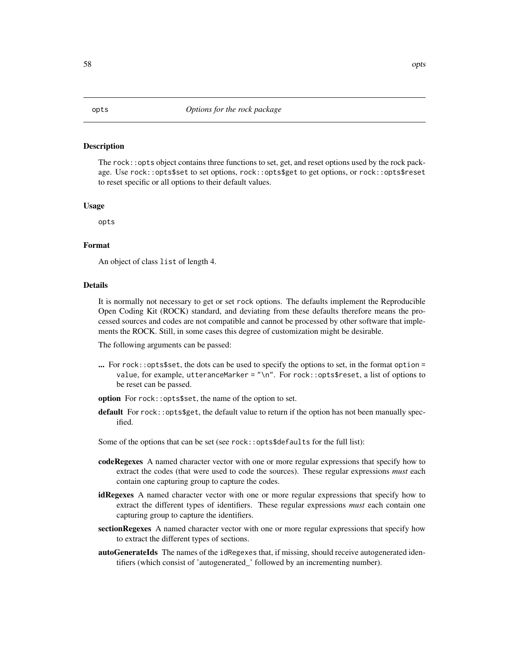#### Description

The rock::opts object contains three functions to set, get, and reset options used by the rock package. Use rock::opts\$set to set options, rock::opts\$get to get options, or rock::opts\$reset to reset specific or all options to their default values.

#### Usage

opts

#### Format

An object of class list of length 4.

#### Details

It is normally not necessary to get or set rock options. The defaults implement the Reproducible Open Coding Kit (ROCK) standard, and deviating from these defaults therefore means the processed sources and codes are not compatible and cannot be processed by other software that implements the ROCK. Still, in some cases this degree of customization might be desirable.

The following arguments can be passed:

- ... For rock::opts\$set, the dots can be used to specify the options to set, in the format option = value, for example, utteranceMarker = "\n". For rock::opts\$reset, a list of options to be reset can be passed.
- option For rock::opts\$set, the name of the option to set.
- **default** For rock:: opts\$get, the default value to return if the option has not been manually specified.

Some of the options that can be set (see rock::opts\$defaults for the full list):

- codeRegexes A named character vector with one or more regular expressions that specify how to extract the codes (that were used to code the sources). These regular expressions *must* each contain one capturing group to capture the codes.
- idRegexes A named character vector with one or more regular expressions that specify how to extract the different types of identifiers. These regular expressions *must* each contain one capturing group to capture the identifiers.
- sectionRegexes A named character vector with one or more regular expressions that specify how to extract the different types of sections.
- autoGenerateIds The names of the idRegexes that, if missing, should receive autogenerated identifiers (which consist of 'autogenerated\_' followed by an incrementing number).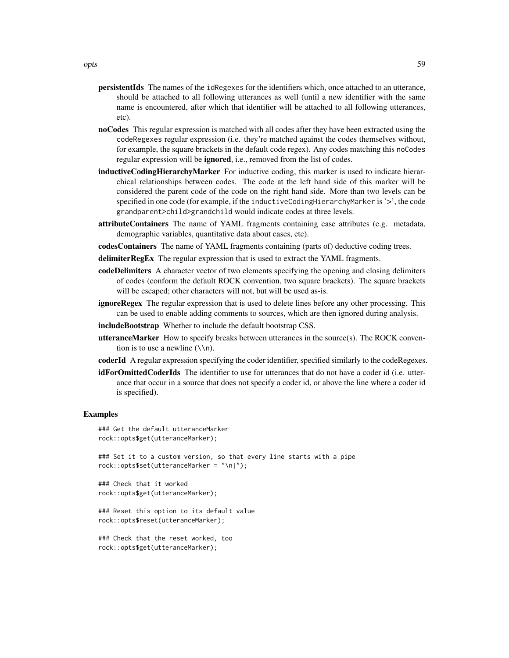- persistentIds The names of the idRegexes for the identifiers which, once attached to an utterance, should be attached to all following utterances as well (until a new identifier with the same name is encountered, after which that identifier will be attached to all following utterances, etc).
- noCodes This regular expression is matched with all codes after they have been extracted using the codeRegexes regular expression (i.e. they're matched against the codes themselves without, for example, the square brackets in the default code regex). Any codes matching this noCodes regular expression will be ignored, i.e., removed from the list of codes.
- inductiveCodingHierarchyMarker For inductive coding, this marker is used to indicate hierarchical relationships between codes. The code at the left hand side of this marker will be considered the parent code of the code on the right hand side. More than two levels can be specified in one code (for example, if the inductiveCodingHierarchyMarker is '>', the code grandparent>child>grandchild would indicate codes at three levels.
- attributeContainers The name of YAML fragments containing case attributes (e.g. metadata, demographic variables, quantitative data about cases, etc).
- codesContainers The name of YAML fragments containing (parts of) deductive coding trees.
- delimiterRegEx The regular expression that is used to extract the YAML fragments.
- codeDelimiters A character vector of two elements specifying the opening and closing delimiters of codes (conform the default ROCK convention, two square brackets). The square brackets will be escaped; other characters will not, but will be used as-is.
- ignoreRegex The regular expression that is used to delete lines before any other processing. This can be used to enable adding comments to sources, which are then ignored during analysis.
- includeBootstrap Whether to include the default bootstrap CSS.
- utteranceMarker How to specify breaks between utterances in the source(s). The ROCK convention is to use a newline  $(\n\ln)$ .
- coderId A regular expression specifying the coder identifier, specified similarly to the codeRegexes.
- **idForOmittedCoderIds** The identifier to use for utterances that do not have a coder id (i.e. utterance that occur in a source that does not specify a coder id, or above the line where a coder id is specified).

#### Examples

```
### Get the default utteranceMarker
rock::opts$get(utteranceMarker);
```
### Set it to a custom version, so that every line starts with a pipe rock::opts\$set(utteranceMarker = "\n|");

### Check that it worked rock::opts\$get(utteranceMarker);

### Reset this option to its default value rock::opts\$reset(utteranceMarker);

### Check that the reset worked, too rock::opts\$get(utteranceMarker);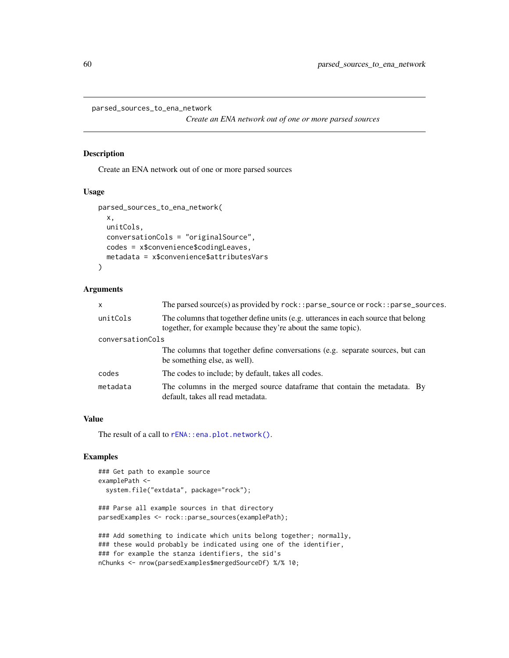parsed\_sources\_to\_ena\_network

*Create an ENA network out of one or more parsed sources*

#### Description

Create an ENA network out of one or more parsed sources

#### Usage

```
parsed_sources_to_ena_network(
  x,
  unitCols,
  conversationCols = "originalSource",
  codes = x$convenience$codingLeaves,
 metadata = x$convenience$attributesVars
)
```
#### Arguments

| $\mathsf{x}$     | The parsed source(s) as provided by $rock: parse\_source$ or $rock: parse\_sources$ .                                                              |
|------------------|----------------------------------------------------------------------------------------------------------------------------------------------------|
| unitCols         | The columns that together define units (e.g. utterances in each source that belong<br>together, for example because they're about the same topic). |
| conversationCols |                                                                                                                                                    |
|                  | The columns that together define conversations (e.g. separate sources, but can<br>be something else, as well).                                     |
| codes            | The codes to include; by default, takes all codes.                                                                                                 |
| metadata         | The columns in the merged source dataframe that contain the metadata. By<br>default, takes all read metadata.                                      |

#### Value

The result of a call to rENA:: ena.plot.network().

## Examples

```
### Get path to example source
examplePath <-
 system.file("extdata", package="rock");
### Parse all example sources in that directory
parsedExamples <- rock::parse_sources(examplePath);
### Add something to indicate which units belong together; normally,
### these would probably be indicated using one of the identifier,
```

```
### for example the stanza identifiers, the sid's
```

```
nChunks <- nrow(parsedExamples$mergedSourceDf) %/% 10;
```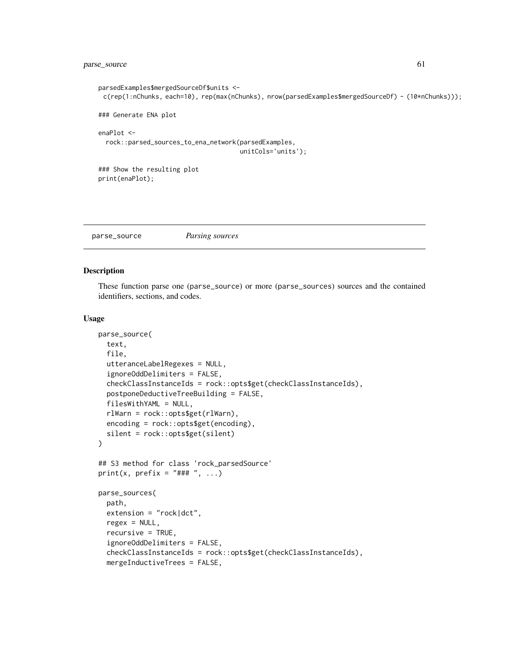```
parsedExamples$mergedSourceDf$units <-
 c(rep(1:nChunks, each=10), rep(max(nChunks), nrow(parsedExamples$mergedSourceDf) - (10*nChunks)));
### Generate ENA plot
enaPlot <-
 rock::parsed_sources_to_ena_network(parsedExamples,
                                      unitCols='units');
### Show the resulting plot
print(enaPlot);
```
parse\_source *Parsing sources*

#### <span id="page-60-0"></span>Description

These function parse one (parse\_source) or more (parse\_sources) sources and the contained identifiers, sections, and codes.

```
parse_source(
  text,
  file,
  utteranceLabelRegexes = NULL,
  ignoreOddDelimiters = FALSE,
  checkClassInstanceIds = rock::opts$get(checkClassInstanceIds),
  postponeDeductiveTreeBuilding = FALSE,
  filesWithYAML = NULL,
  rlWarn = rock::opts$get(rlWarn),
  encoding = rock::opts$get(encoding),
  silent = rock::opts$get(silent)
)
## S3 method for class 'rock_parsedSource'
print(x, prefix = "### ", ...)
parse_sources(
  path,
  extension = "rock|dct",
  regex = NULL,
  recursive = TRUE,
  ignoreOddDelimiters = FALSE,
  checkClassInstanceIds = rock::opts$get(checkClassInstanceIds),
  mergeInductiveTrees = FALSE,
```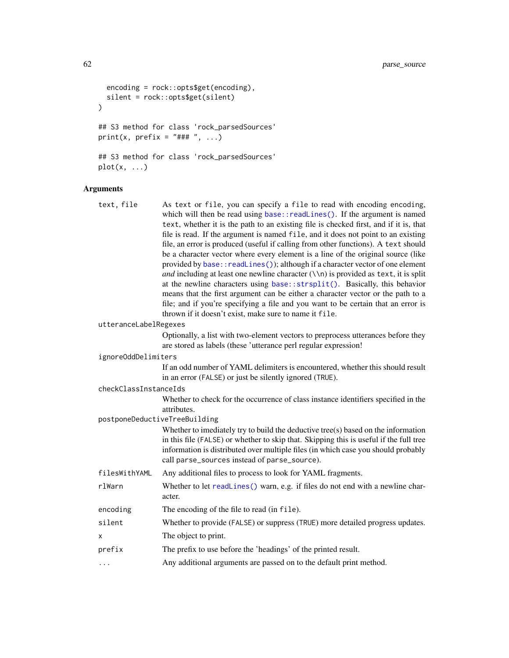```
encoding = rock::opts$get(encoding),
  silent = rock::opts$get(silent)
)
## S3 method for class 'rock_parsedSources'
print(x, prefix = "### ", ...)
## S3 method for class 'rock_parsedSources'
plot(x, \ldots)
```

```
Arguments
    text, file As text or file, you can specify a file to read with encoding encoding,
                      base::readLines(). If the argument is named
                       text, whether it is the path to an existing file is checked first, and if it is, that
                      file is read. If the argument is named file, and it does not point to an existing
                      file, an error is produced (useful if calling from other functions). A text should
                      be a character vector where every element is a line of the original source (like
                      provided by base:: readLines()); although if a character vector of one element
                      and including at least one newline character (\nabla \nabla n) is provided as text, it is split
                      at the newline characters using base::strsplit(). Basically, this behavior
                      means that the first argument can be either a character vector or the path to a
                      file; and if you're specifying a file and you want to be certain that an error is
                      thrown if it doesn't exist, make sure to name it file.
    utteranceLabelRegexes
                      Optionally, a list with two-element vectors to preprocess utterances before they
                      are stored as labels (these 'utterance perl regular expression!
    ignoreOddDelimiters
                      If an odd number of YAML delimiters is encountered, whether this should result
                      in an error (FALSE) or just be silently ignored (TRUE).
    checkClassInstanceIds
                      Whether to check for the occurrence of class instance identifiers specified in the
                      attributes.
    postponeDeductiveTreeBuilding
                      Whether to imediately try to build the deductive tree(s) based on the information
                      in this file (FALSE) or whether to skip that. Skipping this is useful if the full tree
                      information is distributed over multiple files (in which case you should probably
                      call parse_sources instead of parse_source).
    filesWithYAML Any additional files to process to look for YAML fragments.
    rlWarn Whether to let readLines() warn, e.g. if files do not end with a newline char-
                      acter.
    encoding The encoding of the file to read (in file).
    silent Whether to provide (FALSE) or suppress (TRUE) more detailed progress updates.
    x The object to print.
    prefix The prefix to use before the 'headings' of the printed result.
                      Any additional arguments are passed on to the default print method.
```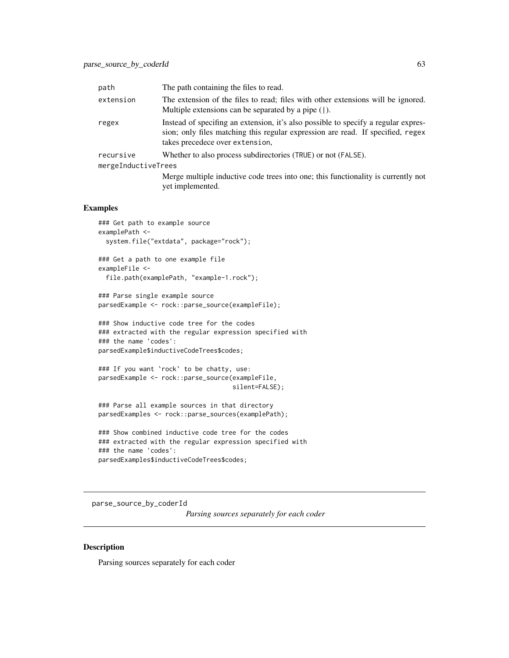| path                | The path containing the files to read.                                                                                                                                                                   |
|---------------------|----------------------------------------------------------------------------------------------------------------------------------------------------------------------------------------------------------|
| extension           | The extension of the files to read; files with other extensions will be ignored.<br>Multiple extensions can be separated by a pipe $( )$ .                                                               |
| regex               | Instead of specifing an extension, it's also possible to specify a regular expres-<br>sion; only files matching this regular expression are read. If specified, regex<br>takes precedece over extension, |
| recursive           | Whether to also process subdirectories (TRUE) or not (FALSE).                                                                                                                                            |
| mergeInductiveTrees |                                                                                                                                                                                                          |
|                     | Merge multiple inductive code trees into one; this functionality is currently not<br>yet implemented.                                                                                                    |

#### Examples

```
### Get path to example source
examplePath <-
 system.file("extdata", package="rock");
```

```
### Get a path to one example file
exampleFile <-
 file.path(examplePath, "example-1.rock");
```

```
### Parse single example source
parsedExample <- rock::parse_source(exampleFile);
```

```
### Show inductive code tree for the codes
### extracted with the regular expression specified with
### the name 'codes':
parsedExample$inductiveCodeTrees$codes;
```

```
### If you want `rock` to be chatty, use:
parsedExample <- rock::parse_source(exampleFile,
                                    silent=FALSE);
```

```
### Parse all example sources in that directory
parsedExamples <- rock::parse_sources(examplePath);
```

```
### Show combined inductive code tree for the codes
### extracted with the regular expression specified with
### the name 'codes':
parsedExamples$inductiveCodeTrees$codes;
```
parse\_source\_by\_coderId

*Parsing sources separately for each coder*

#### Description

Parsing sources separately for each coder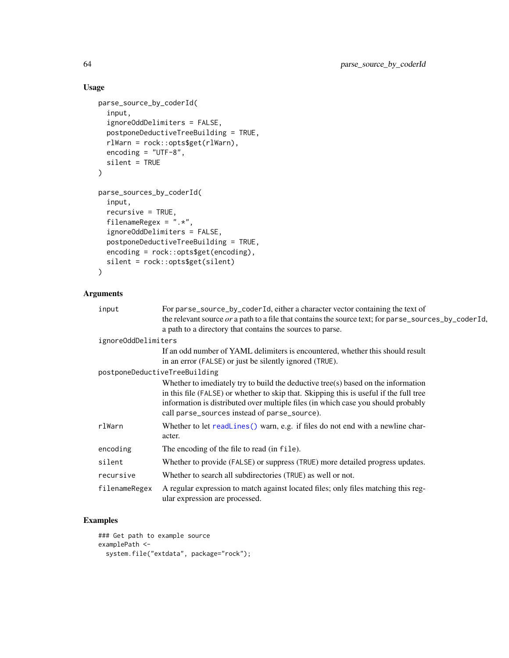## Usage

```
parse_source_by_coderId(
  input,
  ignoreOddDelimiters = FALSE,
  postponeDeductiveTreeBuilding = TRUE,
  rlWarn = rock::opts$get(rlWarn),
  encoding = "UTF-8",
  silent = TRUE
\mathcal{L}parse_sources_by_coderId(
  input,
  recursive = TRUE,
  filenameRegex = ".*",
  ignoreOddDelimiters = FALSE,
  postponeDeductiveTreeBuilding = TRUE,
  encoding = rock::opts$get(encoding),
  silent = rock::opts$get(silent)
)
```
## Arguments

| input               | For parse_source_by_coderId, either a character vector containing the text of<br>the relevant source or a path to a file that contains the source text; for parse_sources_by_coderId,                                                                                                                            |
|---------------------|------------------------------------------------------------------------------------------------------------------------------------------------------------------------------------------------------------------------------------------------------------------------------------------------------------------|
|                     | a path to a directory that contains the sources to parse.                                                                                                                                                                                                                                                        |
| ignoreOddDelimiters |                                                                                                                                                                                                                                                                                                                  |
|                     | If an odd number of YAML delimiters is encountered, whether this should result<br>in an error (FALSE) or just be silently ignored (TRUE).                                                                                                                                                                        |
|                     | postponeDeductiveTreeBuilding                                                                                                                                                                                                                                                                                    |
|                     | Whether to imediately try to build the deductive tree(s) based on the information<br>in this file (FALSE) or whether to skip that. Skipping this is useful if the full tree<br>information is distributed over multiple files (in which case you should probably<br>call parse_sources instead of parse_source). |
| rlWarn              | Whether to let readLines () warn, e.g. if files do not end with a newline char-<br>acter.                                                                                                                                                                                                                        |
| encoding            | The encoding of the file to read (in file).                                                                                                                                                                                                                                                                      |
| silent              | Whether to provide (FALSE) or suppress (TRUE) more detailed progress updates.                                                                                                                                                                                                                                    |
| recursive           | Whether to search all subdirectories (TRUE) as well or not.                                                                                                                                                                                                                                                      |
| filenameRegex       | A regular expression to match against located files; only files matching this reg-<br>ular expression are processed.                                                                                                                                                                                             |

# Examples

```
### Get path to example source
examplePath <-
  system.file("extdata", package="rock");
```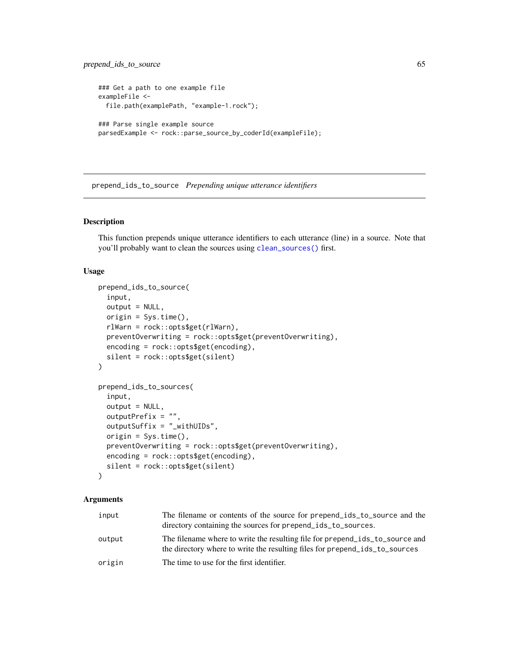```
### Get a path to one example file
exampleFile <-
 file.path(examplePath, "example-1.rock");
### Parse single example source
parsedExample <- rock::parse_source_by_coderId(exampleFile);
```
prepend\_ids\_to\_source *Prepending unique utterance identifiers*

#### <span id="page-64-0"></span>Description

This function prepends unique utterance identifiers to each utterance (line) in a source. Note that you'll probably want to clean the sources using [clean\\_sources\(\)](#page-10-0) first.

#### Usage

```
prepend_ids_to_source(
  input,
  output = NULL,
  origin = Sys.time(),
  rlWarn = rock::opts$get(rlWarn),
  preventOverwriting = rock::opts$get(preventOverwriting),
  encoding = rock::opts$get(encoding),
  silent = rock::opts$get(silent)
\mathcal{L}prepend_ids_to_sources(
  input,
  output = NULL,
  outputPrefix = "",
  outputSuffix = "_withUIDs",
  origin = Sys.time(),
  preventOverwriting = rock::opts$get(preventOverwriting),
  encoding = rock::opts$get(encoding),
  silent = rock::opts$get(silent)
)
```
#### Arguments

| input  | The filename or contents of the source for prepend ids to source and the<br>directory containing the sources for prepend ids to sources.                    |
|--------|-------------------------------------------------------------------------------------------------------------------------------------------------------------|
| output | The filename where to write the resulting file for prepend_ids_to_source and<br>the directory where to write the resulting files for prepend ids to sources |
| origin | The time to use for the first identifier.                                                                                                                   |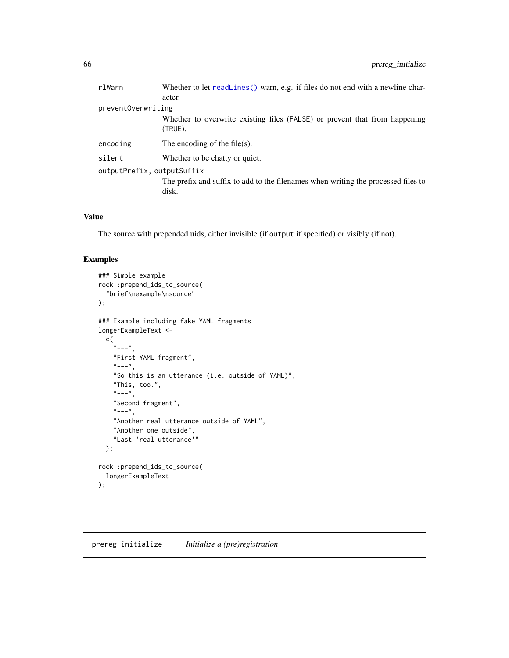| rlWarn                     | Whether to let readLines () warn, e.g. if files do not end with a newline char-          |
|----------------------------|------------------------------------------------------------------------------------------|
|                            | acter.                                                                                   |
| preventOverwriting         |                                                                                          |
|                            | Whether to overwrite existing files (FALSE) or prevent that from happening<br>$(TRUE)$ . |
| encoding                   | The encoding of the file(s).                                                             |
| silent                     | Whether to be chatty or quiet.                                                           |
| outputPrefix, outputSuffix |                                                                                          |
|                            | The prefix and suffix to add to the filenames when writing the processed files to        |
|                            | disk.                                                                                    |
|                            |                                                                                          |

## Value

The source with prepended uids, either invisible (if output if specified) or visibly (if not).

## Examples

```
### Simple example
rock::prepend_ids_to_source(
  "brief\nexample\nsource"
);
### Example including fake YAML fragments
longerExampleText <-
 c(
    "---",
   "First YAML fragment",
    "---",
    "So this is an utterance (i.e. outside of YAML)",
    "This, too.",
    "---",
    "Second fragment",
    "---",
    "Another real utterance outside of YAML",
    "Another one outside",
    "Last 'real utterance'"
 );
rock::prepend_ids_to_source(
  longerExampleText
);
```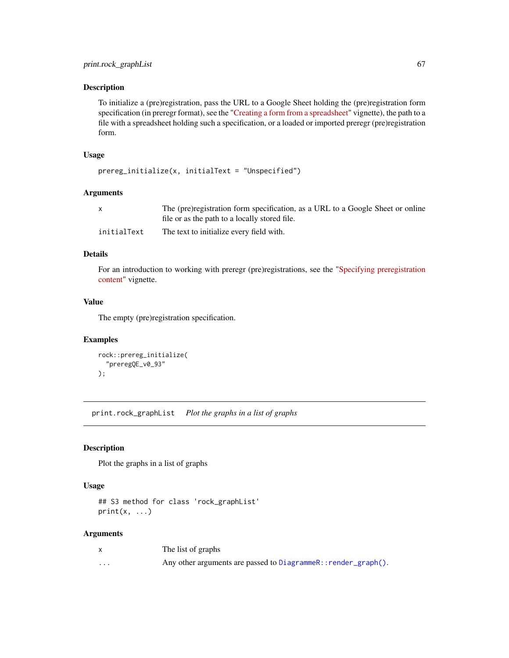#### Description

To initialize a (pre)registration, pass the URL to a Google Sheet holding the (pre)registration form specification (in preregr format), see the ["Creating a form from a spreadsheet"](https://r-packages.gitlab.io/preregr/articles/creating_form_from_spreadsheet.html) vignette), the path to a file with a spreadsheet holding such a specification, or a loaded or imported preregr (pre)registration form.

#### Usage

```
prereg_initialize(x, initialText = "Unspecified")
```
#### Arguments

|             | The (pre)registration form specification, as a URL to a Google Sheet or online |
|-------------|--------------------------------------------------------------------------------|
|             | file or as the path to a locally stored file.                                  |
| initialText | The text to initialize every field with.                                       |

## Details

For an introduction to working with preregr (pre)registrations, see the ["Specifying preregistration](https://r-packages.gitlab.io/preregr/articles/specifying_prereg_content.html) [content"](https://r-packages.gitlab.io/preregr/articles/specifying_prereg_content.html) vignette.

# Value

The empty (pre)registration specification.

#### Examples

```
rock::prereg_initialize(
  "preregQE_v0_93"
);
```
print.rock\_graphList *Plot the graphs in a list of graphs*

## Description

Plot the graphs in a list of graphs

#### Usage

```
## S3 method for class 'rock_graphList'
print(x, \ldots)
```
## Arguments

|          | The list of graphs                                             |
|----------|----------------------------------------------------------------|
| $\cdots$ | Any other arguments are passed to DiagrammeR:: render_graph(). |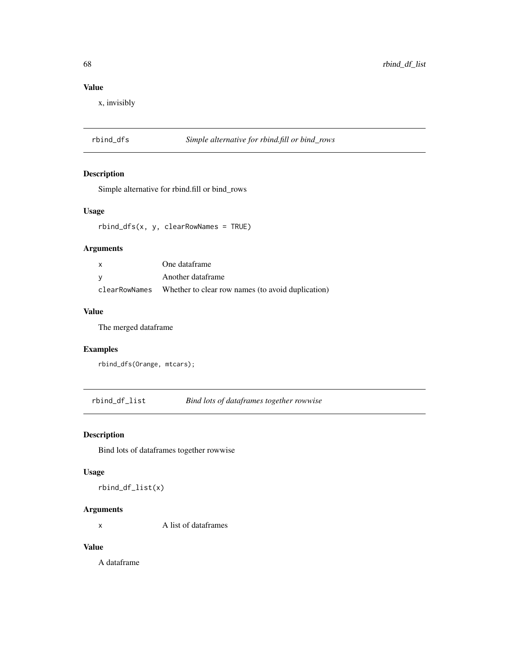# Value

x, invisibly

# rbind\_dfs *Simple alternative for rbind.fill or bind\_rows*

# Description

Simple alternative for rbind.fill or bind\_rows

#### Usage

rbind\_dfs(x, y, clearRowNames = TRUE)

## Arguments

| x | One dataframe                                                    |
|---|------------------------------------------------------------------|
| v | Another dataframe                                                |
|   | clear RowNames Whether to clear row names (to avoid duplication) |

#### Value

The merged dataframe

## Examples

```
rbind_dfs(Orange, mtcars);
```
rbind\_df\_list *Bind lots of dataframes together rowwise*

## Description

Bind lots of dataframes together rowwise

## Usage

rbind\_df\_list(x)

## Arguments

x A list of dataframes

#### Value

A dataframe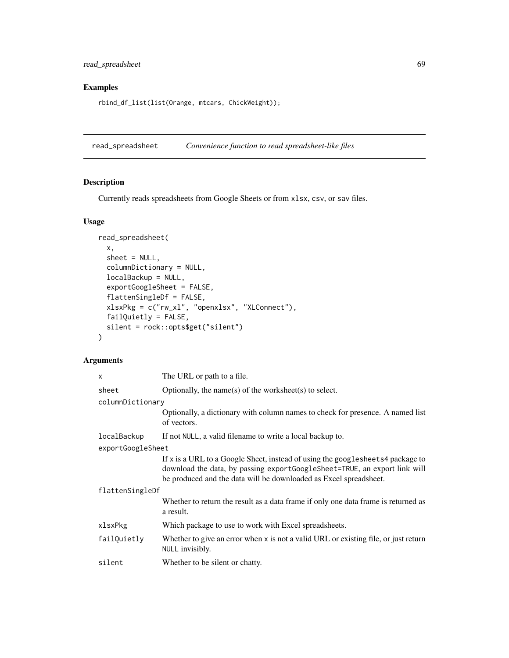read\_spreadsheet 69

# Examples

rbind\_df\_list(list(Orange, mtcars, ChickWeight));

read\_spreadsheet *Convenience function to read spreadsheet-like files*

## Description

Currently reads spreadsheets from Google Sheets or from xlsx, csv, or sav files.

## Usage

```
read_spreadsheet(
  x,
  sheet = NULL,columnDictionary = NULL,
 localBackup = NULL,
  exportGoogleSheet = FALSE,
  flattenSingleDf = FALSE,
 xlsxPkg = c("rw_xl", "openxlsx", "XLConnect"),
  failQuietly = FALSE,
  silent = rock::opts$get("silent")
\mathcal{L}
```
## Arguments

| $\mathsf{x}$      | The URL or path to a file.                                                                                                                                                                                                         |  |
|-------------------|------------------------------------------------------------------------------------------------------------------------------------------------------------------------------------------------------------------------------------|--|
| sheet             | Optionally, the name(s) of the worksheet(s) to select.                                                                                                                                                                             |  |
| columnDictionary  |                                                                                                                                                                                                                                    |  |
|                   | Optionally, a dictionary with column names to check for presence. A named list<br>of vectors.                                                                                                                                      |  |
| localBackup       | If not NULL, a valid filename to write a local backup to.                                                                                                                                                                          |  |
| exportGoogleSheet |                                                                                                                                                                                                                                    |  |
|                   | If x is a URL to a Google Sheet, instead of using the googlesheets4 package to<br>download the data, by passing export Google Sheet=TRUE, an export link will<br>be produced and the data will be downloaded as Excel spreadsheet. |  |
| flattenSingleDf   |                                                                                                                                                                                                                                    |  |
|                   | Whether to return the result as a data frame if only one data frame is returned as<br>a result.                                                                                                                                    |  |
| xlsxPkg           | Which package to use to work with Excel spreadsheets.                                                                                                                                                                              |  |
| failQuietly       | Whether to give an error when x is not a valid URL or existing file, or just return<br>NULL invisibly.                                                                                                                             |  |
| silent            | Whether to be silent or chatty.                                                                                                                                                                                                    |  |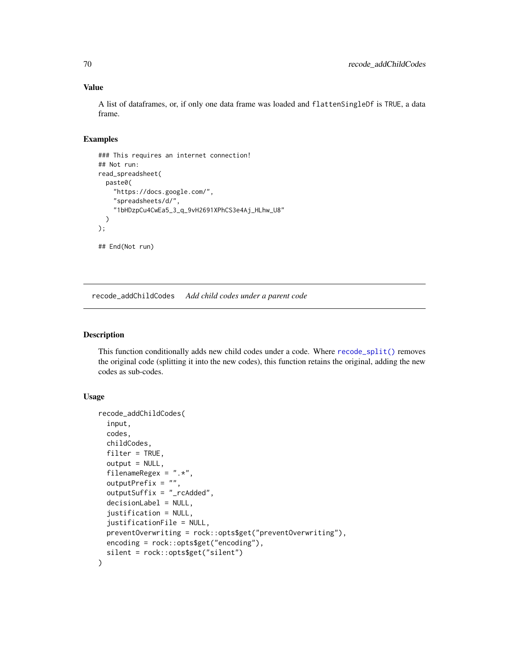#### Value

A list of dataframes, or, if only one data frame was loaded and flattenSingleDf is TRUE, a data frame.

#### Examples

```
### This requires an internet connection!
## Not run:
read_spreadsheet(
  paste0(
    "https://docs.google.com/",
    "spreadsheets/d/",
    "1bHDzpCu4CwEa5_3_q_9vH2691XPhCS3e4Aj_HLhw_U8"
  )
);
## End(Not run)
```
recode\_addChildCodes *Add child codes under a parent code*

#### Description

This function conditionally adds new child codes under a code. Where [recode\\_split\(\)](#page-78-0) removes the original code (splitting it into the new codes), this function retains the original, adding the new codes as sub-codes.

```
recode_addChildCodes(
  input,
  codes,
  childCodes,
  filter = TRUE,
  output = NULL,filenameRegex = ".*",
  outputPrefix = "",
  outputSuffix = "_rcAdded",
  decisionLabel = NULL,
  justification = NULL,
  justificationFile = NULL,
  preventOverwriting = rock::opts$get("preventOverwriting"),
 encoding = rock::opts$get("encoding"),
  silent = rock::opts$get("silent")
)
```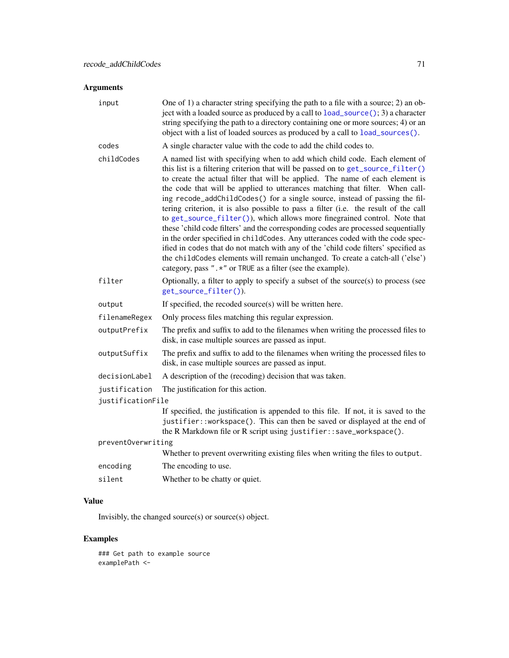# Arguments

| input              | One of 1) a character string specifying the path to a file with a source; 2) an ob-<br>ject with a loaded source as produced by a call to load_source(); 3) a character<br>string specifying the path to a directory containing one or more sources; 4) or an<br>object with a list of loaded sources as produced by a call to load_sources().                                                                                                                                                                                                                                                                                                                                                                                                                                                                                                                                                                                                                                                   |  |
|--------------------|--------------------------------------------------------------------------------------------------------------------------------------------------------------------------------------------------------------------------------------------------------------------------------------------------------------------------------------------------------------------------------------------------------------------------------------------------------------------------------------------------------------------------------------------------------------------------------------------------------------------------------------------------------------------------------------------------------------------------------------------------------------------------------------------------------------------------------------------------------------------------------------------------------------------------------------------------------------------------------------------------|--|
| codes              | A single character value with the code to add the child codes to.                                                                                                                                                                                                                                                                                                                                                                                                                                                                                                                                                                                                                                                                                                                                                                                                                                                                                                                                |  |
| childCodes         | A named list with specifying when to add which child code. Each element of<br>this list is a filtering criterion that will be passed on to get_source_filter()<br>to create the actual filter that will be applied. The name of each element is<br>the code that will be applied to utterances matching that filter. When call-<br>ing recode_addChildCodes() for a single source, instead of passing the fil-<br>tering criterion, it is also possible to pass a filter (i.e. the result of the call<br>to get_source_filter()), which allows more finegrained control. Note that<br>these 'child code filters' and the corresponding codes are processed sequentially<br>in the order specified in childCodes. Any utterances coded with the code spec-<br>ified in codes that do not match with any of the 'child code filters' specified as<br>the childCodes elements will remain unchanged. To create a catch-all ('else')<br>category, pass " .* " or TRUE as a filter (see the example). |  |
| filter             | Optionally, a filter to apply to specify a subset of the source(s) to process (see<br>get_source_filter()).                                                                                                                                                                                                                                                                                                                                                                                                                                                                                                                                                                                                                                                                                                                                                                                                                                                                                      |  |
| output             | If specified, the recoded source(s) will be written here.                                                                                                                                                                                                                                                                                                                                                                                                                                                                                                                                                                                                                                                                                                                                                                                                                                                                                                                                        |  |
| filenameRegex      | Only process files matching this regular expression.                                                                                                                                                                                                                                                                                                                                                                                                                                                                                                                                                                                                                                                                                                                                                                                                                                                                                                                                             |  |
| outputPrefix       | The prefix and suffix to add to the filenames when writing the processed files to<br>disk, in case multiple sources are passed as input.                                                                                                                                                                                                                                                                                                                                                                                                                                                                                                                                                                                                                                                                                                                                                                                                                                                         |  |
| outputSuffix       | The prefix and suffix to add to the filenames when writing the processed files to<br>disk, in case multiple sources are passed as input.                                                                                                                                                                                                                                                                                                                                                                                                                                                                                                                                                                                                                                                                                                                                                                                                                                                         |  |
| decisionLabel      | A description of the (recoding) decision that was taken.                                                                                                                                                                                                                                                                                                                                                                                                                                                                                                                                                                                                                                                                                                                                                                                                                                                                                                                                         |  |
| justification      | The justification for this action.                                                                                                                                                                                                                                                                                                                                                                                                                                                                                                                                                                                                                                                                                                                                                                                                                                                                                                                                                               |  |
| justificationFile  |                                                                                                                                                                                                                                                                                                                                                                                                                                                                                                                                                                                                                                                                                                                                                                                                                                                                                                                                                                                                  |  |
|                    | If specified, the justification is appended to this file. If not, it is saved to the<br>justifier:: workspace(). This can then be saved or displayed at the end of<br>the R Markdown file or R script using justifier::save_workspace().                                                                                                                                                                                                                                                                                                                                                                                                                                                                                                                                                                                                                                                                                                                                                         |  |
| preventOverwriting |                                                                                                                                                                                                                                                                                                                                                                                                                                                                                                                                                                                                                                                                                                                                                                                                                                                                                                                                                                                                  |  |
|                    | Whether to prevent overwriting existing files when writing the files to output.                                                                                                                                                                                                                                                                                                                                                                                                                                                                                                                                                                                                                                                                                                                                                                                                                                                                                                                  |  |
| encoding           | The encoding to use.                                                                                                                                                                                                                                                                                                                                                                                                                                                                                                                                                                                                                                                                                                                                                                                                                                                                                                                                                                             |  |
| silent             | Whether to be chatty or quiet.                                                                                                                                                                                                                                                                                                                                                                                                                                                                                                                                                                                                                                                                                                                                                                                                                                                                                                                                                                   |  |

# Value

Invisibly, the changed source(s) or source(s) object.

# Examples

### Get path to example source examplePath <-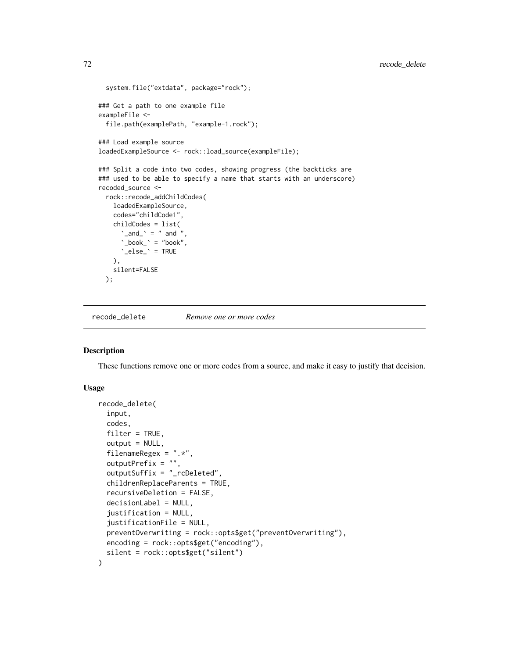```
system.file("extdata", package="rock");
### Get a path to one example file
exampleFile <-
 file.path(examplePath, "example-1.rock");
### Load example source
loadedExampleSource <- rock::load_source(exampleFile);
### Split a code into two codes, showing progress (the backticks are
### used to be able to specify a name that starts with an underscore)
recoded_source <-
 rock::recode_addChildCodes(
    loadedExampleSource,
   codes="childCode1",
    childCodes = list(
      \text{`and'} = " and ",
      \text{``\_book\text{''}} = \text{``book''},'\_else'_ = TRUE
   ),
   silent=FALSE
 );
```
recode\_delete *Remove one or more codes*

#### Description

These functions remove one or more codes from a source, and make it easy to justify that decision.

```
recode_delete(
  input,
  codes,
  filter = TRUE,
  output = NULL,filenameRegex = ".*",
  outputPrefix = ",
  outputSuffix = "_rcDeleted",
  childrenReplaceParents = TRUE,
  recursiveDeletion = FALSE,
  decisionLabel = NULL,
  justification = NULL,
  justificationFile = NULL,
  preventOverwriting = rock::opts$get("preventOverwriting"),
 encoding = rock::opts$get("encoding"),
  silent = rock::opts$get("silent")
)
```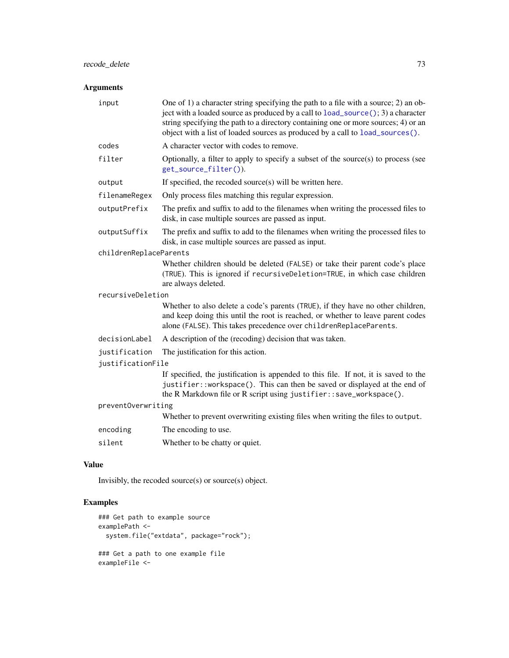# <span id="page-72-0"></span>Arguments

| input                  | One of 1) a character string specifying the path to a file with a source; 2) an ob-<br>ject with a loaded source as produced by a call to $load\_source()$ ; 3) a character<br>string specifying the path to a directory containing one or more sources; 4) or an<br>object with a list of loaded sources as produced by a call to load_sources(). |
|------------------------|----------------------------------------------------------------------------------------------------------------------------------------------------------------------------------------------------------------------------------------------------------------------------------------------------------------------------------------------------|
| codes                  | A character vector with codes to remove.                                                                                                                                                                                                                                                                                                           |
| filter                 | Optionally, a filter to apply to specify a subset of the source $(s)$ to process (see<br>get_source_filter()).                                                                                                                                                                                                                                     |
| output                 | If specified, the recoded source(s) will be written here.                                                                                                                                                                                                                                                                                          |
| filenameRegex          | Only process files matching this regular expression.                                                                                                                                                                                                                                                                                               |
| outputPrefix           | The prefix and suffix to add to the filenames when writing the processed files to<br>disk, in case multiple sources are passed as input.                                                                                                                                                                                                           |
| outputSuffix           | The prefix and suffix to add to the filenames when writing the processed files to<br>disk, in case multiple sources are passed as input.                                                                                                                                                                                                           |
| childrenReplaceParents |                                                                                                                                                                                                                                                                                                                                                    |
|                        | Whether children should be deleted (FALSE) or take their parent code's place<br>(TRUE). This is ignored if recursiveDeletion=TRUE, in which case children<br>are always deleted.                                                                                                                                                                   |
| recursiveDeletion      |                                                                                                                                                                                                                                                                                                                                                    |
|                        | Whether to also delete a code's parents (TRUE), if they have no other children,<br>and keep doing this until the root is reached, or whether to leave parent codes<br>alone (FALSE). This takes precedence over childrenReplaceParents.                                                                                                            |
| decisionLabel          | A description of the (recoding) decision that was taken.                                                                                                                                                                                                                                                                                           |
| justification          | The justification for this action.                                                                                                                                                                                                                                                                                                                 |
| justificationFile      |                                                                                                                                                                                                                                                                                                                                                    |
|                        | If specified, the justification is appended to this file. If not, it is saved to the<br>justifier::workspace(). This can then be saved or displayed at the end of<br>the R Markdown file or R script using justifier::save_workspace().                                                                                                            |
| preventOverwriting     |                                                                                                                                                                                                                                                                                                                                                    |
|                        | Whether to prevent overwriting existing files when writing the files to output.                                                                                                                                                                                                                                                                    |
| encoding               | The encoding to use.                                                                                                                                                                                                                                                                                                                               |
| silent                 | Whether to be chatty or quiet.                                                                                                                                                                                                                                                                                                                     |

# Value

Invisibly, the recoded source(s) or source(s) object.

```
### Get path to example source
examplePath <-
 system.file("extdata", package="rock");
### Get a path to one example file
exampleFile <-
```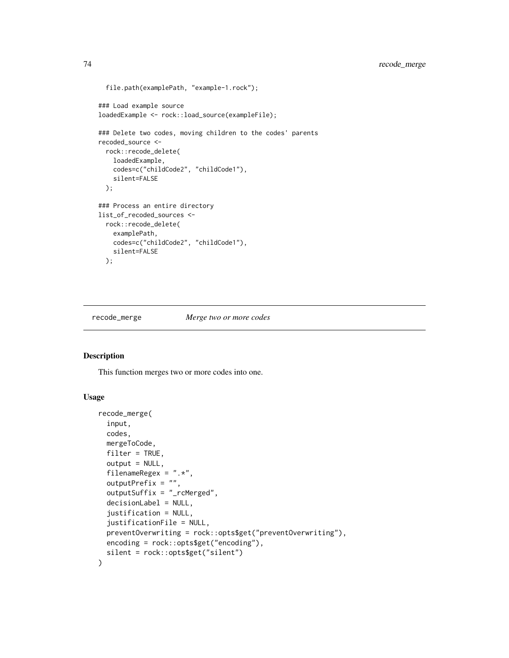```
file.path(examplePath, "example-1.rock");
### Load example source
loadedExample <- rock::load_source(exampleFile);
### Delete two codes, moving children to the codes' parents
recoded_source <-
  rock::recode_delete(
   loadedExample,
   codes=c("childCode2", "childCode1"),
   silent=FALSE
  );
### Process an entire directory
list_of_recoded_sources <-
  rock::recode_delete(
   examplePath,
   codes=c("childCode2", "childCode1"),
   silent=FALSE
  );
```
recode\_merge *Merge two or more codes*

#### Description

This function merges two or more codes into one.

#### Usage

```
recode_merge(
  input,
  codes,
 mergeToCode,
 filter = TRUE,
  output = NULL,filenameRegex = ".*",
  outputPrefix = "",
  outputSuffix = "_rcMerged",
  decisionLabel = NULL,
  justification = NULL,
  justificationFile = NULL,
  preventOverwriting = rock::opts$get("preventOverwriting"),
 encoding = rock::opts$get("encoding"),
  silent = rock::opts$get("silent")
)
```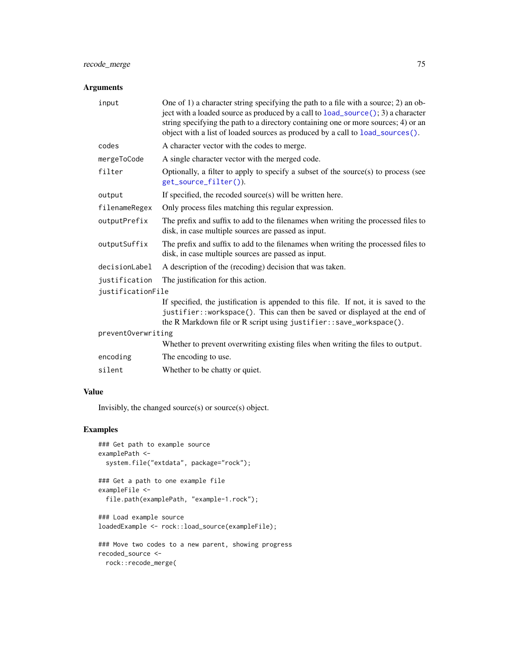# <span id="page-74-0"></span>recode\_merge 75

# Arguments

| input              | One of 1) a character string specifying the path to a file with a source; 2) an ob-<br>ject with a loaded source as produced by a call to $load\_source$ (); 3) a character<br>string specifying the path to a directory containing one or more sources; 4) or an<br>object with a list of loaded sources as produced by a call to load_sources(). |  |
|--------------------|----------------------------------------------------------------------------------------------------------------------------------------------------------------------------------------------------------------------------------------------------------------------------------------------------------------------------------------------------|--|
| codes              | A character vector with the codes to merge.                                                                                                                                                                                                                                                                                                        |  |
| mergeToCode        | A single character vector with the merged code.                                                                                                                                                                                                                                                                                                    |  |
| filter             | Optionally, a filter to apply to specify a subset of the source $(s)$ to process (see<br>get_source_filter()).                                                                                                                                                                                                                                     |  |
| output             | If specified, the recoded source(s) will be written here.                                                                                                                                                                                                                                                                                          |  |
| filenameRegex      | Only process files matching this regular expression.                                                                                                                                                                                                                                                                                               |  |
| outputPrefix       | The prefix and suffix to add to the filenames when writing the processed files to<br>disk, in case multiple sources are passed as input.                                                                                                                                                                                                           |  |
| outputSuffix       | The prefix and suffix to add to the filenames when writing the processed files to<br>disk, in case multiple sources are passed as input.                                                                                                                                                                                                           |  |
| decisionLabel      | A description of the (recoding) decision that was taken.                                                                                                                                                                                                                                                                                           |  |
| justification      | The justification for this action.                                                                                                                                                                                                                                                                                                                 |  |
| justificationFile  |                                                                                                                                                                                                                                                                                                                                                    |  |
|                    | If specified, the justification is appended to this file. If not, it is saved to the<br>justifier::workspace(). This can then be saved or displayed at the end of<br>the R Markdown file or R script using justifier: $:$ save_workspace().                                                                                                        |  |
| preventOverwriting |                                                                                                                                                                                                                                                                                                                                                    |  |
|                    | Whether to prevent overwriting existing files when writing the files to output.                                                                                                                                                                                                                                                                    |  |
| encoding           | The encoding to use.                                                                                                                                                                                                                                                                                                                               |  |
| silent             | Whether to be chatty or quiet.                                                                                                                                                                                                                                                                                                                     |  |
|                    |                                                                                                                                                                                                                                                                                                                                                    |  |

# Value

Invisibly, the changed source(s) or source(s) object.

```
### Get path to example source
examplePath <-
  system.file("extdata", package="rock");
### Get a path to one example file
exampleFile <-
  file.path(examplePath, "example-1.rock");
### Load example source
loadedExample <- rock::load_source(exampleFile);
```

```
### Move two codes to a new parent, showing progress
recoded_source <-
 rock::recode_merge(
```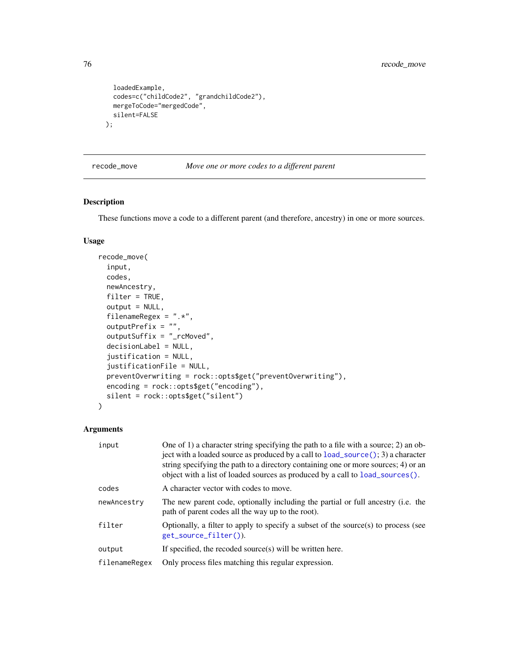```
loadedExample,
  codes=c("childCode2", "grandchildCode2"),
 mergeToCode="mergedCode",
 silent=FALSE
);
```
recode\_move *Move one or more codes to a different parent*

#### Description

These functions move a code to a different parent (and therefore, ancestry) in one or more sources.

#### Usage

```
recode_move(
  input,
  codes,
  newAncestry,
  filter = TRUE,
  output = NULL,
  filenameRegex = ".*",
  outputPrefix = ",
  outputSuffix = "_rcMoved",
  decisionLabel = NULL,
  justification = NULL,
  justificationFile = NULL,
 preventOverwriting = rock::opts$get("preventOverwriting"),
  encoding = rock::opts$get("encoding"),
  silent = rock::opts$get("silent")
)
```

| input         | One of 1) a character string specifying the path to a file with a source; 2) an ob-<br>ject with a loaded source as produced by a call to $load\_source$ (); 3) a character<br>string specifying the path to a directory containing one or more sources; 4) or an<br>object with a list of loaded sources as produced by a call to load_sources(). |
|---------------|----------------------------------------------------------------------------------------------------------------------------------------------------------------------------------------------------------------------------------------------------------------------------------------------------------------------------------------------------|
| codes         | A character vector with codes to move.                                                                                                                                                                                                                                                                                                             |
| newAncestry   | The new parent code, optionally including the partial or full ancestry (i.e. the<br>path of parent codes all the way up to the root).                                                                                                                                                                                                              |
| filter        | Optionally, a filter to apply to specify a subset of the source(s) to process (see<br>get_source_filter()).                                                                                                                                                                                                                                        |
| output        | If specified, the recoded source(s) will be written here.                                                                                                                                                                                                                                                                                          |
| filenameRegex | Only process files matching this regular expression.                                                                                                                                                                                                                                                                                               |

<span id="page-75-0"></span>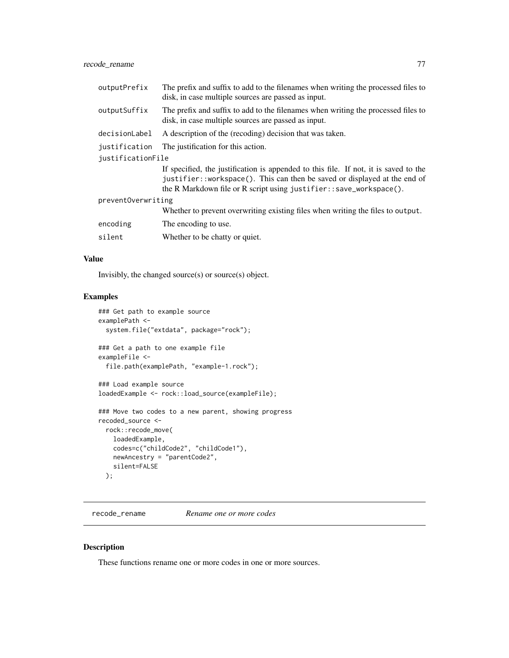<span id="page-76-0"></span>

| outputPrefix       | The prefix and suffix to add to the filenames when writing the processed files to<br>disk, in case multiple sources are passed as input.                                                                                                |  |
|--------------------|-----------------------------------------------------------------------------------------------------------------------------------------------------------------------------------------------------------------------------------------|--|
| outputSuffix       | The prefix and suffix to add to the filenames when writing the processed files to<br>disk, in case multiple sources are passed as input.                                                                                                |  |
| decisionLabel      | A description of the (recoding) decision that was taken.                                                                                                                                                                                |  |
| justification      | The justification for this action.                                                                                                                                                                                                      |  |
| justificationFile  |                                                                                                                                                                                                                                         |  |
|                    | If specified, the justification is appended to this file. If not, it is saved to the<br>justifier::workspace(). This can then be saved or displayed at the end of<br>the R Markdown file or R script using justifier::save_workspace(). |  |
| preventOverwriting |                                                                                                                                                                                                                                         |  |
|                    | Whether to prevent overwriting existing files when writing the files to output.                                                                                                                                                         |  |
| encoding           | The encoding to use.                                                                                                                                                                                                                    |  |
| silent             | Whether to be chatty or quiet.                                                                                                                                                                                                          |  |

#### Value

Invisibly, the changed source(s) or source(s) object.

# Examples

```
### Get path to example source
examplePath <-
  system.file("extdata", package="rock");
### Get a path to one example file
exampleFile <-
  file.path(examplePath, "example-1.rock");
### Load example source
loadedExample <- rock::load_source(exampleFile);
### Move two codes to a new parent, showing progress
recoded_source <-
  rock::recode_move(
   loadedExample,
   codes=c("childCode2", "childCode1"),
   newAncestry = "parentCode2",
   silent=FALSE
```

```
);
```
recode\_rename *Rename one or more codes*

# Description

These functions rename one or more codes in one or more sources.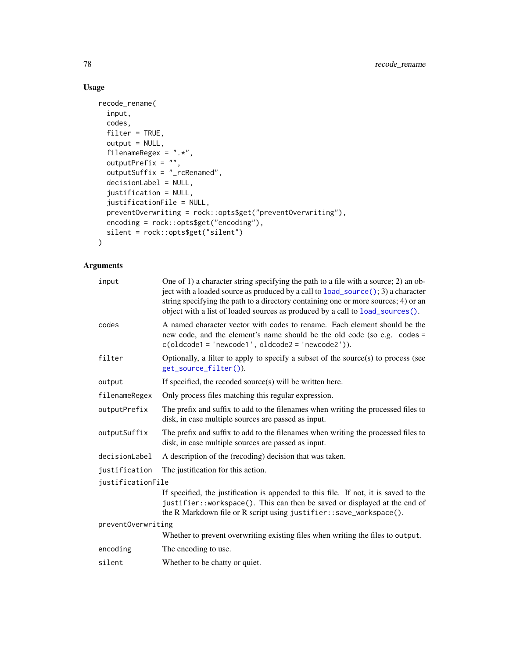# Usage

```
recode_rename(
  input,
 codes,
 filter = TRUE,
 output = NULL,
 filenameRegex = ".*",
 outputPrefix = ",
 outputSuffix = "_rcRenamed",
 decisionLabel = NULL,
  justification = NULL,
  justificationFile = NULL,
 preventOverwriting = rock::opts$get("preventOverwriting"),
 encoding = rock::opts$get("encoding"),
 silent = rock::opts$get("silent")
)
```

| One of 1) a character string specifying the path to a file with a source; 2) an ob-<br>ject with a loaded source as produced by a call to load_source(); 3) a character<br>string specifying the path to a directory containing one or more sources; 4) or an<br>object with a list of loaded sources as produced by a call to load_sources(). |  |
|------------------------------------------------------------------------------------------------------------------------------------------------------------------------------------------------------------------------------------------------------------------------------------------------------------------------------------------------|--|
| A named character vector with codes to rename. Each element should be the<br>new code, and the element's name should be the old code (so e.g. codes =<br>$c(oldcode1 = 'newcode1', oldcode2 = 'newcode2')).$                                                                                                                                   |  |
| Optionally, a filter to apply to specify a subset of the source $(s)$ to process (see<br>get_source_filter()).                                                                                                                                                                                                                                 |  |
| If specified, the recoded source(s) will be written here.                                                                                                                                                                                                                                                                                      |  |
| Only process files matching this regular expression.                                                                                                                                                                                                                                                                                           |  |
| The prefix and suffix to add to the filenames when writing the processed files to<br>disk, in case multiple sources are passed as input.                                                                                                                                                                                                       |  |
| The prefix and suffix to add to the filenames when writing the processed files to<br>disk, in case multiple sources are passed as input.                                                                                                                                                                                                       |  |
| A description of the (recoding) decision that was taken.                                                                                                                                                                                                                                                                                       |  |
| The justification for this action.                                                                                                                                                                                                                                                                                                             |  |
| justificationFile                                                                                                                                                                                                                                                                                                                              |  |
| If specified, the justification is appended to this file. If not, it is saved to the<br>justifier::workspace(). This can then be saved or displayed at the end of<br>the R Markdown file or R script using justifier:: save_workspace().                                                                                                       |  |
| preventOverwriting                                                                                                                                                                                                                                                                                                                             |  |
| Whether to prevent overwriting existing files when writing the files to output.                                                                                                                                                                                                                                                                |  |
| The encoding to use.                                                                                                                                                                                                                                                                                                                           |  |
| Whether to be chatty or quiet.                                                                                                                                                                                                                                                                                                                 |  |
|                                                                                                                                                                                                                                                                                                                                                |  |

<span id="page-77-0"></span>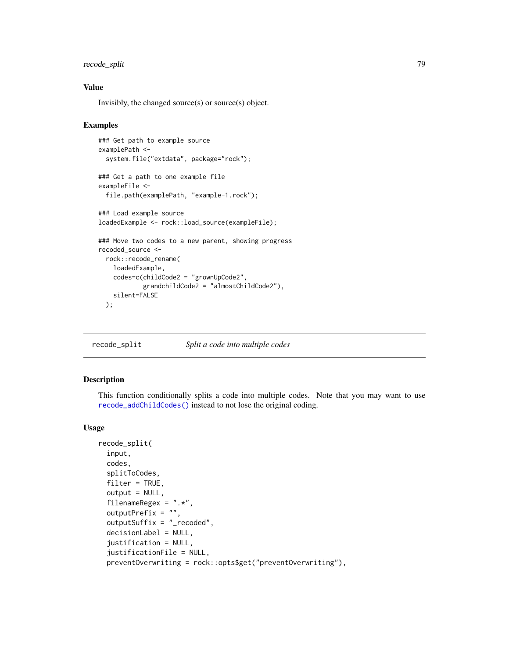# <span id="page-78-0"></span>recode\_split 79

#### Value

Invisibly, the changed source(s) or source(s) object.

#### Examples

```
### Get path to example source
examplePath <-
 system.file("extdata", package="rock");
### Get a path to one example file
exampleFile <-
 file.path(examplePath, "example-1.rock");
### Load example source
loadedExample <- rock::load_source(exampleFile);
### Move two codes to a new parent, showing progress
recoded_source <-
 rock::recode_rename(
   loadedExample,
   codes=c(childCode2 = "grownUpCode2",
            grandchildCode2 = "almostChildCode2"),
   silent=FALSE
 );
```
recode\_split *Split a code into multiple codes*

# Description

This function conditionally splits a code into multiple codes. Note that you may want to use [recode\\_addChildCodes\(\)](#page-69-0) instead to not lose the original coding.

#### Usage

```
recode_split(
  input,
  codes,
  splitToCodes,
  filter = TRUE,
  output = NULL,filenameRegex = ".**",
  outputPrefix = ",
  outputSuffix = "_recoded",
  decisionLabel = NULL,
  justification = NULL,
  justificationFile = NULL,
  preventOverwriting = rock::opts$get("preventOverwriting"),
```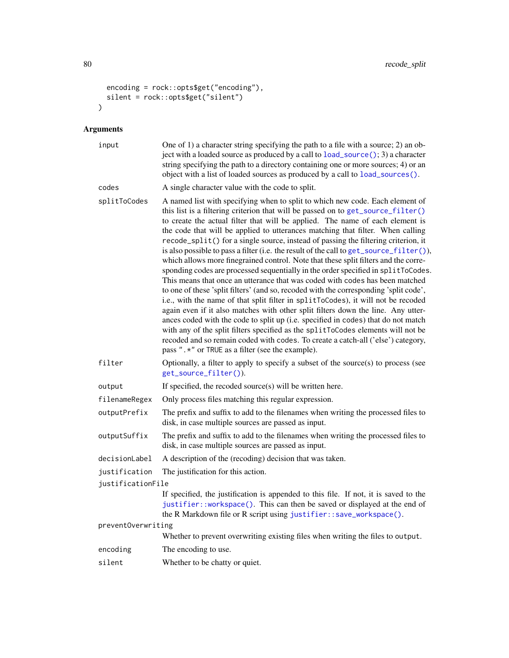```
encoding = rock::opts$get("encoding"),
  silent = rock::opts$get("silent")
\lambda
```

| input              | One of 1) a character string specifying the path to a file with a source; 2) an ob-<br>ject with a loaded source as produced by a call to load_source(); 3) a character<br>string specifying the path to a directory containing one or more sources; 4) or an<br>object with a list of loaded sources as produced by a call to load_sources().                                                                                                                                                                                                                                                                                                                                                                                                                                                                                                                                                                                                                                                                                                                                                                                                                                                                                                                                                                                                                         |
|--------------------|------------------------------------------------------------------------------------------------------------------------------------------------------------------------------------------------------------------------------------------------------------------------------------------------------------------------------------------------------------------------------------------------------------------------------------------------------------------------------------------------------------------------------------------------------------------------------------------------------------------------------------------------------------------------------------------------------------------------------------------------------------------------------------------------------------------------------------------------------------------------------------------------------------------------------------------------------------------------------------------------------------------------------------------------------------------------------------------------------------------------------------------------------------------------------------------------------------------------------------------------------------------------------------------------------------------------------------------------------------------------|
| codes              | A single character value with the code to split.                                                                                                                                                                                                                                                                                                                                                                                                                                                                                                                                                                                                                                                                                                                                                                                                                                                                                                                                                                                                                                                                                                                                                                                                                                                                                                                       |
| splitToCodes       | A named list with specifying when to split to which new code. Each element of<br>this list is a filtering criterion that will be passed on to get_source_filter()<br>to create the actual filter that will be applied. The name of each element is<br>the code that will be applied to utterances matching that filter. When calling<br>recode_split() for a single source, instead of passing the filtering criterion, it<br>is also possible to pass a filter (i.e. the result of the call to get_source_filter()),<br>which allows more finegrained control. Note that these split filters and the corre-<br>sponding codes are processed sequentially in the order specified in splitToCodes.<br>This means that once an utterance that was coded with codes has been matched<br>to one of these 'split filters' (and so, recoded with the corresponding 'split code',<br>i.e., with the name of that split filter in splitToCodes), it will not be recoded<br>again even if it also matches with other split filters down the line. Any utter-<br>ances coded with the code to split up (i.e. specified in codes) that do not match<br>with any of the split filters specified as the splitToCodes elements will not be<br>recoded and so remain coded with codes. To create a catch-all ('else') category,<br>pass " .* " or TRUE as a filter (see the example). |
| filter             | Optionally, a filter to apply to specify a subset of the source $(s)$ to process (see<br>get_source_filter()).                                                                                                                                                                                                                                                                                                                                                                                                                                                                                                                                                                                                                                                                                                                                                                                                                                                                                                                                                                                                                                                                                                                                                                                                                                                         |
| output             | If specified, the recoded source(s) will be written here.                                                                                                                                                                                                                                                                                                                                                                                                                                                                                                                                                                                                                                                                                                                                                                                                                                                                                                                                                                                                                                                                                                                                                                                                                                                                                                              |
| filenameRegex      | Only process files matching this regular expression.                                                                                                                                                                                                                                                                                                                                                                                                                                                                                                                                                                                                                                                                                                                                                                                                                                                                                                                                                                                                                                                                                                                                                                                                                                                                                                                   |
| outputPrefix       | The prefix and suffix to add to the filenames when writing the processed files to<br>disk, in case multiple sources are passed as input.                                                                                                                                                                                                                                                                                                                                                                                                                                                                                                                                                                                                                                                                                                                                                                                                                                                                                                                                                                                                                                                                                                                                                                                                                               |
| outputSuffix       | The prefix and suffix to add to the filenames when writing the processed files to<br>disk, in case multiple sources are passed as input.                                                                                                                                                                                                                                                                                                                                                                                                                                                                                                                                                                                                                                                                                                                                                                                                                                                                                                                                                                                                                                                                                                                                                                                                                               |
| decisionLabel      | A description of the (recoding) decision that was taken.                                                                                                                                                                                                                                                                                                                                                                                                                                                                                                                                                                                                                                                                                                                                                                                                                                                                                                                                                                                                                                                                                                                                                                                                                                                                                                               |
| justification      | The justification for this action.                                                                                                                                                                                                                                                                                                                                                                                                                                                                                                                                                                                                                                                                                                                                                                                                                                                                                                                                                                                                                                                                                                                                                                                                                                                                                                                                     |
| justificationFile  |                                                                                                                                                                                                                                                                                                                                                                                                                                                                                                                                                                                                                                                                                                                                                                                                                                                                                                                                                                                                                                                                                                                                                                                                                                                                                                                                                                        |
|                    | If specified, the justification is appended to this file. If not, it is saved to the<br>justifier:: workspace(). This can then be saved or displayed at the end of<br>the R Markdown file or R script using justifier::save_workspace().                                                                                                                                                                                                                                                                                                                                                                                                                                                                                                                                                                                                                                                                                                                                                                                                                                                                                                                                                                                                                                                                                                                               |
| preventOverwriting |                                                                                                                                                                                                                                                                                                                                                                                                                                                                                                                                                                                                                                                                                                                                                                                                                                                                                                                                                                                                                                                                                                                                                                                                                                                                                                                                                                        |
|                    | Whether to prevent overwriting existing files when writing the files to output.                                                                                                                                                                                                                                                                                                                                                                                                                                                                                                                                                                                                                                                                                                                                                                                                                                                                                                                                                                                                                                                                                                                                                                                                                                                                                        |
| encoding           | The encoding to use.                                                                                                                                                                                                                                                                                                                                                                                                                                                                                                                                                                                                                                                                                                                                                                                                                                                                                                                                                                                                                                                                                                                                                                                                                                                                                                                                                   |
| silent             | Whether to be chatty or quiet.                                                                                                                                                                                                                                                                                                                                                                                                                                                                                                                                                                                                                                                                                                                                                                                                                                                                                                                                                                                                                                                                                                                                                                                                                                                                                                                                         |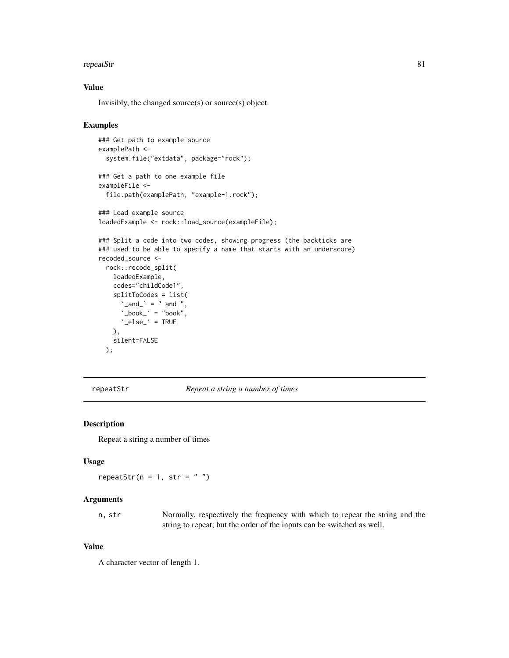#### <span id="page-80-0"></span>repeatStr 81

#### Value

Invisibly, the changed source(s) or source(s) object.

#### Examples

```
### Get path to example source
examplePath <-
 system.file("extdata", package="rock");
### Get a path to one example file
exampleFile <-
 file.path(examplePath, "example-1.rock");
### Load example source
loadedExample <- rock::load_source(exampleFile);
### Split a code into two codes, showing progress (the backticks are
### used to be able to specify a name that starts with an underscore)
recoded_source <-
 rock::recode_split(
   loadedExample,
   codes="childCode1",
    splitToCodes = list(
      \text{`and'} = " and ",
      \Delta_book_\Delta = "book",
      '\_else' = \_),
   silent=FALSE
 );
```
repeatStr *Repeat a string a number of times*

#### Description

Repeat a string a number of times

#### Usage

repeatStr( $n = 1$ , str = "")

#### Arguments

n, str Normally, respectively the frequency with which to repeat the string and the string to repeat; but the order of the inputs can be switched as well.

#### Value

A character vector of length 1.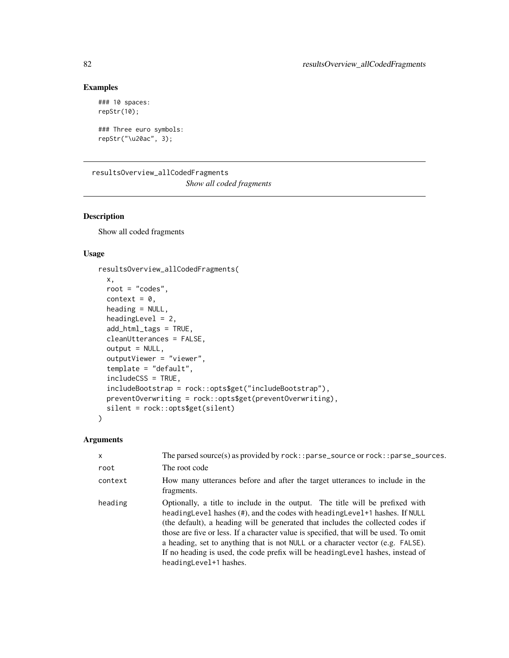# Examples

```
### 10 spaces:
repStr(10);
```

```
### Three euro symbols:
repStr("\u20ac", 3);
```
resultsOverview\_allCodedFragments *Show all coded fragments*

# Description

Show all coded fragments

# Usage

```
resultsOverview_allCodedFragments(
 x,
 root = "codes",
 context = 0,
 heading = NULL,
 headingLevel = 2,
  add_html_tags = TRUE,
  cleanUtterances = FALSE,
 output = NULL,outputViewer = "viewer",
  template = "default",
  includeCSS = TRUE,
  includeBootstrap = rock::opts$get("includeBootstrap"),
 preventOverwriting = rock::opts$get(preventOverwriting),
  silent = rock::opts$get(silent)
)
```

| $\mathsf{x}$ | The parsed source(s) as provided by $rock:$ : parse_source or $rock:$ : parse_sources.                                                                                                                                                                                                                                                                                                                                                                                                                                                       |
|--------------|----------------------------------------------------------------------------------------------------------------------------------------------------------------------------------------------------------------------------------------------------------------------------------------------------------------------------------------------------------------------------------------------------------------------------------------------------------------------------------------------------------------------------------------------|
| root         | The root code                                                                                                                                                                                                                                                                                                                                                                                                                                                                                                                                |
| context      | How many utterances before and after the target utterances to include in the<br>fragments.                                                                                                                                                                                                                                                                                                                                                                                                                                                   |
| heading      | Optionally, a title to include in the output. The title will be prefixed with<br>heading Level has hes (#), and the codes with heading Level +1 has hes. If NULL<br>(the default), a heading will be generated that includes the collected codes if<br>those are five or less. If a character value is specified, that will be used. To omit<br>a heading, set to anything that is not NULL or a character vector (e.g. FALSE).<br>If no heading is used, the code prefix will be heading Level hashes, instead of<br>headingLevel+1 hashes. |

<span id="page-81-0"></span>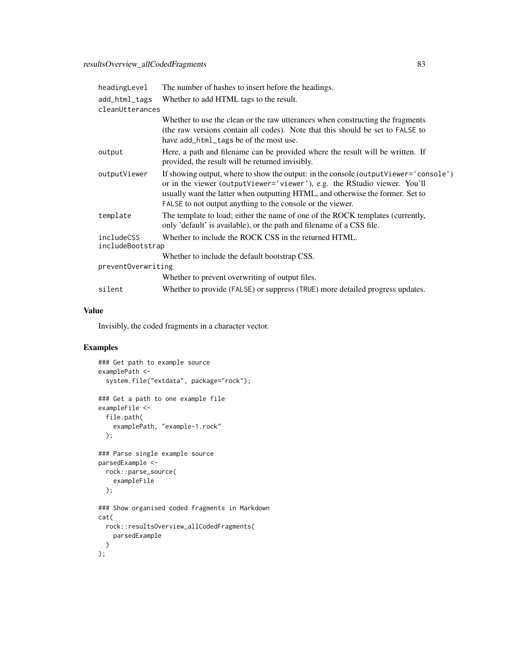| headingLevel                   | The number of hashes to insert before the headings.                                                                                                                                                                                                                                                                |
|--------------------------------|--------------------------------------------------------------------------------------------------------------------------------------------------------------------------------------------------------------------------------------------------------------------------------------------------------------------|
| add_html_tags                  | Whether to add HTML tags to the result.                                                                                                                                                                                                                                                                            |
| cleanUtterances                |                                                                                                                                                                                                                                                                                                                    |
|                                | Whether to use the clean or the raw utterances when constructing the fragments<br>(the raw versions contain all codes). Note that this should be set to FALSE to<br>have add_html_tags be of the most use.                                                                                                         |
| output                         | Here, a path and filename can be provided where the result will be written. If<br>provided, the result will be returned invisibly.                                                                                                                                                                                 |
| outputViewer                   | If showing output, where to show the output: in the console (output Viewer='console')<br>or in the viewer (outputViewer='viewer'), e.g. the RStudio viewer. You'll<br>usually want the latter when outputting HTML, and otherwise the former. Set to<br>FALSE to not output anything to the console or the viewer. |
| template                       | The template to load; either the name of one of the ROCK templates (currently,<br>only 'default' is available), or the path and filename of a CSS file.                                                                                                                                                            |
| includeCSS<br>includeBootstrap | Whether to include the ROCK CSS in the returned HTML.                                                                                                                                                                                                                                                              |
|                                | Whether to include the default bootstrap CSS.                                                                                                                                                                                                                                                                      |
| preventOverwriting             |                                                                                                                                                                                                                                                                                                                    |
|                                | Whether to prevent overwriting of output files.                                                                                                                                                                                                                                                                    |
| silent                         | Whether to provide (FALSE) or suppress (TRUE) more detailed progress updates.                                                                                                                                                                                                                                      |

# Value

Invisibly, the coded fragments in a character vector.

```
### Get path to example source
examplePath <-
  system.file("extdata", package="rock");
### Get a path to one example file
exampleFile <-
  file.path(
    examplePath, "example-1.rock"
  );
### Parse single example source
parsedExample <-
  rock::parse_source(
   exampleFile
  );
### Show organised coded fragments in Markdown
cat(
  rock::resultsOverview_allCodedFragments(
   parsedExample
 )
);
```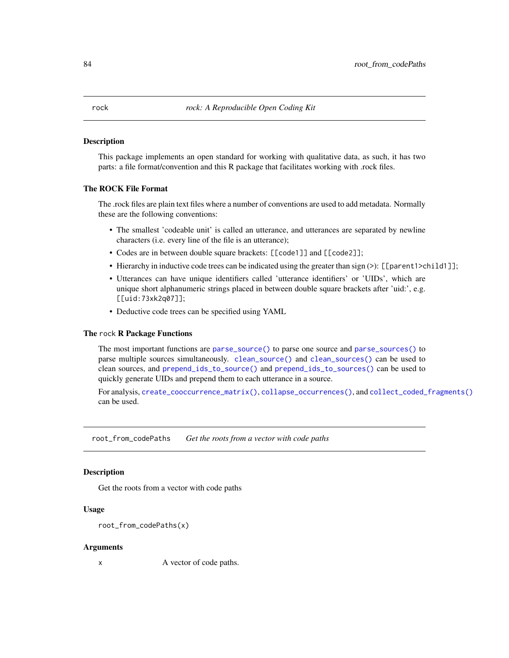#### <span id="page-83-0"></span>Description

This package implements an open standard for working with qualitative data, as such, it has two parts: a file format/convention and this R package that facilitates working with .rock files.

#### The ROCK File Format

The .rock files are plain text files where a number of conventions are used to add metadata. Normally these are the following conventions:

- The smallest 'codeable unit' is called an utterance, and utterances are separated by newline characters (i.e. every line of the file is an utterance);
- Codes are in between double square brackets: [[code1]] and [[code2]];
- Hierarchy in inductive code trees can be indicated using the greater than sign (>): [[parent1>child1]];
- Utterances can have unique identifiers called 'utterance identifiers' or 'UIDs', which are unique short alphanumeric strings placed in between double square brackets after 'uid:', e.g. [[uid:73xk2q07]];
- Deductive code trees can be specified using YAML

#### The rock R Package Functions

The most important functions are [parse\\_source\(\)](#page-60-0) to parse one source and [parse\\_sources\(\)](#page-60-1) to parse multiple sources simultaneously. [clean\\_source\(\)](#page-10-0) and [clean\\_sources\(\)](#page-10-1) can be used to clean sources, and [prepend\\_ids\\_to\\_source\(\)](#page-64-0) and [prepend\\_ids\\_to\\_sources\(\)](#page-64-1) can be used to quickly generate UIDs and prepend them to each utterance in a source.

For analysis, [create\\_cooccurrence\\_matrix\(\)](#page-31-0), [collapse\\_occurrences\(\)](#page-22-0), and [collect\\_coded\\_fragments\(\)](#page-23-0) can be used.

root\_from\_codePaths *Get the roots from a vector with code paths*

#### **Description**

Get the roots from a vector with code paths

#### Usage

```
root_from_codePaths(x)
```
#### Arguments

x A vector of code paths.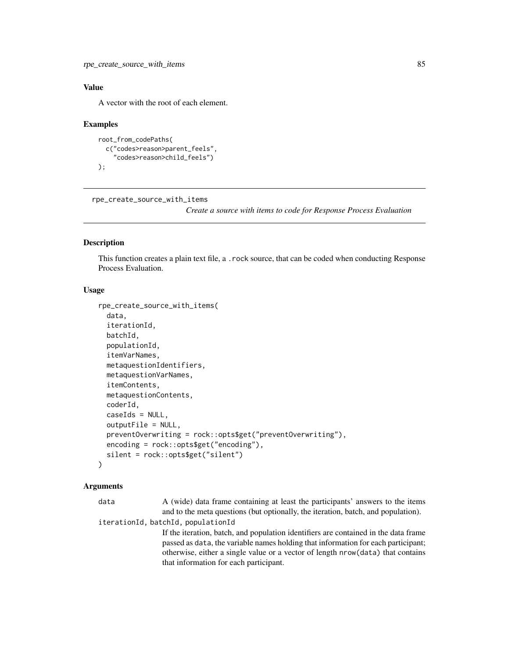# <span id="page-84-0"></span>Value

A vector with the root of each element.

#### Examples

```
root_from_codePaths(
 c("codes>reason>parent_feels",
    "codes>reason>child_feels")
);
```
rpe\_create\_source\_with\_items

*Create a source with items to code for Response Process Evaluation*

#### Description

This function creates a plain text file, a .rock source, that can be coded when conducting Response Process Evaluation.

#### Usage

```
rpe_create_source_with_items(
  data,
  iterationId,
 batchId,
  populationId,
  itemVarNames,
  metaquestionIdentifiers,
  metaquestionVarNames,
  itemContents,
  metaquestionContents,
  coderId,
  caseIds = NULL,
  outputFile = NULL,
  preventOverwriting = rock::opts$get("preventOverwriting"),
  encoding = rock::opts$get("encoding"),
  silent = rock::opts$get("silent")
)
```
#### Arguments

data A (wide) data frame containing at least the participants' answers to the items and to the meta questions (but optionally, the iteration, batch, and population). iterationId, batchId, populationId If the iteration, batch, and population identifiers are contained in the data frame passed as data, the variable names holding that information for each participant; otherwise, either a single value or a vector of length nrow(data) that contains that information for each participant.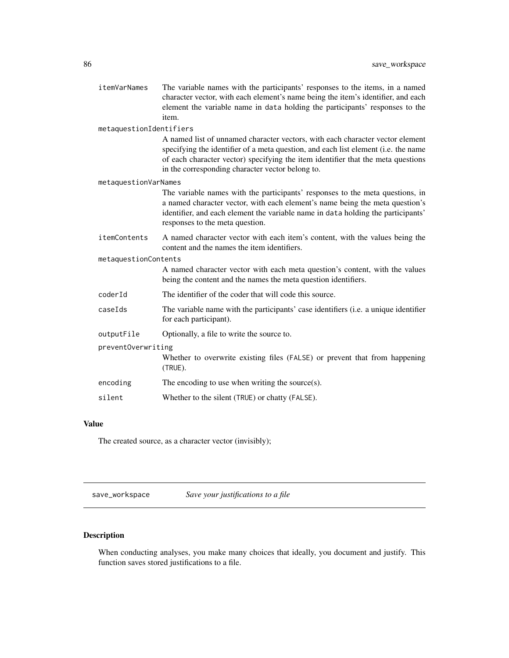<span id="page-85-0"></span>

| itemVarNames            | The variable names with the participants' responses to the items, in a named<br>character vector, with each element's name being the item's identifier, and each<br>element the variable name in data holding the participants' responses to the<br>item.                                                   |  |
|-------------------------|-------------------------------------------------------------------------------------------------------------------------------------------------------------------------------------------------------------------------------------------------------------------------------------------------------------|--|
| metaquestionIdentifiers |                                                                                                                                                                                                                                                                                                             |  |
|                         | A named list of unnamed character vectors, with each character vector element<br>specifying the identifier of a meta question, and each list element (i.e. the name<br>of each character vector) specifying the item identifier that the meta questions<br>in the corresponding character vector belong to. |  |
| metaquestionVarNames    |                                                                                                                                                                                                                                                                                                             |  |
|                         | The variable names with the participants' responses to the meta questions, in<br>a named character vector, with each element's name being the meta question's<br>identifier, and each element the variable name in data holding the participants'<br>responses to the meta question.                        |  |
| itemContents            | A named character vector with each item's content, with the values being the<br>content and the names the item identifiers.                                                                                                                                                                                 |  |
| metaquestionContents    |                                                                                                                                                                                                                                                                                                             |  |
|                         | A named character vector with each meta question's content, with the values<br>being the content and the names the meta question identifiers.                                                                                                                                                               |  |
| coderId                 | The identifier of the coder that will code this source.                                                                                                                                                                                                                                                     |  |
| caseIds                 | The variable name with the participants' case identifiers (i.e. a unique identifier<br>for each participant).                                                                                                                                                                                               |  |
| outputFile              | Optionally, a file to write the source to.                                                                                                                                                                                                                                                                  |  |
| preventOverwriting      |                                                                                                                                                                                                                                                                                                             |  |
|                         | Whether to overwrite existing files (FALSE) or prevent that from happening<br>(TRUE).                                                                                                                                                                                                                       |  |
| encoding                | The encoding to use when writing the source $(s)$ .                                                                                                                                                                                                                                                         |  |
| silent                  | Whether to the silent (TRUE) or chatty (FALSE).                                                                                                                                                                                                                                                             |  |
|                         |                                                                                                                                                                                                                                                                                                             |  |

# Value

The created source, as a character vector (invisibly);

save\_workspace *Save your justifications to a file*

# Description

When conducting analyses, you make many choices that ideally, you document and justify. This function saves stored justifications to a file.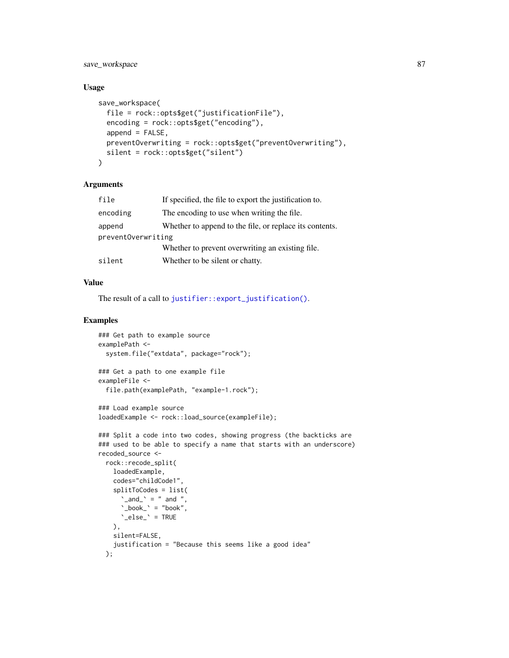<span id="page-86-0"></span>save\_workspace 87

#### Usage

```
save_workspace(
  file = rock::opts$get("justificationFile"),
  encoding = rock::opts$get("encoding"),
  append = FALSE,
 preventOverwriting = rock::opts$get("preventOverwriting"),
  silent = rock::opts$get("silent")
)
```
#### Arguments

| file               | If specified, the file to export the justification to.  |
|--------------------|---------------------------------------------------------|
| encoding           | The encoding to use when writing the file.              |
| append             | Whether to append to the file, or replace its contents. |
| preventOverwriting |                                                         |
|                    | Whether to prevent overwriting an existing file.        |
| silent             | Whether to be silent or chatty.                         |

#### Value

The result of a call to [justifier::export\\_justification\(\)](#page-0-0).

```
### Get path to example source
examplePath <-
 system.file("extdata", package="rock");
### Get a path to one example file
exampleFile <-
 file.path(examplePath, "example-1.rock");
### Load example source
loadedExample <- rock::load_source(exampleFile);
```

```
### Split a code into two codes, showing progress (the backticks are
### used to be able to specify a name that starts with an underscore)
recoded_source <-
  rock::recode_split(
    loadedExample,
    codes="childCode1",
    splitToCodes = list(
      \text{`and'} = " and ",
      \Delta_book_\Delta = "book",
      \text{°_else} \text{°} = TRUE
    ),
    silent=FALSE,
    justification = "Because this seems like a good idea"
  );
```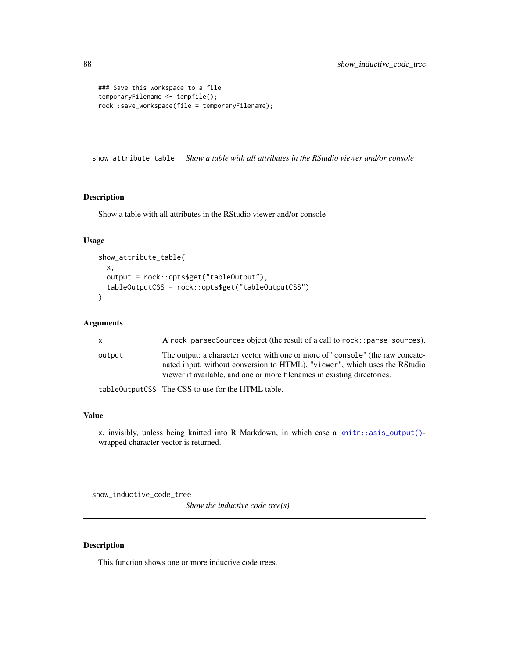```
### Save this workspace to a file
temporaryFilename <- tempfile();
rock::save_workspace(file = temporaryFilename);
```
show\_attribute\_table *Show a table with all attributes in the RStudio viewer and/or console*

#### Description

Show a table with all attributes in the RStudio viewer and/or console

#### Usage

```
show_attribute_table(
 x,
 output = rock::opts$get("tableOutput"),
 tableOutputCSS = rock::opts$get("tableOutputCSS")
\mathcal{L}
```
# Arguments

| X.     | A rock_parsedSources object (the result of a call to rock::parse_sources).                                                                                                                                                              |
|--------|-----------------------------------------------------------------------------------------------------------------------------------------------------------------------------------------------------------------------------------------|
| output | The output: a character vector with one or more of "console" (the raw concate-<br>nated input, without conversion to HTML), "viewer", which uses the RStudio<br>viewer if available, and one or more filenames in existing directories. |
|        | table0utputCSS The CSS to use for the HTML table.                                                                                                                                                                                       |

#### Value

x, invisibly, unless being knitted into R Markdown, in which case a [knitr::asis\\_output\(\)](#page-0-0) wrapped character vector is returned.

show\_inductive\_code\_tree

*Show the inductive code tree(s)*

# Description

This function shows one or more inductive code trees.

<span id="page-87-0"></span>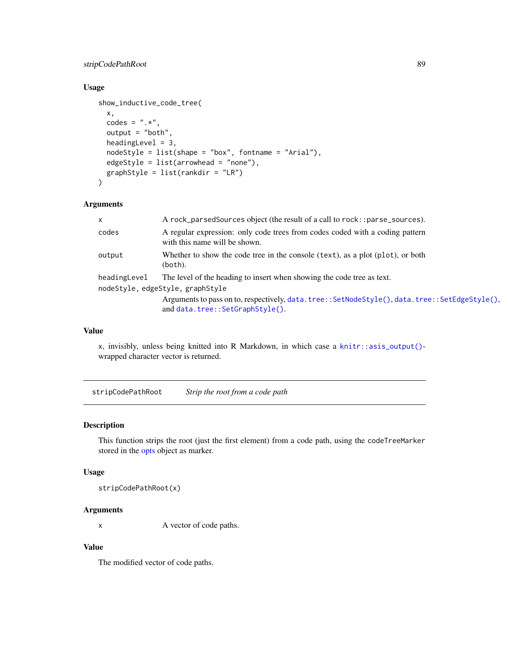# <span id="page-88-0"></span>stripCodePathRoot 89

# Usage

```
show_inductive_code_tree(
 x,
 codes = ".*",output = "both",
 headingLevel = 3,
 nodeStyle = list(shape = "box", fontname = "Arial"),
 edgeStyle = list(arrowhead = "none"),
  graphStyle = list(rankdir = "LR")
\mathcal{L}
```
#### Arguments

| x            | A rock_parsedSources object (the result of a call to rock:: parse_sources).                                                       |
|--------------|-----------------------------------------------------------------------------------------------------------------------------------|
| codes        | A regular expression: only code trees from codes coded with a coding pattern<br>with this name will be shown.                     |
| output       | Whether to show the code tree in the console (text), as a plot (plot), or both<br>(both).                                         |
| headingLevel | The level of the heading to insert when showing the code tree as text.<br>nodeStyle, edgeStyle, graphStyle                        |
|              | Arguments to pass on to, respectively, data.tree:: SetNodeStyle(), data.tree:: SetEdgeStyle(),<br>and data.tree::SetGraphStyle(). |

#### Value

x, invisibly, unless being knitted into R Markdown, in which case a [knitr::asis\\_output\(\)](#page-0-0) wrapped character vector is returned.

stripCodePathRoot *Strip the root from a code path*

# Description

This function strips the root (just the first element) from a code path, using the codeTreeMarker stored in the [opts](#page-57-0) object as marker.

#### Usage

stripCodePathRoot(x)

# Arguments

x A vector of code paths.

# Value

The modified vector of code paths.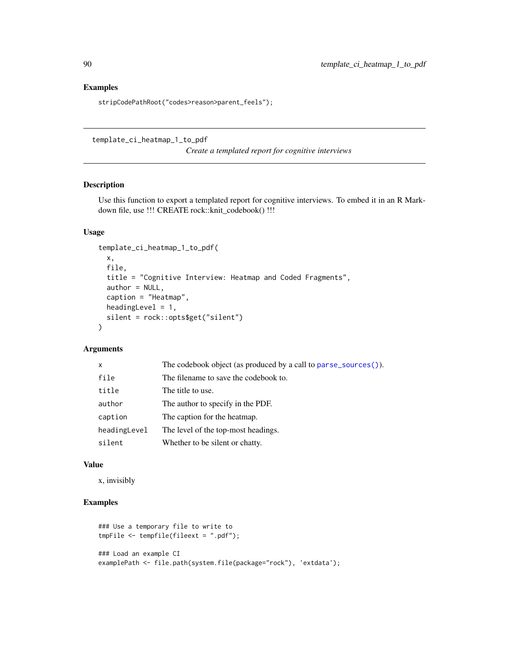# Examples

stripCodePathRoot("codes>reason>parent\_feels");

template\_ci\_heatmap\_1\_to\_pdf

*Create a templated report for cognitive interviews*

# Description

Use this function to export a templated report for cognitive interviews. To embed it in an R Markdown file, use !!! CREATE rock::knit\_codebook() !!!

# Usage

```
template_ci_heatmap_1_to_pdf(
  x,
 file,
 title = "Cognitive Interview: Heatmap and Coded Fragments",
 author = NULL,
 caption = "Heatmap",
 headingLevel = 1,
 silent = rock::opts$get("silent")
\lambda
```
# Arguments

| $\mathsf{x}$ | The codebook object (as produced by a call to parse_sources()). |
|--------------|-----------------------------------------------------------------|
| file         | The filename to save the codebook to.                           |
| title        | The title to use.                                               |
| author       | The author to specify in the PDF.                               |
| caption      | The caption for the heatmap.                                    |
| headingLevel | The level of the top-most headings.                             |
| silent       | Whether to be silent or chatty.                                 |

#### Value

x, invisibly

```
### Use a temporary file to write to
tmpFile <- tempfile(fileext = ".pdf");
### Load an example CI
examplePath <- file.path(system.file(package="rock"), 'extdata');
```
<span id="page-89-0"></span>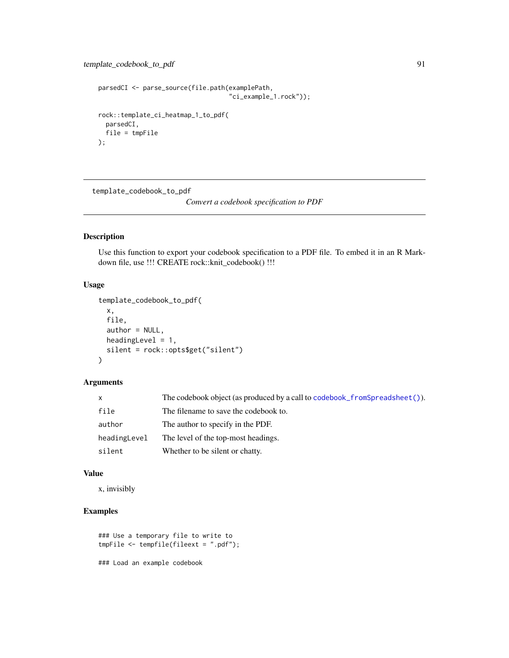```
parsedCI <- parse_source(file.path(examplePath,
                                   "ci_example_1.rock"));
rock::template_ci_heatmap_1_to_pdf(
  parsedCI,
  file = tmpFile
);
```
template\_codebook\_to\_pdf

*Convert a codebook specification to PDF*

# Description

Use this function to export your codebook specification to a PDF file. To embed it in an R Markdown file, use !!! CREATE rock::knit\_codebook() !!!

#### Usage

```
template_codebook_to_pdf(
 x,
  file,
 author = NULL,
 headingLevel = 1,
  silent = rock::opts$get("silent")
)
```
#### Arguments

| X.           | The codebook object (as produced by a call to codebook from Spread sheet ()). |
|--------------|-------------------------------------------------------------------------------|
| file         | The filename to save the codebook to.                                         |
| author       | The author to specify in the PDF.                                             |
| headingLevel | The level of the top-most headings.                                           |
| silent       | Whether to be silent or chatty.                                               |

#### Value

x, invisibly

# Examples

```
### Use a temporary file to write to
tmpFile <- tempfile(fileext = ".pdf");
```
### Load an example codebook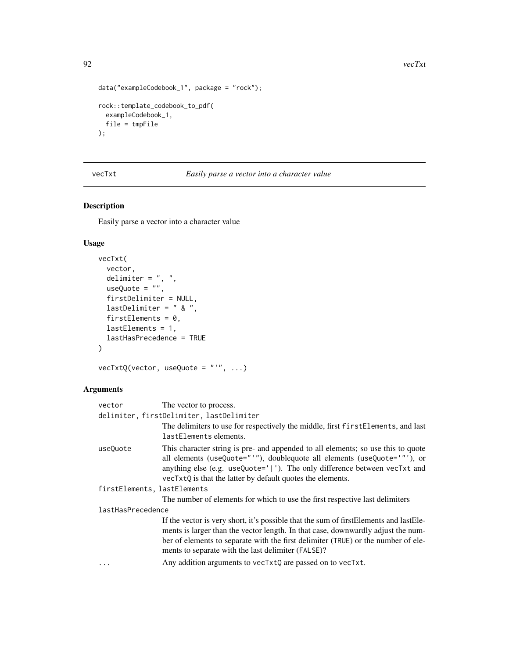```
data("exampleCodebook_1", package = "rock");
rock::template_codebook_to_pdf(
  exampleCodebook_1,
  file = tmpFile
);
```
vecTxt *Easily parse a vector into a character value*

# Description

Easily parse a vector into a character value

# Usage

```
vecTxt(
  vector,
  delimiter = ", ",
 useQuote = ",
  firstDelimiter = NULL,
  lastDelimiter = " & ",
  firstElements = 0,
  lastElements = 1,
  lastHasPrecedence = TRUE
)
```
vecTxtQ(vector, useQuote = "'", ...)

| vector                                   | The vector to process.                                                                                                                                                                                                                                                                                                                                                               |  |  |
|------------------------------------------|--------------------------------------------------------------------------------------------------------------------------------------------------------------------------------------------------------------------------------------------------------------------------------------------------------------------------------------------------------------------------------------|--|--|
| delimiter, firstDelimiter, lastDelimiter |                                                                                                                                                                                                                                                                                                                                                                                      |  |  |
|                                          | The delimiters to use for respectively the middle, first first Elements, and last<br>lastElements elements.                                                                                                                                                                                                                                                                          |  |  |
| useQuote                                 | This character string is pre- and appended to all elements; so use this to quote<br>all elements (useQuote="'"), doublequote all elements (useQuote='"'), or<br>anything else (e.g. useQuote=' '). The only difference between vecTxt and<br>vecTxtQ is that the latter by default quotes the elements.                                                                              |  |  |
| firstElements, lastElements              |                                                                                                                                                                                                                                                                                                                                                                                      |  |  |
|                                          | The number of elements for which to use the first respective last delimiters                                                                                                                                                                                                                                                                                                         |  |  |
| lastHasPrecedence                        |                                                                                                                                                                                                                                                                                                                                                                                      |  |  |
| .                                        | If the vector is very short, it's possible that the sum of first Elements and last Ele-<br>ments is larger than the vector length. In that case, downwardly adjust the num-<br>ber of elements to separate with the first delimiter (TRUE) or the number of ele-<br>ments to separate with the last delimiter (FALSE)?<br>Any addition arguments to vecTxtQ are passed on to vecTxt. |  |  |
|                                          |                                                                                                                                                                                                                                                                                                                                                                                      |  |  |

<span id="page-91-0"></span>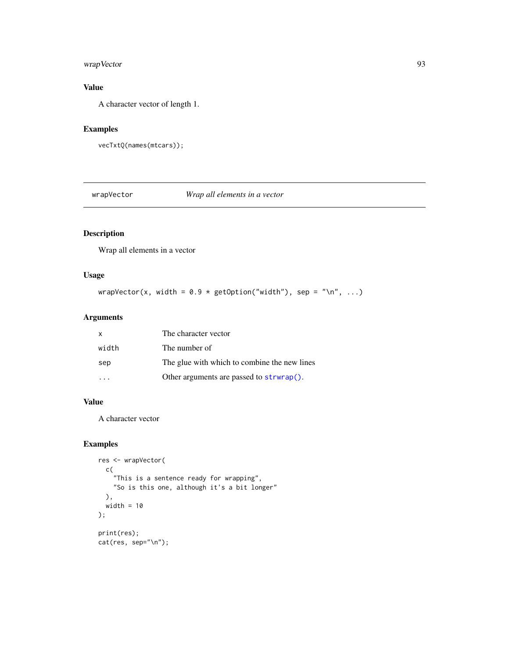# <span id="page-92-0"></span>wrapVector 93

# Value

A character vector of length 1.

#### Examples

```
vecTxtQ(names(mtcars));
```
wrapVector *Wrap all elements in a vector*

# Description

Wrap all elements in a vector

# Usage

wrapVector(x, width =  $0.9 * getOption("width"), sep = " \n\n "$ , ...)

# Arguments

| x     | The character vector                         |
|-------|----------------------------------------------|
| width | The number of                                |
| sep   | The glue with which to combine the new lines |
|       | Other arguments are passed to strwrap().     |

# Value

A character vector

```
res <- wrapVector(
  c(
    "This is a sentence ready for wrapping",
    "So is this one, although it's a bit longer"
 ),
 width = 10);
print(res);
cat(res, sep="\n");
```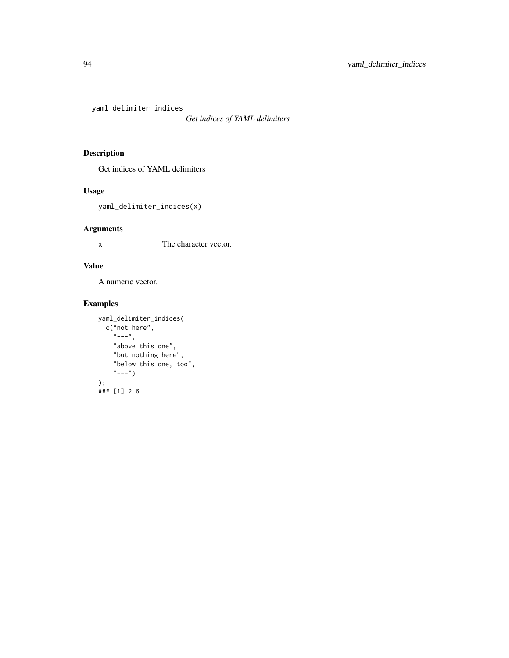<span id="page-93-0"></span>yaml\_delimiter\_indices

*Get indices of YAML delimiters*

# Description

Get indices of YAML delimiters

# Usage

yaml\_delimiter\_indices(x)

# Arguments

x The character vector.

# Value

A numeric vector.

```
yaml_delimiter_indices(
  c("not here",
    "---",
    "above this one",
    "but nothing here",
    "below this one, too",
    "---")
);
### [1] 2 6
```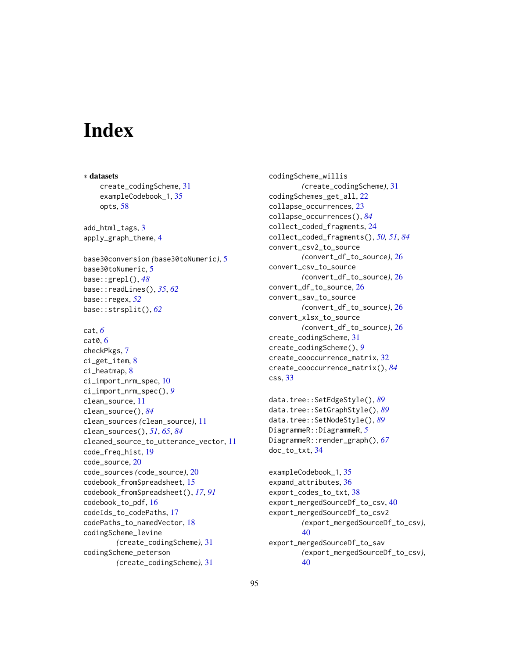# **Index**

∗ datasets create\_codingScheme, [31](#page-30-0) exampleCodebook\_1, [35](#page-34-0) opts, [58](#page-57-1) add\_html\_tags, [3](#page-2-0) apply\_graph\_theme, [4](#page-3-0) base30conversion *(*base30toNumeric*)*, [5](#page-4-0) base30toNumeric, [5](#page-4-0) base::grepl(), *[48](#page-47-1)* base::readLines(), *[35](#page-34-0)*, *[62](#page-61-0)* base::regex, *[52](#page-51-0)* base::strsplit(), *[62](#page-61-0)* cat, *[6](#page-5-0)* cat0, [6](#page-5-0) checkPkgs, [7](#page-6-0) ci\_get\_item, [8](#page-7-0) ci\_heatmap, [8](#page-7-0) ci\_import\_nrm\_spec, [10](#page-9-0) ci\_import\_nrm\_spec(), *[9](#page-8-0)* clean\_source, [11](#page-10-2) clean\_source(), *[84](#page-83-0)* clean\_sources *(*clean\_source*)*, [11](#page-10-2) clean\_sources(), *[51](#page-50-2)*, *[65](#page-64-2)*, *[84](#page-83-0)* cleaned\_source\_to\_utterance\_vector, [11](#page-10-2) code\_freq\_hist, [19](#page-18-0) code\_source, [20](#page-19-0) code\_sources *(*code\_source*)*, [20](#page-19-0) codebook\_fromSpreadsheet, [15](#page-14-1) codebook\_fromSpreadsheet(), *[17](#page-16-0)*, *[91](#page-90-0)* codebook\_to\_pdf, [16](#page-15-0) codeIds\_to\_codePaths, [17](#page-16-0) codePaths\_to\_namedVector, [18](#page-17-0) codingScheme\_levine *(*create\_codingScheme*)*, [31](#page-30-0) codingScheme\_peterson *(*create\_codingScheme*)*, [31](#page-30-0)

codingScheme\_willis *(*create\_codingScheme*)*, [31](#page-30-0) codingSchemes\_get\_all, [22](#page-21-0) collapse\_occurrences, [23](#page-22-1) collapse\_occurrences(), *[84](#page-83-0)* collect\_coded\_fragments, [24](#page-23-1) collect\_coded\_fragments(), *[50,](#page-49-0) [51](#page-50-2)*, *[84](#page-83-0)* convert\_csv2\_to\_source *(*convert\_df\_to\_source*)*, [26](#page-25-0) convert\_csv\_to\_source *(*convert\_df\_to\_source*)*, [26](#page-25-0) convert\_df\_to\_source, [26](#page-25-0) convert\_sav\_to\_source *(*convert\_df\_to\_source*)*, [26](#page-25-0) convert\_xlsx\_to\_source *(*convert\_df\_to\_source*)*, [26](#page-25-0) create\_codingScheme, [31](#page-30-0) create\_codingScheme(), *[9](#page-8-0)* create\_cooccurrence\_matrix, [32](#page-31-1) create\_cooccurrence\_matrix(), *[84](#page-83-0)* css, [33](#page-32-0)

```
data.tree::SetEdgeStyle(), 89
data.tree::SetGraphStyle(), 89
data.tree::SetNodeStyle(), 89
DiagrammeR::DiagrammeR, 5
DiagrammeR::render_graph(), 67
doc_to_txt, 34
```

```
exampleCodebook_1, 35
expand_attributes, 36
export_codes_to_txt, 38
export_mergedSourceDf_to_csv, 40
export_mergedSourceDf_to_csv2
        (export_mergedSourceDf_to_csv),
        40
export_mergedSourceDf_to_sav
        (export_mergedSourceDf_to_csv),
        40
```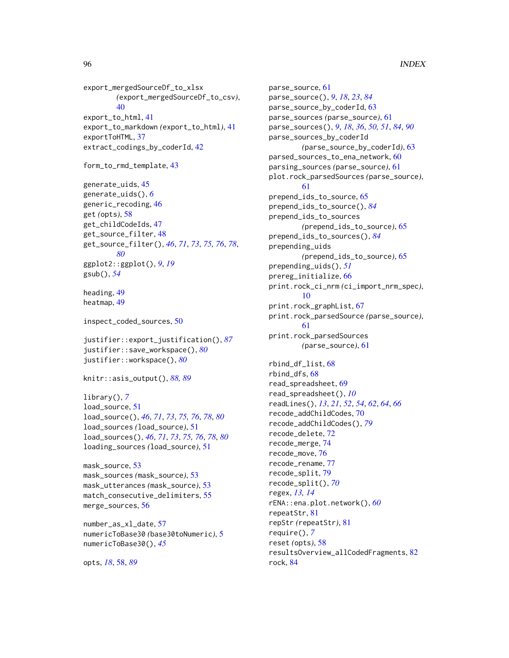export\_mergedSourceDf\_to\_xlsx *(*export\_mergedSourceDf\_to\_csv*)*, [40](#page-39-0) export\_to\_html, [41](#page-40-0) export\_to\_markdown *(*export\_to\_html*)*, [41](#page-40-0) exportToHTML, [37](#page-36-0) extract\_codings\_by\_coderId, [42](#page-41-0)

```
form_to_rmd_template, 43
```
generate\_uids, [45](#page-44-0) generate\_uids(), *[6](#page-5-0)* generic\_recoding, [46](#page-45-0) get *(*opts*)*, [58](#page-57-1) get\_childCodeIds, [47](#page-46-0) get\_source\_filter, [48](#page-47-1) get\_source\_filter(), *[46](#page-45-0)*, *[71](#page-70-0)*, *[73](#page-72-0)*, *[75,](#page-74-0) [76](#page-75-0)*, *[78](#page-77-0)*, *[80](#page-79-0)* ggplot2::ggplot(), *[9](#page-8-0)*, *[19](#page-18-0)* gsub(), *[54](#page-53-0)*

heading, [49](#page-48-0) heatmap, [49](#page-48-0)

```
inspect_coded_sources, 50
```
justifier::export\_justification(), *[87](#page-86-0)* justifier::save\_workspace(), *[80](#page-79-0)* justifier::workspace(), *[80](#page-79-0)*

```
knitr::asis_output(), 88, 89
```

```
library(), 7
load_source, 51
load_source(), 46, 71, 73, 75, 76, 78, 80
load_sources (load_source), 51
load_sources(), 46, 71, 73, 75, 76, 78, 80
loading_sources (load_source), 51
```

```
mask_source, 53
mask_sources (mask_source), 53
mask_utterances (mask_source), 53
match_consecutive_delimiters, 55
merge_sources, 56
```

```
number_as_xl_date, 57
numericToBase30 (base30toNumeric), 5
numericToBase30(), 45
```
opts, *[18](#page-17-0)*, [58,](#page-57-1) *[89](#page-88-0)*

parse\_source, [61](#page-60-2) parse\_source(), *[9](#page-8-0)*, *[18](#page-17-0)*, *[23](#page-22-1)*, *[84](#page-83-0)* parse\_source\_by\_coderId, [63](#page-62-0) parse\_sources *(*parse\_source*)*, [61](#page-60-2) parse\_sources(), *[9](#page-8-0)*, *[18](#page-17-0)*, *[36](#page-35-0)*, *[50,](#page-49-0) [51](#page-50-2)*, *[84](#page-83-0)*, *[90](#page-89-0)* parse\_sources\_by\_coderId *(*parse\_source\_by\_coderId*)*, [63](#page-62-0) parsed\_sources\_to\_ena\_network, [60](#page-59-0) parsing\_sources *(*parse\_source*)*, [61](#page-60-2) plot.rock\_parsedSources *(*parse\_source*)*, [61](#page-60-2) prepend\_ids\_to\_source, [65](#page-64-2) prepend\_ids\_to\_source(), *[84](#page-83-0)* prepend\_ids\_to\_sources *(*prepend\_ids\_to\_source*)*, [65](#page-64-2) prepend\_ids\_to\_sources(), *[84](#page-83-0)* prepending\_uids *(*prepend\_ids\_to\_source*)*, [65](#page-64-2) prepending\_uids(), *[51](#page-50-2)* prereg\_initialize, [66](#page-65-0) print.rock\_ci\_nrm *(*ci\_import\_nrm\_spec*)*, [10](#page-9-0) print.rock\_graphList, [67](#page-66-0) print.rock\_parsedSource *(*parse\_source*)*, [61](#page-60-2) print.rock\_parsedSources *(*parse\_source*)*, [61](#page-60-2) rbind\_df\_list, [68](#page-67-0) rbind\_dfs, [68](#page-67-0) read\_spreadsheet, [69](#page-68-0) read\_spreadsheet(), *[10](#page-9-0)* readLines(), *[13](#page-12-0)*, *[21](#page-20-0)*, *[52](#page-51-0)*, *[54](#page-53-0)*, *[62](#page-61-0)*, *[64](#page-63-0)*, *[66](#page-65-0)* recode\_addChildCodes, [70](#page-69-1) recode\_addChildCodes(), *[79](#page-78-0)* recode\_delete, [72](#page-71-0)

recode\_merge, [74](#page-73-0) recode\_move, [76](#page-75-0) recode\_rename, [77](#page-76-0) recode\_split, [79](#page-78-0) recode\_split(), *[70](#page-69-1)* regex, *[13,](#page-12-0) [14](#page-13-0)* rENA::ena.plot.network(), *[60](#page-59-0)* repeatStr, [81](#page-80-0) repStr *(*repeatStr*)*, [81](#page-80-0) require(), *[7](#page-6-0)* reset *(*opts*)*, [58](#page-57-1) resultsOverview\_allCodedFragments, [82](#page-81-0) rock, [84](#page-83-0)